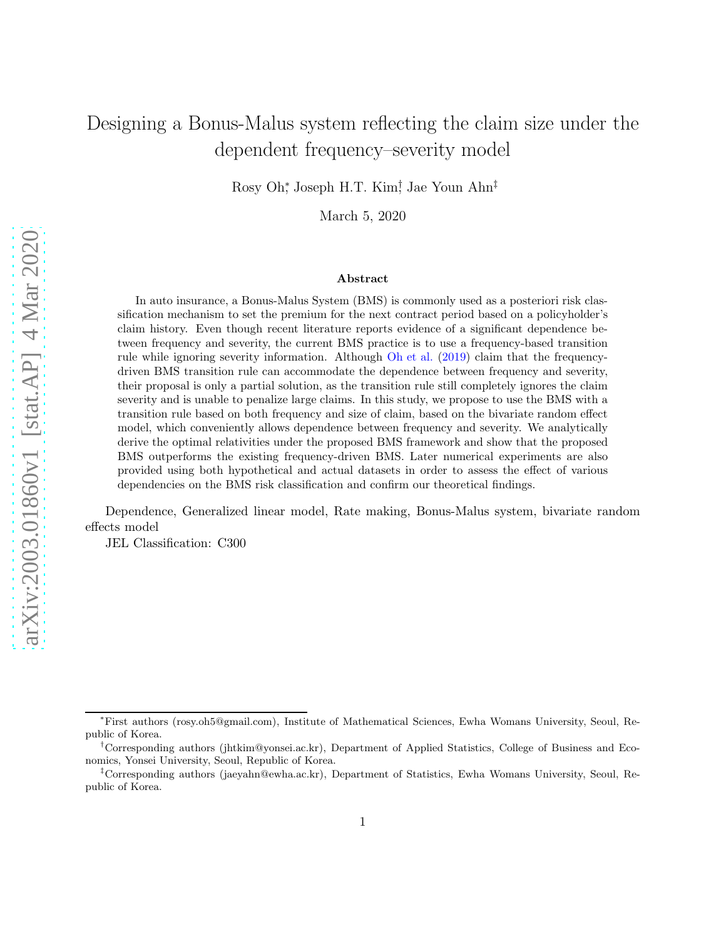# Designing a Bonus-Malus system reflecting the claim size under the dependent frequency–severity model

Rosy Oh<sup>\*</sup>, Joseph H.T. Kim<sup>†</sup>, Jae Youn Ahn<sup>‡</sup>

March 5, 2020

#### Abstract

In auto insurance, a Bonus-Malus System (BMS) is commonly used as a posteriori risk classification mechanism to set the premium for the next contract period based on a policyholder's claim history. Even though recent literature reports evidence of a significant dependence between frequency and severity, the current BMS practice is to use a frequency-based transition rule while ignoring severity information. Although [Oh et al.](#page-26-0) [\(2019](#page-26-0)) claim that the frequencydriven BMS transition rule can accommodate the dependence between frequency and severity, their proposal is only a partial solution, as the transition rule still completely ignores the claim severity and is unable to penalize large claims. In this study, we propose to use the BMS with a transition rule based on both frequency and size of claim, based on the bivariate random effect model, which conveniently allows dependence between frequency and severity. We analytically derive the optimal relativities under the proposed BMS framework and show that the proposed BMS outperforms the existing frequency-driven BMS. Later numerical experiments are also provided using both hypothetical and actual datasets in order to assess the effect of various dependencies on the BMS risk classification and confirm our theoretical findings.

Dependence, Generalized linear model, Rate making, Bonus-Malus system, bivariate random effects model

JEL Classification: C300

<sup>∗</sup>First authors (rosy.oh5@gmail.com), Institute of Mathematical Sciences, Ewha Womans University, Seoul, Republic of Korea.

<sup>†</sup>Corresponding authors (jhtkim@yonsei.ac.kr), Department of Applied Statistics, College of Business and Economics, Yonsei University, Seoul, Republic of Korea.

<sup>‡</sup>Corresponding authors (jaeyahn@ewha.ac.kr), Department of Statistics, Ewha Womans University, Seoul, Republic of Korea.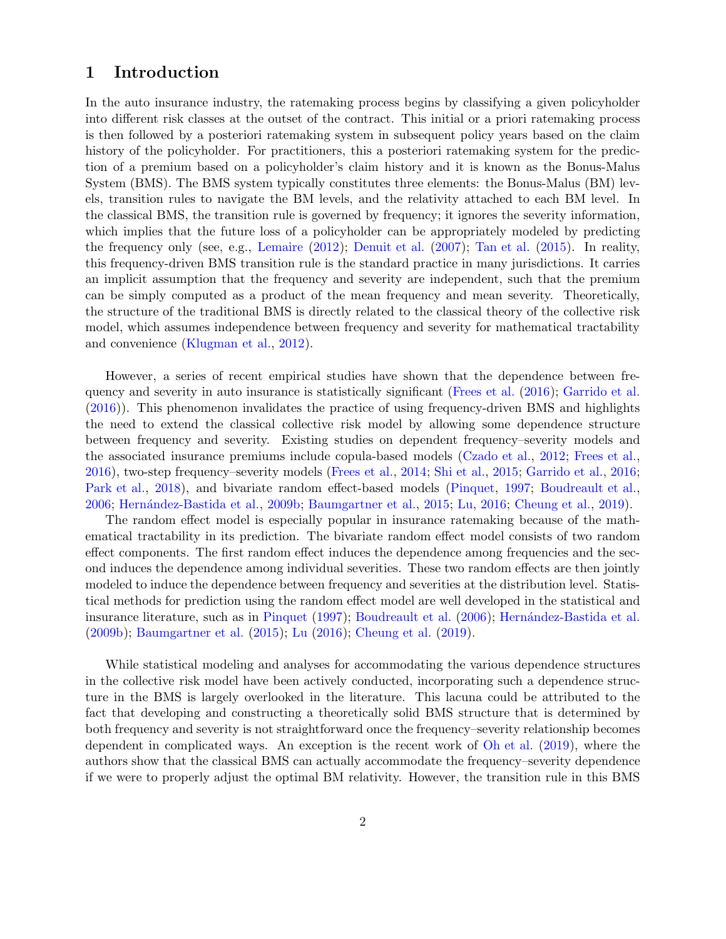### 1 Introduction

In the auto insurance industry, the ratemaking process begins by classifying a given policyholder into different risk classes at the outset of the contract. This initial or a priori ratemaking process is then followed by a posteriori ratemaking system in subsequent policy years based on the claim history of the policyholder. For practitioners, this a posteriori ratemaking system for the prediction of a premium based on a policyholder's claim history and it is known as the Bonus-Malus System (BMS). The BMS system typically constitutes three elements: the Bonus-Malus (BM) levels, transition rules to navigate the BM levels, and the relativity attached to each BM level. In the classical BMS, the transition rule is governed by frequency; it ignores the severity information, which implies that the future loss of a policyholder can be appropriately modeled by predicting the frequency only (see, e.g., [Lemaire](#page-26-1) [\(2012](#page-26-1)); [Denuit et al.](#page-25-0) [\(2007](#page-25-0)); [Tan et al.](#page-26-2) [\(2015\)](#page-26-2). In reality, this frequency-driven BMS transition rule is the standard practice in many jurisdictions. It carries an implicit assumption that the frequency and severity are independent, such that the premium can be simply computed as a product of the mean frequency and mean severity. Theoretically, the structure of the traditional BMS is directly related to the classical theory of the collective risk model, which assumes independence between frequency and severity for mathematical tractability and convenience [\(Klugman et al.,](#page-26-3) [2012](#page-26-3)).

However, a series of recent empirical studies have shown that the dependence between frequency and severity in auto insurance is statistically significant [\(Frees et al.](#page-26-4) [\(2016](#page-26-4)); [Garrido et al.](#page-26-5) [\(2016](#page-26-5))). This phenomenon invalidates the practice of using frequency-driven BMS and highlights the need to extend the classical collective risk model by allowing some dependence structure between frequency and severity. Existing studies on dependent frequency–severity models and the associated insurance premiums include copula-based models [\(Czado et al.,](#page-25-1) [2012](#page-25-1); [Frees et al.](#page-26-4), [2016\)](#page-26-4), two-step frequency–severity models [\(Frees et al.,](#page-25-2) [2014](#page-25-2); [Shi et al.](#page-26-6), [2015](#page-26-6); [Garrido et al.,](#page-26-5) [2016](#page-26-5); [Park et al.](#page-26-7), [2018](#page-26-7)), and bivariate random effect-based models [\(Pinquet](#page-26-8), [1997](#page-26-8); [Boudreault et al.](#page-25-3), [2006;](#page-25-3) [Hern´andez-Bastida et al.,](#page-26-9) [2009b](#page-26-9); [Baumgartner et al.,](#page-25-4) [2015](#page-25-4); [Lu](#page-26-10), [2016](#page-26-10); [Cheung et al.](#page-25-5), [2019\)](#page-25-5).

The random effect model is especially popular in insurance ratemaking because of the mathematical tractability in its prediction. The bivariate random effect model consists of two random effect components. The first random effect induces the dependence among frequencies and the second induces the dependence among individual severities. These two random effects are then jointly modeled to induce the dependence between frequency and severities at the distribution level. Statistical methods for prediction using the random effect model are well developed in the statistical and insurance literature, such as in [Pinquet](#page-26-8) [\(1997](#page-26-8)); [Boudreault et al.](#page-25-3) [\(2006](#page-25-3)); Hernández-Bastida et al. [\(2009b](#page-26-9)); [Baumgartner et al.](#page-25-4) [\(2015](#page-25-4)); [Lu](#page-26-10) [\(2016](#page-26-10)); [Cheung et al.](#page-25-5) [\(2019\)](#page-25-5).

While statistical modeling and analyses for accommodating the various dependence structures in the collective risk model have been actively conducted, incorporating such a dependence structure in the BMS is largely overlooked in the literature. This lacuna could be attributed to the fact that developing and constructing a theoretically solid BMS structure that is determined by both frequency and severity is not straightforward once the frequency–severity relationship becomes dependent in complicated ways. An exception is the recent work of [Oh et al.](#page-26-0) [\(2019](#page-26-0)), where the authors show that the classical BMS can actually accommodate the frequency–severity dependence if we were to properly adjust the optimal BM relativity. However, the transition rule in this BMS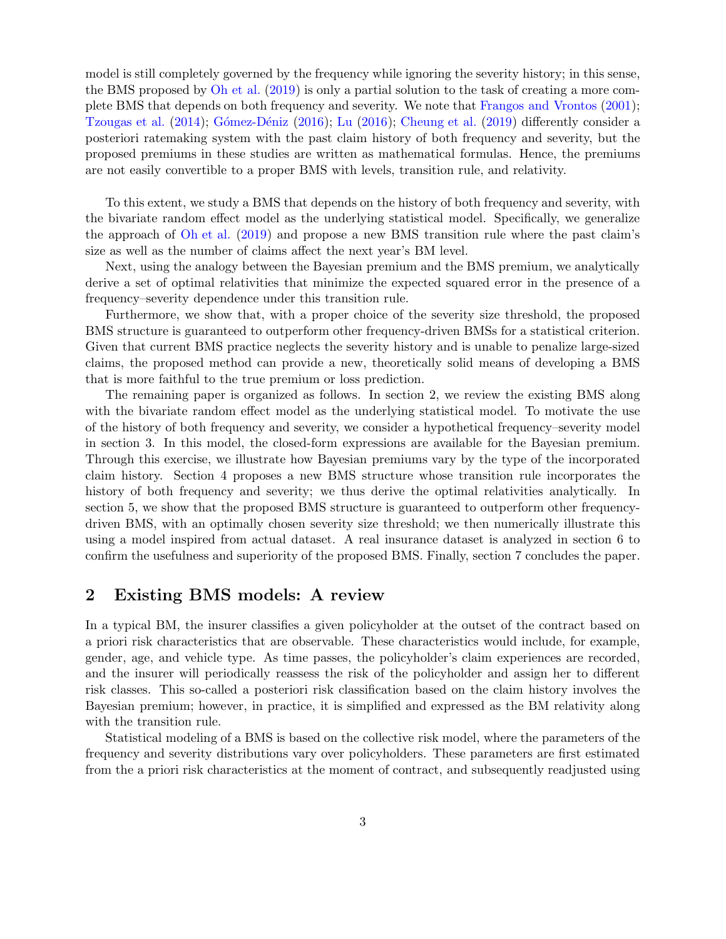model is still completely governed by the frequency while ignoring the severity history; in this sense, the BMS proposed by [Oh et al.](#page-26-0) [\(2019](#page-26-0)) is only a partial solution to the task of creating a more complete BMS that depends on both frequency and severity. We note that [Frangos and Vrontos](#page-25-6) [\(2001](#page-25-6)); [Tzougas et al.](#page-26-11) [\(2014](#page-26-11)); Gómez-Déniz [\(2016](#page-26-10)); [Lu](#page-26-10) (2016); [Cheung et al.](#page-25-5) [\(2019](#page-25-5)) differently consider a posteriori ratemaking system with the past claim history of both frequency and severity, but the proposed premiums in these studies are written as mathematical formulas. Hence, the premiums are not easily convertible to a proper BMS with levels, transition rule, and relativity.

To this extent, we study a BMS that depends on the history of both frequency and severity, with the bivariate random effect model as the underlying statistical model. Specifically, we generalize the approach of [Oh et al.](#page-26-0) [\(2019](#page-26-0)) and propose a new BMS transition rule where the past claim's size as well as the number of claims affect the next year's BM level.

Next, using the analogy between the Bayesian premium and the BMS premium, we analytically derive a set of optimal relativities that minimize the expected squared error in the presence of a frequency–severity dependence under this transition rule.

Furthermore, we show that, with a proper choice of the severity size threshold, the proposed BMS structure is guaranteed to outperform other frequency-driven BMSs for a statistical criterion. Given that current BMS practice neglects the severity history and is unable to penalize large-sized claims, the proposed method can provide a new, theoretically solid means of developing a BMS that is more faithful to the true premium or loss prediction.

The remaining paper is organized as follows. In section 2, we review the existing BMS along with the bivariate random effect model as the underlying statistical model. To motivate the use of the history of both frequency and severity, we consider a hypothetical frequency–severity model in section 3. In this model, the closed-form expressions are available for the Bayesian premium. Through this exercise, we illustrate how Bayesian premiums vary by the type of the incorporated claim history. Section 4 proposes a new BMS structure whose transition rule incorporates the history of both frequency and severity; we thus derive the optimal relativities analytically. In section 5, we show that the proposed BMS structure is guaranteed to outperform other frequencydriven BMS, with an optimally chosen severity size threshold; we then numerically illustrate this using a model inspired from actual dataset. A real insurance dataset is analyzed in section 6 to confirm the usefulness and superiority of the proposed BMS. Finally, section 7 concludes the paper.

## 2 Existing BMS models: A review

In a typical BM, the insurer classifies a given policyholder at the outset of the contract based on a priori risk characteristics that are observable. These characteristics would include, for example, gender, age, and vehicle type. As time passes, the policyholder's claim experiences are recorded, and the insurer will periodically reassess the risk of the policyholder and assign her to different risk classes. This so-called a posteriori risk classification based on the claim history involves the Bayesian premium; however, in practice, it is simplified and expressed as the BM relativity along with the transition rule.

Statistical modeling of a BMS is based on the collective risk model, where the parameters of the frequency and severity distributions vary over policyholders. These parameters are first estimated from the a priori risk characteristics at the moment of contract, and subsequently readjusted using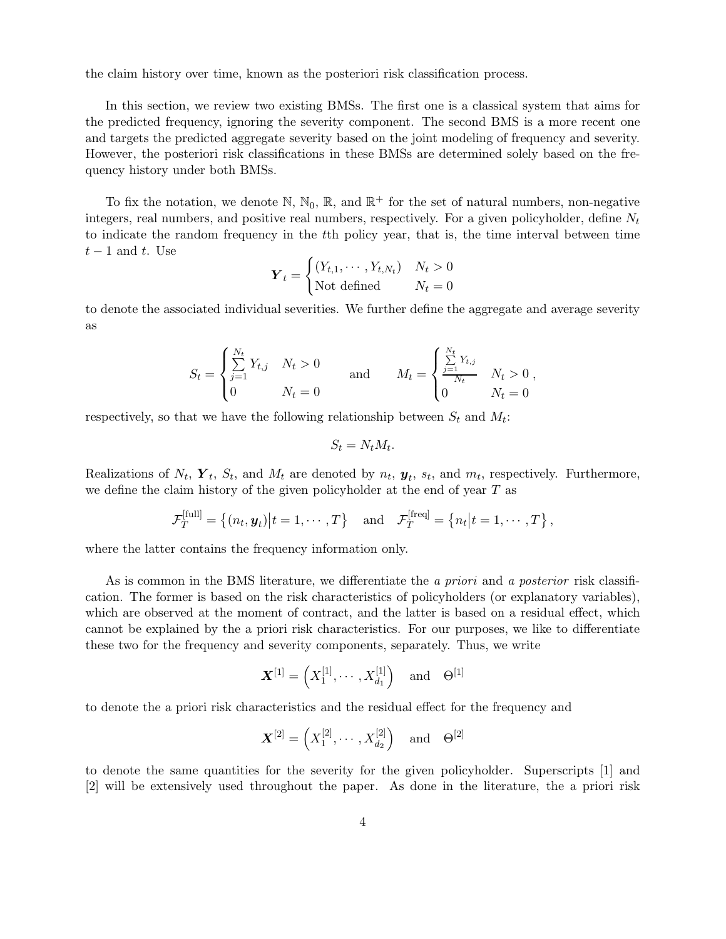the claim history over time, known as the posteriori risk classification process.

In this section, we review two existing BMSs. The first one is a classical system that aims for the predicted frequency, ignoring the severity component. The second BMS is a more recent one and targets the predicted aggregate severity based on the joint modeling of frequency and severity. However, the posteriori risk classifications in these BMSs are determined solely based on the frequency history under both BMSs.

To fix the notation, we denote  $\mathbb{N}, \mathbb{N}_0, \mathbb{R}$ , and  $\mathbb{R}^+$  for the set of natural numbers, non-negative integers, real numbers, and positive real numbers, respectively. For a given policyholder, define  $N_t$ to indicate the random frequency in the tth policy year, that is, the time interval between time  $t-1$  and t. Use

$$
\boldsymbol{Y}_t = \begin{cases} (Y_{t,1}, \cdots, Y_{t,N_t}) & N_t > 0\\ \text{Not defined} & N_t = 0 \end{cases}
$$

to denote the associated individual severities. We further define the aggregate and average severity as

$$
S_t = \begin{cases} \sum_{j=1}^{N_t} Y_{t,j} & N_t > 0 \\ 0 & N_t = 0 \end{cases} \quad \text{and} \quad M_t = \begin{cases} \sum_{j=1}^{N_t} Y_{t,j} & N_t > 0 \\ 0 & N_t = 0 \end{cases}
$$

respectively, so that we have the following relationship between  $S_t$  and  $M_t$ :

$$
S_t = N_t M_t.
$$

Realizations of  $N_t$ ,  $\boldsymbol{Y}_t$ ,  $S_t$ , and  $M_t$  are denoted by  $n_t$ ,  $\boldsymbol{y}_t$ ,  $s_t$ , and  $m_t$ , respectively. Furthermore, we define the claim history of the given policyholder at the end of year  $T$  as

$$
\mathcal{F}_T^{[\text{full}]} = \{(n_t, \boldsymbol{y}_t) | t = 1, \cdots, T\} \quad \text{and} \quad \mathcal{F}_T^{[\text{freq}]} = \{n_t | t = 1, \cdots, T\},
$$

where the latter contains the frequency information only.

As is common in the BMS literature, we differentiate the a priori and a posterior risk classification. The former is based on the risk characteristics of policyholders (or explanatory variables), which are observed at the moment of contract, and the latter is based on a residual effect, which cannot be explained by the a priori risk characteristics. For our purposes, we like to differentiate these two for the frequency and severity components, separately. Thus, we write

$$
\boldsymbol{X}^{[1]} = \left( X_1^{[1]}, \cdots, X_{d_1}^{[1]} \right) \quad \text{and} \quad \Theta^{[1]}
$$

to denote the a priori risk characteristics and the residual effect for the frequency and

$$
\mathbf{X}^{[2]} = \left( X_1^{[2]}, \cdots, X_{d_2}^{[2]} \right) \quad \text{and} \quad \Theta^{[2]}
$$

to denote the same quantities for the severity for the given policyholder. Superscripts [1] and [2] will be extensively used throughout the paper. As done in the literature, the a priori risk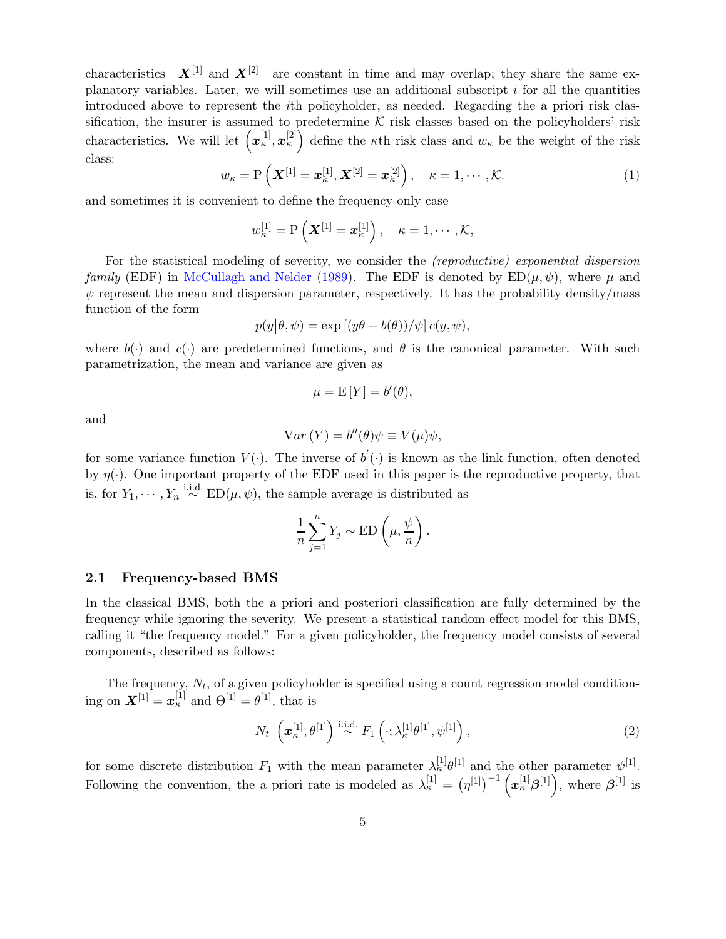characteristics— $X^{[1]}$  and  $X^{[2]}$ —are constant in time and may overlap; they share the same explanatory variables. Later, we will sometimes use an additional subscript  $i$  for all the quantities introduced above to represent the ith policyholder, as needed. Regarding the a priori risk classification, the insurer is assumed to predetermine  $K$  risk classes based on the policyholders' risk characteristics. We will let  $(x_\kappa^{[1]},x_\kappa^{[2]})$  define the  $\kappa$ th risk class and  $w_\kappa$  be the weight of the risk class:

$$
w_{\kappa} = \mathcal{P}\left(\boldsymbol{X}^{[1]} = \boldsymbol{x}_{\kappa}^{[1]}, \boldsymbol{X}^{[2]} = \boldsymbol{x}_{\kappa}^{[2]}\right), \quad \kappa = 1, \cdots, \mathcal{K}.
$$
 (1)

and sometimes it is convenient to define the frequency-only case

$$
w_{\kappa}^{[1]} = P\left(\boldsymbol{X}^{[1]} = \boldsymbol{x}_{\kappa}^{[1]}\right), \quad \kappa = 1, \cdots, \mathcal{K},
$$

For the statistical modeling of severity, we consider the (reproductive) exponential dispersion family (EDF) in [McCullagh and Nelder](#page-26-13) [\(1989](#page-26-13)). The EDF is denoted by  $ED(\mu, \psi)$ , where  $\mu$  and  $\psi$  represent the mean and dispersion parameter, respectively. It has the probability density/mass function of the form

$$
p(y|\theta, \psi) = \exp\left[(y\theta - b(\theta))/\psi\right]c(y, \psi),
$$

where  $b(\cdot)$  and  $c(\cdot)$  are predetermined functions, and  $\theta$  is the canonical parameter. With such parametrization, the mean and variance are given as

$$
\mu = \mathbf{E}\left[Y\right] = b'(\theta),
$$

and

$$
Var(Y) = b''(\theta)\psi \equiv V(\mu)\psi,
$$

for some variance function  $V(\cdot)$ . The inverse of  $b'(\cdot)$  is known as the link function, often denoted by  $\eta(\cdot)$ . One important property of the EDF used in this paper is the reproductive property, that is, for  $Y_1, \dots, Y_n \stackrel{\text{i.i.d.}}{\sim} \text{ED}(\mu, \psi)$ , the sample average is distributed as

$$
\frac{1}{n}\sum_{j=1}^{n}Y_j \sim \text{ED}\left(\mu, \frac{\psi}{n}\right).
$$

### <span id="page-4-0"></span>2.1 Frequency-based BMS

In the classical BMS, both the a priori and posteriori classification are fully determined by the frequency while ignoring the severity. We present a statistical random effect model for this BMS, calling it "the frequency model." For a given policyholder, the frequency model consists of several components, described as follows:

The frequency,  $N_t$ , of a given policyholder is specified using a count regression model conditioning on  $\mathbf{X}^{[1]} = \mathbf{x}_{\kappa}^{[1]}$  and  $\Theta^{[1]} = \theta^{[1]}$ , that is

$$
N_t \big| \left( \boldsymbol{x}_{\kappa}^{[1]}, \theta^{[1]} \right) \stackrel{\text{i.i.d.}}{\sim} F_1 \left( \cdot; \lambda_{\kappa}^{[1]} \theta^{[1]}, \psi^{[1]} \right), \tag{2}
$$

for some discrete distribution  $F_1$  with the mean parameter  $\lambda_k^{[1]} \theta^{[1]}$  and the other parameter  $\psi^{[1]}$ . Following the convention, the a priori rate is modeled as  $\lambda_{\kappa}^{[1]} = (\eta^{[1]})^{-1} (\mathbf{x}_{\kappa}^{[1]} \boldsymbol{\beta}^{[1]}),$  where  $\boldsymbol{\beta}^{[1]}$  is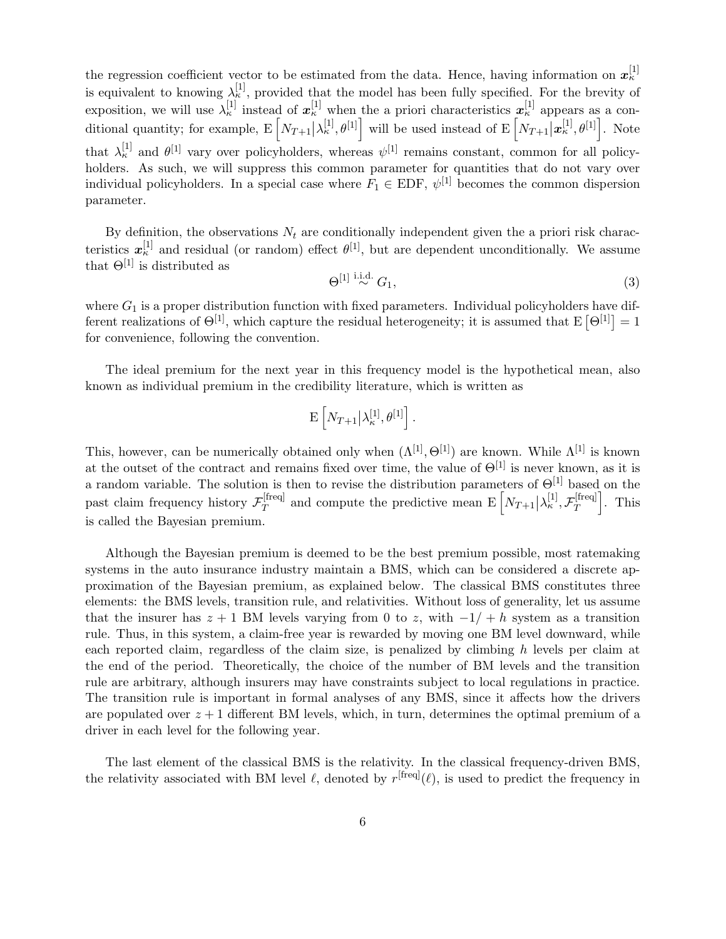the regression coefficient vector to be estimated from the data. Hence, having information on  $x_{\kappa}^{[1]}$ is equivalent to knowing  $\lambda_{\kappa}^{[1]}$ , provided that the model has been fully specified. For the brevity of exposition, we will use  $\lambda_k^{[1]}$  instead of  $x_k^{[1]}$  when the a priori characteristics  $x_k^{[1]}$  appears as a conditional quantity; for example,  $E\left[N_{T+1}|\lambda_{\kappa}^{[1]},\theta^{[1]}\right]$  will be used instead of  $E\left[N_{T+1}|\boldsymbol{x}_{\kappa}^{[1]},\theta^{[1]}\right]$ . Note that  $\lambda_k^{[1]}$  and  $\theta^{[1]}$  vary over policyholders, whereas  $\psi^{[1]}$  remains constant, common for all policyholders. As such, we will suppress this common parameter for quantities that do not vary over individual policyholders. In a special case where  $F_1 \in EDF$ ,  $\psi^{[1]}$  becomes the common dispersion parameter.

By definition, the observations  $N_t$  are conditionally independent given the a priori risk characteristics  $x_{\kappa}^{[1]}$  and residual (or random) effect  $\theta^{[1]}$ , but are dependent unconditionally. We assume that  $\Theta^{[1]}$  is distributed as

$$
\Theta^{[1]}\stackrel{\text{i.i.d.}}{\sim}G_1,\tag{3}
$$

where  $G_1$  is a proper distribution function with fixed parameters. Individual policyholders have different realizations of  $\Theta^{[1]}$ , which capture the residual heterogeneity; it is assumed that  $E[\Theta^{[1]}] = 1$ for convenience, following the convention.

The ideal premium for the next year in this frequency model is the hypothetical mean, also known as individual premium in the credibility literature, which is written as

$$
\mathbf{E}\left[N_{T+1}\big|\lambda_{\kappa}^{[1]},\theta^{[1]}\right].
$$

This, however, can be numerically obtained only when  $(\Lambda^{[1]}, \Theta^{[1]})$  are known. While  $\Lambda^{[1]}$  is known at the outset of the contract and remains fixed over time, the value of  $\Theta^{[1]}$  is never known, as it is a random variable. The solution is then to revise the distribution parameters of  $\Theta^{[1]}$  based on the past claim frequency history  $\mathcal{F}_T^{\text{[freq]}}$ [freq] and compute the predictive mean  $E\left[N_{T+1}|\lambda_{\kappa}^{[1]},\mathcal{F}_{T}^{[\text{freq}]} \right]$  $T^{[freq]}$ . This is called the Bayesian premium.

Although the Bayesian premium is deemed to be the best premium possible, most ratemaking systems in the auto insurance industry maintain a BMS, which can be considered a discrete approximation of the Bayesian premium, as explained below. The classical BMS constitutes three elements: the BMS levels, transition rule, and relativities. Without loss of generality, let us assume that the insurer has  $z + 1$  BM levels varying from 0 to z, with  $-1/ + h$  system as a transition rule. Thus, in this system, a claim-free year is rewarded by moving one BM level downward, while each reported claim, regardless of the claim size, is penalized by climbing h levels per claim at the end of the period. Theoretically, the choice of the number of BM levels and the transition rule are arbitrary, although insurers may have constraints subject to local regulations in practice. The transition rule is important in formal analyses of any BMS, since it affects how the drivers are populated over  $z + 1$  different BM levels, which, in turn, determines the optimal premium of a driver in each level for the following year.

The last element of the classical BMS is the relativity. In the classical frequency-driven BMS, the relativity associated with BM level  $\ell$ , denoted by  $r^{[freq]}(\ell)$ , is used to predict the frequency in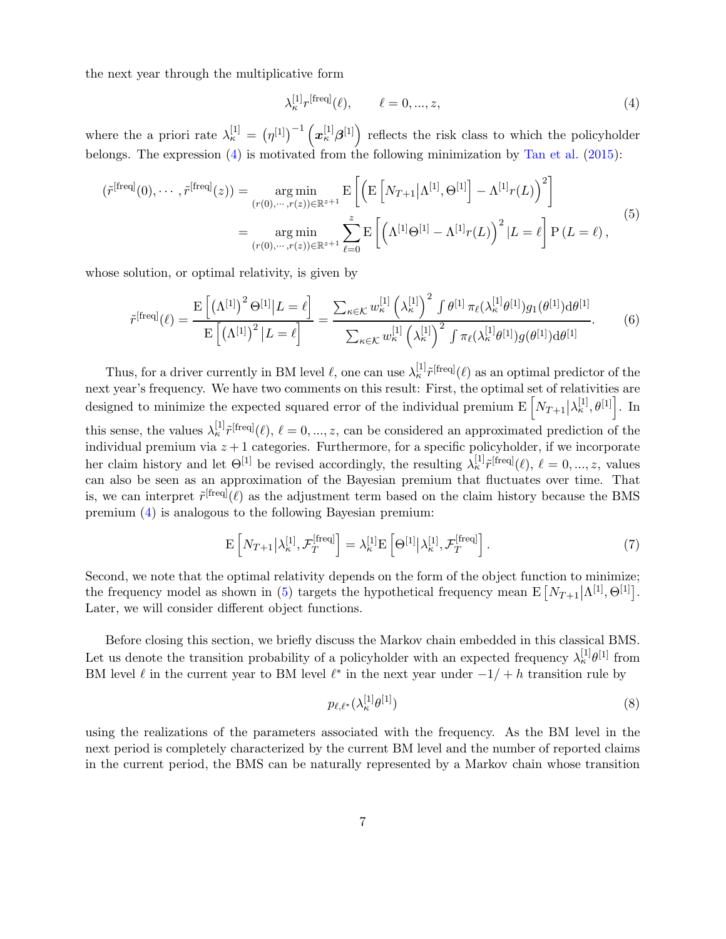the next year through the multiplicative form

<span id="page-6-1"></span><span id="page-6-0"></span>
$$
\lambda_{\kappa}^{[1]} r^{\text{[freq]}}(\ell), \qquad \ell = 0, \ldots, z,
$$
\n
$$
(4)
$$

where the a priori rate  $\lambda_{\kappa}^{[1]} = (\eta^{[1]})^{-1} (\boldsymbol{x}_{\kappa}^{[1]} \boldsymbol{\beta}^{[1]})$  reflects the risk class to which the policyholder belongs. The expression  $(4)$  is motivated from the following minimization by [Tan et al.](#page-26-2)  $(2015)$  $(2015)$ :

$$
\begin{split} (\tilde{r}^{[\text{freq}]}(0), \cdots, \tilde{r}^{[\text{freq}]}(z)) &= \operatorname*{arg\,min}_{(r(0), \cdots, r(z)) \in \mathbb{R}^{z+1}} \mathrm{E}\left[\left(\mathrm{E}\left[N_{T+1}|\Lambda^{[1]}, \Theta^{[1]}\right] - \Lambda^{[1]}r(L)\right)^{2}\right] \\ &= \operatorname*{arg\,min}_{(r(0), \cdots, r(z)) \in \mathbb{R}^{z+1}} \sum_{\ell=0}^{z} \mathrm{E}\left[\left(\Lambda^{[1]} \Theta^{[1]} - \Lambda^{[1]}r(L)\right)^{2}|L=\ell\right] \mathrm{P}\left(L=\ell\right), \end{split} \tag{5}
$$

whose solution, or optimal relativity, is given by

$$
\tilde{r}^{[\text{freq}]}(\ell) = \frac{\mathrm{E}\left[\left(\Lambda^{[1]}\right)^2 \Theta^{[1]} | L = \ell\right]}{\mathrm{E}\left[\left(\Lambda^{[1]}\right)^2 | L = \ell\right]} = \frac{\sum_{\kappa \in \mathcal{K}} w_{\kappa}^{[1]} \left(\lambda_{\kappa}^{[1]}\right)^2 \int \theta^{[1]} \pi_{\ell}(\lambda_{\kappa}^{[1]} \theta^{[1]}) g_1(\theta^{[1]}) \mathrm{d}\theta^{[1]}}{\sum_{\kappa \in \mathcal{K}} w_{\kappa}^{[1]} \left(\lambda_{\kappa}^{[1]}\right)^2 \int \pi_{\ell}(\lambda_{\kappa}^{[1]} \theta^{[1]}) g(\theta^{[1]}) \mathrm{d}\theta^{[1]}}.
$$
\n(6)

Thus, for a driver currently in BM level  $\ell$ , one can use  $\lambda_k^{[1]} \tilde{r}^{[freq]}(\ell)$  as an optimal predictor of the next year's frequency. We have two comments on this result: First, the optimal set of relativities are designed to minimize the expected squared error of the individual premium  $\mathbf{E}\left[N_{T+1}|\lambda_{\kappa}^{[1]},\theta^{[1]}\right]$ . In this sense, the values  $\lambda_k^{[1]} \tilde{r}^{[freq]}(\ell), \ell = 0, ..., z$ , can be considered an approximated prediction of the individual premium via  $z + 1$  categories. Furthermore, for a specific policyholder, if we incorporate her claim history and let  $\Theta^{[1]}$  be revised accordingly, the resulting  $\lambda_{\kappa}^{[1]} \tilde{r}^{[\text{freq}]}(\ell), \ell = 0, ..., z$ , values can also be seen as an approximation of the Bayesian premium that fluctuates over time. That is, we can interpret  $\tilde{r}^{\text{[freq]}}(\ell)$  as the adjustment term based on the claim history because the BMS premium [\(4\)](#page-6-0) is analogous to the following Bayesian premium:

$$
\mathcal{E}\left[N_{T+1}\middle|\lambda_{\kappa}^{[1]},\mathcal{F}_{T}^{[\text{freq}]} \right] = \lambda_{\kappa}^{[1]}\mathcal{E}\left[\Theta^{[1]}\middle|\lambda_{\kappa}^{[1]},\mathcal{F}_{T}^{[\text{freq}]} \right].\tag{7}
$$

Second, we note that the optimal relativity depends on the form of the object function to minimize; the frequency model as shown in [\(5\)](#page-6-1) targets the hypothetical frequency mean  $E[N_{T+1}|\Lambda^{[1]},\Theta^{[1]}]$ . Later, we will consider different object functions.

Before closing this section, we briefly discuss the Markov chain embedded in this classical BMS. Let us denote the transition probability of a policyholder with an expected frequency  $\lambda_{\kappa}^{[1]}\theta^{[1]}$  from BM level  $\ell$  in the current year to BM level  $\ell^*$  in the next year under  $-1/ + h$  transition rule by

<span id="page-6-2"></span>
$$
p_{\ell,\ell^*}(\lambda^{[1]}_{\kappa}\theta^{[1]})\tag{8}
$$

using the realizations of the parameters associated with the frequency. As the BM level in the next period is completely characterized by the current BM level and the number of reported claims in the current period, the BMS can be naturally represented by a Markov chain whose transition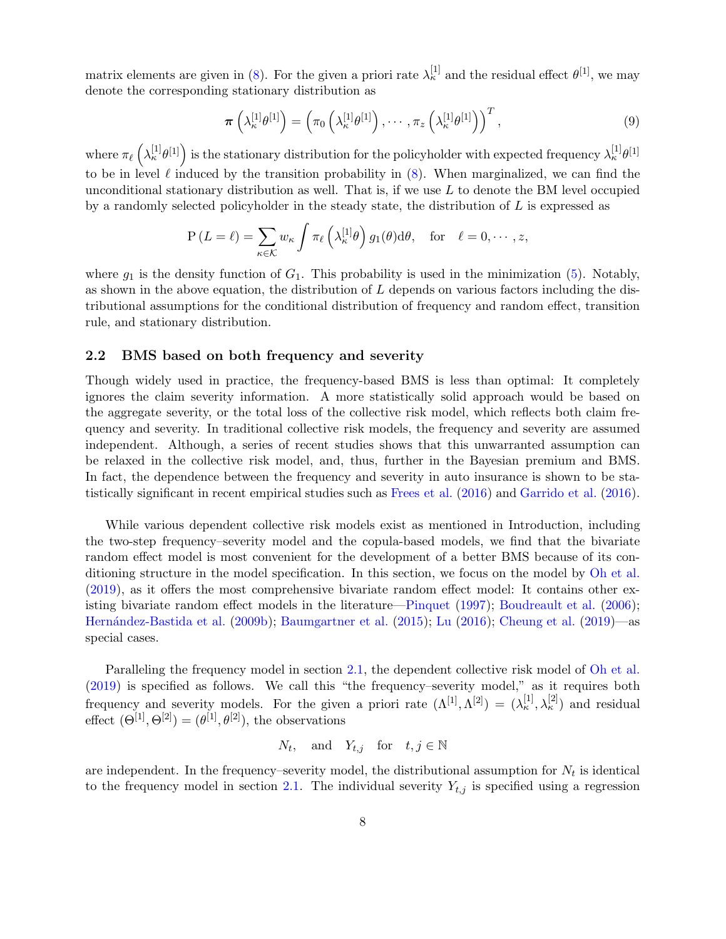matrix elements are given in [\(8\)](#page-6-2). For the given a priori rate  $\lambda_{\kappa}^{[1]}$  and the residual effect  $\theta^{[1]}$ , we may denote the corresponding stationary distribution as

<span id="page-7-0"></span>
$$
\boldsymbol{\pi}\left(\lambda_{\kappa}^{[1]}\theta^{[1]}\right) = \left(\pi_0\left(\lambda_{\kappa}^{[1]}\theta^{[1]}\right), \cdots, \pi_z\left(\lambda_{\kappa}^{[1]}\theta^{[1]}\right)\right)^T,\tag{9}
$$

where  $\pi_{\ell}(\lambda_{\kappa}^{[1]}\theta^{[1]})$  is the stationary distribution for the policyholder with expected frequency  $\lambda_{\kappa}^{[1]}\theta^{[1]}$ to be in level  $\ell$  induced by the transition probability in  $(8)$ . When marginalized, we can find the unconditional stationary distribution as well. That is, if we use  $L$  to denote the BM level occupied by a randomly selected policyholder in the steady state, the distribution of  $L$  is expressed as

$$
P(L = \ell) = \sum_{\kappa \in \mathcal{K}} w_{\kappa} \int \pi_{\ell} \left(\lambda_{\kappa}^{[1]} \theta\right) g_1(\theta) d\theta, \text{ for } \ell = 0, \cdots, z,
$$

where  $g_1$  is the density function of  $G_1$ . This probability is used in the minimization [\(5\)](#page-6-1). Notably, as shown in the above equation, the distribution of  $L$  depends on various factors including the distributional assumptions for the conditional distribution of frequency and random effect, transition rule, and stationary distribution.

#### <span id="page-7-1"></span>2.2 BMS based on both frequency and severity

Though widely used in practice, the frequency-based BMS is less than optimal: It completely ignores the claim severity information. A more statistically solid approach would be based on the aggregate severity, or the total loss of the collective risk model, which reflects both claim frequency and severity. In traditional collective risk models, the frequency and severity are assumed independent. Although, a series of recent studies shows that this unwarranted assumption can be relaxed in the collective risk model, and, thus, further in the Bayesian premium and BMS. In fact, the dependence between the frequency and severity in auto insurance is shown to be statistically significant in recent empirical studies such as [Frees et al.](#page-26-4) [\(2016](#page-26-4)) and [Garrido et al.](#page-26-5) [\(2016](#page-26-5)).

While various dependent collective risk models exist as mentioned in Introduction, including the two-step frequency–severity model and the copula-based models, we find that the bivariate random effect model is most convenient for the development of a better BMS because of its conditioning structure in the model specification. In this section, we focus on the model by [Oh et al.](#page-26-0) [\(2019](#page-26-0)), as it offers the most comprehensive bivariate random effect model: It contains other existing bivariate random effect models in the literature[—Pinquet](#page-26-8) [\(1997](#page-26-8)); [Boudreault et al.](#page-25-3) [\(2006](#page-25-3)); [Hern´andez-Bastida et al.](#page-26-9) [\(2009b](#page-26-9)); [Baumgartner et al.](#page-25-4) [\(2015](#page-25-4)); [Lu](#page-26-10) [\(2016](#page-26-10)); [Cheung et al.](#page-25-5) [\(2019](#page-25-5))—as special cases.

Paralleling the frequency model in section [2.1,](#page-4-0) the dependent collective risk model of [Oh et al.](#page-26-0) [\(2019](#page-26-0)) is specified as follows. We call this "the frequency–severity model," as it requires both frequency and severity models. For the given a priori rate  $(\Lambda^{[1]}, \Lambda^{[2]}) = (\lambda^{[1]}_{\kappa}, \lambda^{[2]}_{\kappa})$  and residual effect  $(\Theta^{[1]}, \Theta^{[2]}) = (\theta^{[1]}, \theta^{[2]})$ , the observations

$$
N_t, \quad \text{and} \quad Y_{t,j} \quad \text{for} \quad t, j \in \mathbb{N}
$$

are independent. In the frequency-severity model, the distributional assumption for  $N_t$  is identical to the frequency model in section [2.1.](#page-4-0) The individual severity  $Y_{t,j}$  is specified using a regression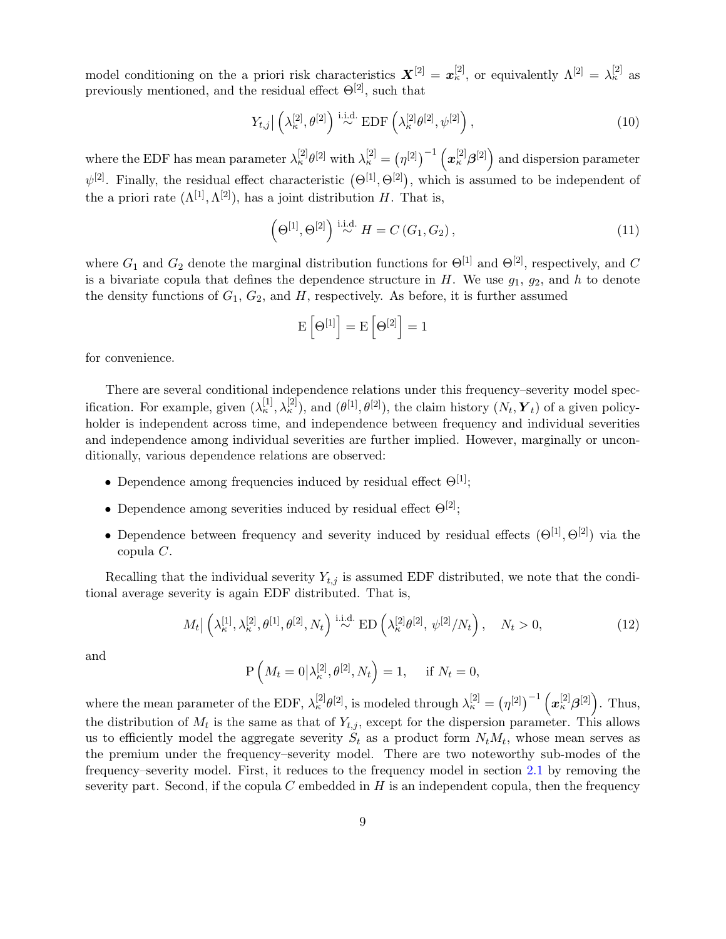model conditioning on the a priori risk characteristics  $X^{[2]} = x^{[2]}_{\kappa}$ , or equivalently  $\Lambda^{[2]} = \lambda^{[2]}_{\kappa}$  as previously mentioned, and the residual effect  $\Theta^{[2]}$ , such that

$$
Y_{t,j} | \left( \lambda_{\kappa}^{[2]}, \theta^{[2]} \right) \stackrel{\text{i.i.d.}}{\sim} \text{EDF}\left( \lambda_{\kappa}^{[2]} \theta^{[2]}, \psi^{[2]} \right), \tag{10}
$$

where the EDF has mean parameter  $\lambda_{\kappa}^{[2]}\theta^{[2]}$  with  $\lambda_{\kappa}^{[2]} = (\eta^{[2]})^{-1} \left( \mathbf{x}_{\kappa}^{[2]}\beta^{[2]} \right)$  and dispersion parameter  $\psi^{[2]}$ . Finally, the residual effect characteristic  $(\Theta^{[1]}, \Theta^{[2]})$ , which is assumed to be independent of the a priori rate  $(\Lambda^{[1]}, \Lambda^{[2]})$ , has a joint distribution H. That is,

<span id="page-8-0"></span>
$$
\left(\Theta^{[1]},\Theta^{[2]}\right) \stackrel{\text{i.i.d.}}{\sim} H = C\left(G_1, G_2\right),\tag{11}
$$

where  $G_1$  and  $G_2$  denote the marginal distribution functions for  $\Theta^{[1]}$  and  $\Theta^{[2]}$ , respectively, and C is a bivariate copula that defines the dependence structure in  $H$ . We use  $g_1, g_2$ , and  $h$  to denote the density functions of  $G_1, G_2$ , and  $H$ , respectively. As before, it is further assumed

$$
E\left[\Theta^{[1]}\right]=E\left[\Theta^{[2]}\right]=1
$$

for convenience.

There are several conditional independence relations under this frequency–severity model specification. For example, given  $(\lambda^{[1]}_{\kappa}, \lambda^{[2]}_{\kappa})$ , and  $(\theta^{[1]}, \theta^{[2]})$ , the claim history  $(N_t, Y_t)$  of a given policyholder is independent across time, and independence between frequency and individual severities and independence among individual severities are further implied. However, marginally or unconditionally, various dependence relations are observed:

- Dependence among frequencies induced by residual effect  $\Theta^{[1]}$ ;
- Dependence among severities induced by residual effect  $\Theta^{[2]}$ ;
- Dependence between frequency and severity induced by residual effects  $(\Theta^{[1]}, \Theta^{[2]})$  via the copula C.

Recalling that the individual severity  $Y_{t,j}$  is assumed EDF distributed, we note that the conditional average severity is again EDF distributed. That is,

$$
M_t | \left( \lambda_{\kappa}^{[1]}, \lambda_{\kappa}^{[2]}, \theta^{[1]}, \theta^{[2]}, N_t \right) \stackrel{\text{i.i.d.}}{\sim} \text{ED} \left( \lambda_{\kappa}^{[2]} \theta^{[2]}, \psi^{[2]} / N_t \right), \quad N_t > 0,
$$
\n(12)

and

$$
\mathrm{P}\left(M_t=0\big|\lambda_{\kappa}^{[2]},\theta^{[2]},N_t\right)=1,\quad \text{ if } N_t=0,
$$

where the mean parameter of the EDF,  $\lambda_{\kappa}^{[2]}\theta^{[2]}$ , is modeled through  $\lambda_{\kappa}^{[2]} = (\eta^{[2]})^{-1} (\boldsymbol{x}_{\kappa}^{[2]}\boldsymbol{\beta}^{[2]})$ . Thus, the distribution of  $M_t$  is the same as that of  $Y_{t,j}$ , except for the dispersion parameter. This allows us to efficiently model the aggregate severity  $S_t$  as a product form  $N_tM_t$ , whose mean serves as the premium under the frequency–severity model. There are two noteworthy sub-modes of the frequency–severity model. First, it reduces to the frequency model in section [2.1](#page-4-0) by removing the severity part. Second, if the copula  $C$  embedded in  $H$  is an independent copula, then the frequency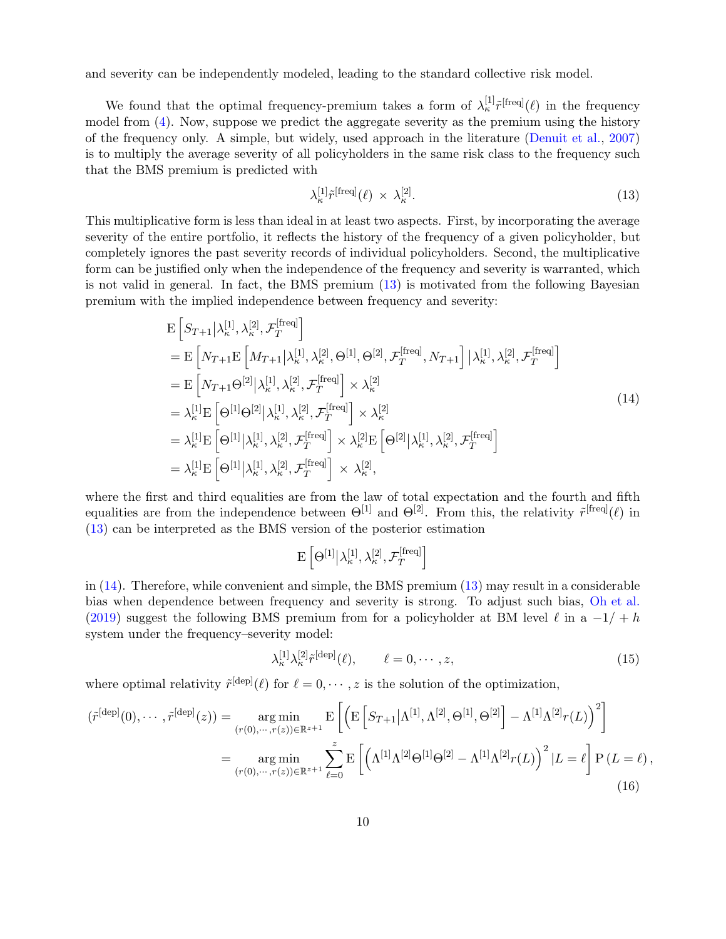and severity can be independently modeled, leading to the standard collective risk model.

We found that the optimal frequency-premium takes a form of  $\lambda_{\kappa}^{[1]} \tilde{r}^{[\text{freq}]}(\ell)$  in the frequency model from [\(4\)](#page-6-0). Now, suppose we predict the aggregate severity as the premium using the history of the frequency only. A simple, but widely, used approach in the literature [\(Denuit et al.,](#page-25-0) [2007\)](#page-25-0) is to multiply the average severity of all policyholders in the same risk class to the frequency such that the BMS premium is predicted with

<span id="page-9-1"></span><span id="page-9-0"></span>
$$
\lambda_{\kappa}^{[1]}\tilde{r}^{\text{[freq]}}(\ell) \times \lambda_{\kappa}^{[2]}.
$$
\n(13)

This multiplicative form is less than ideal in at least two aspects. First, by incorporating the average severity of the entire portfolio, it reflects the history of the frequency of a given policyholder, but completely ignores the past severity records of individual policyholders. Second, the multiplicative form can be justified only when the independence of the frequency and severity is warranted, which is not valid in general. In fact, the BMS premium [\(13\)](#page-9-0) is motivated from the following Bayesian premium with the implied independence between frequency and severity:

$$
\begin{split}\n& \mathbf{E}\left[S_{T+1}\middle|\lambda_{\kappa}^{[1]},\lambda_{\kappa}^{[2]},\mathcal{F}_{T}^{[\text{freq}]}\right] \\
&= \mathbf{E}\left[N_{T+1}\mathbf{E}\left[M_{T+1}\middle|\lambda_{\kappa}^{[1]},\lambda_{\kappa}^{[2]},\Theta^{[1]},\Theta^{[2]},\mathcal{F}_{T}^{[\text{freq}]},N_{T+1}\right]\middle|\lambda_{\kappa}^{[1]},\lambda_{\kappa}^{[2]},\mathcal{F}_{T}^{[\text{freq}]}\right] \\
&= \mathbf{E}\left[N_{T+1}\Theta^{[2]}\middle|\lambda_{\kappa}^{[1]},\lambda_{\kappa}^{[2]},\mathcal{F}_{T}^{[\text{freq}]}\right] \times \lambda_{\kappa}^{[2]} \\
&= \lambda_{\kappa}^{[1]}\mathbf{E}\left[\Theta^{[1]}\Theta^{[2]}\middle|\lambda_{\kappa}^{[1]},\lambda_{\kappa}^{[2]},\mathcal{F}_{T}^{[\text{freq}]}\right] \times \lambda_{\kappa}^{[2]} \\
&= \lambda_{\kappa}^{[1]}\mathbf{E}\left[\Theta^{[1]}\middle|\lambda_{\kappa}^{[1]},\lambda_{\kappa}^{[2]},\mathcal{F}_{T}^{[\text{freq}]}\right] \times \lambda_{\kappa}^{[2]}\mathbf{E}\left[\Theta^{[2]}\middle|\lambda_{\kappa}^{[1]},\lambda_{\kappa}^{[2]},\mathcal{F}_{T}^{[\text{freq}]}\right] \\
&= \lambda_{\kappa}^{[1]}\mathbf{E}\left[\Theta^{[1]}\middle|\lambda_{\kappa}^{[1]},\lambda_{\kappa}^{[2]},\mathcal{F}_{T}^{[\text{freq}]}\right] \times \lambda_{\kappa}^{[2]},\n\end{split}
$$
\n(14)

where the first and third equalities are from the law of total expectation and the fourth and fifth equalities are from the independence between  $\Theta^{[1]}$  and  $\Theta^{[2]}$ . From this, the relativity  $\tilde{r}^{[freq]}(\ell)$  in [\(13\)](#page-9-0) can be interpreted as the BMS version of the posterior estimation

$$
\mathrm{E}\left[\Theta^{[1]} \middle| \lambda_{\kappa}^{[1]}, \lambda_{\kappa}^{[2]}, \mathcal{F}_T^{[\mathrm{freq}]} \right]
$$

in [\(14\)](#page-9-1). Therefore, while convenient and simple, the BMS premium [\(13\)](#page-9-0) may result in a considerable bias when dependence between frequency and severity is strong. To adjust such bias, [Oh et al.](#page-26-0) [\(2019](#page-26-0)) suggest the following BMS premium from for a policyholder at BM level  $\ell$  in a  $-1/ + h$ system under the frequency–severity model:

<span id="page-9-3"></span><span id="page-9-2"></span>
$$
\lambda_{\kappa}^{[1]}\lambda_{\kappa}^{[2]}\tilde{r}^{[\text{dep}]}(\ell), \qquad \ell = 0, \cdots, z,
$$
\n(15)

where optimal relativity  $\tilde{r}^{[dep]}(\ell)$  for  $\ell = 0, \dots, z$  is the solution of the optimization,

$$
(\tilde{r}^{[\text{dep}]}(0),\cdots,\tilde{r}^{[\text{dep}]}(z)) = \underset{(r(0),\cdots,r(z)) \in \mathbb{R}^{z+1}}{\arg \min} E\left[\left(\mathbf{E}\left[S_{T+1}|\Lambda^{[1]},\Lambda^{[2]},\Theta^{[1]},\Theta^{[2]}\right] - \Lambda^{[1]}\Lambda^{[2]}r(L)\right)^{2}\right]
$$

$$
= \underset{(r(0),\cdots,r(z)) \in \mathbb{R}^{z+1}}{\arg \min} \sum_{\ell=0}^{z} E\left[\left(\Lambda^{[1]}\Lambda^{[2]}\Theta^{[1]}\Theta^{[2]} - \Lambda^{[1]}\Lambda^{[2]}r(L)\right)^{2}|L=\ell\right]P(L=\ell),\tag{16}
$$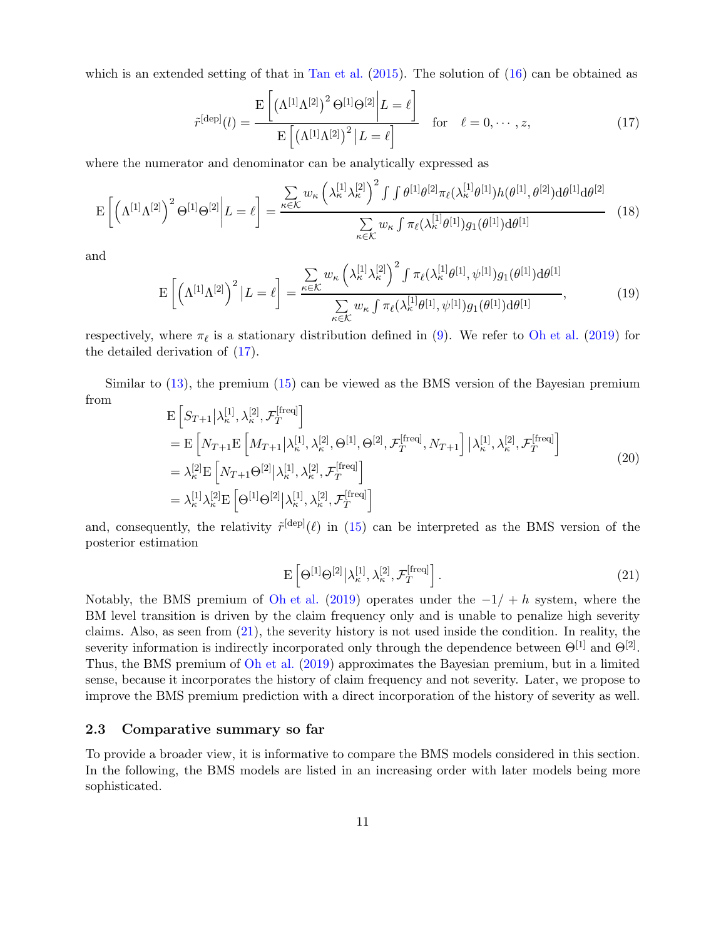which is an extended setting of that in [Tan et al.](#page-26-2) [\(2015](#page-26-2)). The solution of [\(16\)](#page-9-2) can be obtained as

<span id="page-10-2"></span><span id="page-10-0"></span> $\mathbf{r}$ 

$$
\tilde{r}^{\text{[dep]}}(l) = \frac{\mathrm{E}\left[\left(\Lambda^{[1]}\Lambda^{[2]}\right)^2 \Theta^{[1]}\Theta^{[2]}\bigg|L=\ell\right]}{\mathrm{E}\left[\left(\Lambda^{[1]}\Lambda^{[2]}\right)^2 |L=\ell\right]} \quad \text{for} \quad \ell = 0, \cdots, z,
$$
\n(17)

where the numerator and denominator can be analytically expressed as

$$
\mathcal{E}\left[\left(\Lambda^{[1]}\Lambda^{[2]}\right)^{2}\Theta^{[1]}\Theta^{[2]}\bigg|L=\ell\right]=\frac{\sum_{\kappa\in\mathcal{K}}w_{\kappa}\left(\lambda_{\kappa}^{[1]}\lambda_{\kappa}^{[2]}\right)^{2}\int\int\theta^{[1]}\theta^{[2]}\pi_{\ell}(\lambda_{\kappa}^{[1]}\theta^{[1]})h(\theta^{[1]},\theta^{[2]})d\theta^{[1]}d\theta^{[2]}}{\sum_{\kappa\in\mathcal{K}}w_{\kappa}\int\pi_{\ell}(\lambda_{\kappa}^{[1]}\theta^{[1]})g_{1}(\theta^{[1]})d\theta^{[1]}}\tag{18}
$$

and

$$
\mathcal{E}\left[\left(\Lambda^{[1]}\Lambda^{[2]}\right)^{2}|L=\ell\right]=\frac{\sum\limits_{\kappa\in\mathcal{K}}w_{\kappa}\left(\lambda_{\kappa}^{[1]}\lambda_{\kappa}^{[2]}\right)^{2}\int\pi_{\ell}(\lambda_{\kappa}^{[1]}\theta^{[1]},\psi^{[1]})g_{1}(\theta^{[1]})d\theta^{[1]}}{\sum\limits_{\kappa\in\mathcal{K}}w_{\kappa}\int\pi_{\ell}(\lambda_{\kappa}^{[1]}\theta^{[1]},\psi^{[1]})g_{1}(\theta^{[1]})d\theta^{[1]}},\tag{19}
$$

respectively, where  $\pi_{\ell}$  is a stationary distribution defined in [\(9\)](#page-7-0). We refer to [Oh et al.](#page-26-0) [\(2019](#page-26-0)) for the detailed derivation of [\(17\)](#page-10-0).

Similar to [\(13\)](#page-9-0), the premium [\(15\)](#page-9-3) can be viewed as the BMS version of the Bayesian premium from

$$
\begin{split}\n& \mathbf{E}\left[S_{T+1}\middle|\lambda_{\kappa}^{[1]},\lambda_{\kappa}^{[2]},\mathcal{F}_{T}^{[\text{freq}]}\right] \\
&= \mathbf{E}\left[N_{T+1}\mathbf{E}\left[M_{T+1}\middle|\lambda_{\kappa}^{[1]},\lambda_{\kappa}^{[2]},\Theta^{[1]},\Theta^{[2]},\mathcal{F}_{T}^{[\text{freq}]},N_{T+1}\right]\middle|\lambda_{\kappa}^{[1]},\lambda_{\kappa}^{[2]},\mathcal{F}_{T}^{[\text{freq}]}\right] \\
&= \lambda_{\kappa}^{[2]}\mathbf{E}\left[N_{T+1}\Theta^{[2]}\middle|\lambda_{\kappa}^{[1]},\lambda_{\kappa}^{[2]},\mathcal{F}_{T}^{[\text{freq}]}\right] \\
&= \lambda_{\kappa}^{[1]}\lambda_{\kappa}^{[2]}\mathbf{E}\left[\Theta^{[1]}\Theta^{[2]}\middle|\lambda_{\kappa}^{[1]},\lambda_{\kappa}^{[2]},\mathcal{F}_{T}^{[\text{freq}]}\right]\n\end{split} \tag{20}
$$

<span id="page-10-1"></span>and, consequently, the relativity  $\tilde{r}^{[dep]}(\ell)$  in [\(15\)](#page-9-3) can be interpreted as the BMS version of the posterior estimation

$$
\mathcal{E}\left[\Theta^{[1]}\Theta^{[2]}|\lambda_{\kappa}^{[1]},\lambda_{\kappa}^{[2]},\mathcal{F}_{T}^{[\text{freq}]}\right].\tag{21}
$$

Notably, the BMS premium of [Oh et al.](#page-26-0) [\(2019](#page-26-0)) operates under the  $-1/ + h$  system, where the BM level transition is driven by the claim frequency only and is unable to penalize high severity claims. Also, as seen from [\(21\)](#page-10-1), the severity history is not used inside the condition. In reality, the severity information is indirectly incorporated only through the dependence between  $\Theta^{[1]}$  and  $\Theta^{[2]}$ . Thus, the BMS premium of [Oh et al.](#page-26-0) [\(2019](#page-26-0)) approximates the Bayesian premium, but in a limited sense, because it incorporates the history of claim frequency and not severity. Later, we propose to improve the BMS premium prediction with a direct incorporation of the history of severity as well.

### 2.3 Comparative summary so far

To provide a broader view, it is informative to compare the BMS models considered in this section. In the following, the BMS models are listed in an increasing order with later models being more sophisticated.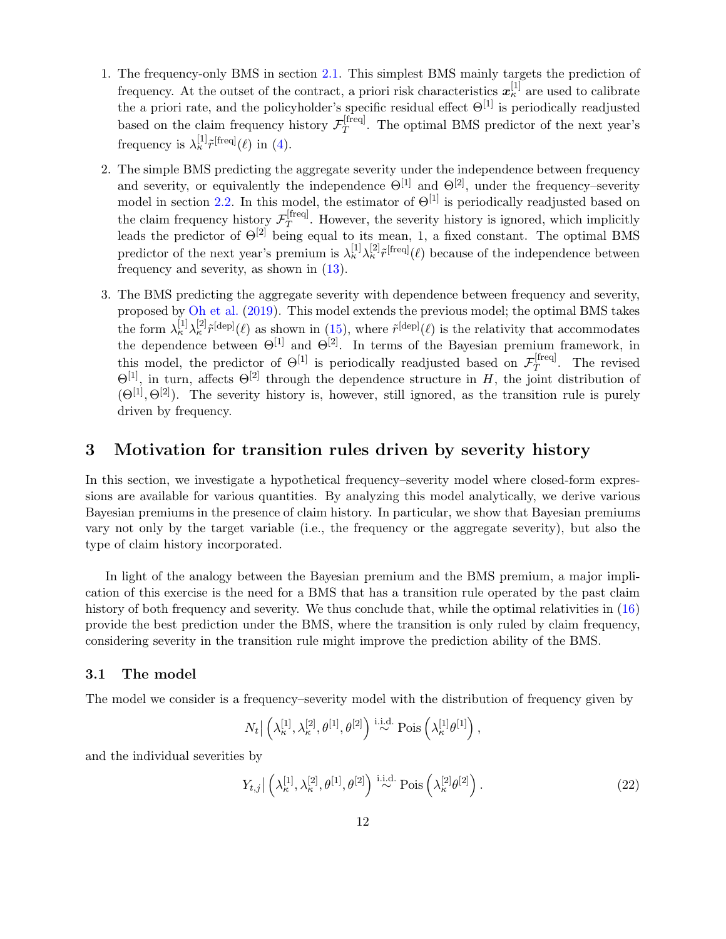- 1. The frequency-only BMS in section [2.1.](#page-4-0) This simplest BMS mainly targets the prediction of frequency. At the outset of the contract, a priori risk characteristics  $x_{\kappa}^{[1]}$  are used to calibrate the a priori rate, and the policyholder's specific residual effect  $\Theta^{[1]}$  is periodically readjusted based on the claim frequency history  $\mathcal{F}_T^{\text{[freq]}}$  $T$ <sup>[[[[[1]</sup>]. The optimal BMS predictor of the next year's frequency is  $\lambda_{\kappa}^{[1]} \tilde{r}^{[\text{freq}]}(\ell)$  in [\(4\)](#page-6-0).
- 2. The simple BMS predicting the aggregate severity under the independence between frequency and severity, or equivalently the independence  $\Theta^{[1]}$  and  $\Theta^{[2]}$ , under the frequency–severity model in section [2.2.](#page-7-1) In this model, the estimator of  $\Theta^{[1]}$  is periodically readjusted based on the claim frequency history  $\mathcal{F}_T^{\text{[freq]}}$  $T^{[Heq]}$ . However, the severity history is ignored, which implicitly leads the predictor of  $\Theta^{[2]}$  being equal to its mean, 1, a fixed constant. The optimal BMS predictor of the next year's premium is  $\lambda_{\kappa}^{[1]}\lambda_{\kappa}^{[2]}\tilde{r}^{[\text{freq}]}(\ell)$  because of the independence between frequency and severity, as shown in [\(13\)](#page-9-0).
- 3. The BMS predicting the aggregate severity with dependence between frequency and severity, proposed by [Oh et al.](#page-26-0) [\(2019](#page-26-0)). This model extends the previous model; the optimal BMS takes the form  $\lambda_{\kappa}^{[1]}\lambda_{\kappa}^{[2]}\tilde{r}^{[\text{dep}]}(\ell)$  as shown in [\(15\)](#page-9-3), where  $\tilde{r}^{[\text{dep}]}(\ell)$  is the relativity that accommodates the dependence between  $\Theta^{[1]}$  and  $\Theta^{[2]}$ . In terms of the Bayesian premium framework, in this model, the predictor of  $\Theta^{[1]}$  is periodically readjusted based on  $\mathcal{F}_T^{\text{[freq]}}$  $T$ <sup>T</sup>. The revised  $\Theta^{[1]}$ , in turn, affects  $\Theta^{[2]}$  through the dependence structure in H, the joint distribution of  $(\Theta^{[1]}, \Theta^{[2]})$ . The severity history is, however, still ignored, as the transition rule is purely driven by frequency.

## <span id="page-11-1"></span>3 Motivation for transition rules driven by severity history

In this section, we investigate a hypothetical frequency–severity model where closed-form expressions are available for various quantities. By analyzing this model analytically, we derive various Bayesian premiums in the presence of claim history. In particular, we show that Bayesian premiums vary not only by the target variable (i.e., the frequency or the aggregate severity), but also the type of claim history incorporated.

In light of the analogy between the Bayesian premium and the BMS premium, a major implication of this exercise is the need for a BMS that has a transition rule operated by the past claim history of both frequency and severity. We thus conclude that, while the optimal relativities in [\(16\)](#page-9-2) provide the best prediction under the BMS, where the transition is only ruled by claim frequency, considering severity in the transition rule might improve the prediction ability of the BMS.

### 3.1 The model

The model we consider is a frequency–severity model with the distribution of frequency given by

$$
N_t \big| \left( \lambda_{\kappa}^{[1]}, \lambda_{\kappa}^{[2]}, \theta^{[1]}, \theta^{[2]} \right) \stackrel{\text{i.i.d.}}{\sim} \text{Pois}\left( \lambda_{\kappa}^{[1]} \theta^{[1]} \right),
$$

and the individual severities by

<span id="page-11-0"></span>
$$
Y_{t,j} \left( \lambda_{\kappa}^{[1]}, \lambda_{\kappa}^{[2]}, \theta^{[1]}, \theta^{[2]} \right) \stackrel{\text{i.i.d.}}{\sim} \text{Pois}\left( \lambda_{\kappa}^{[2]} \theta^{[2]} \right). \tag{22}
$$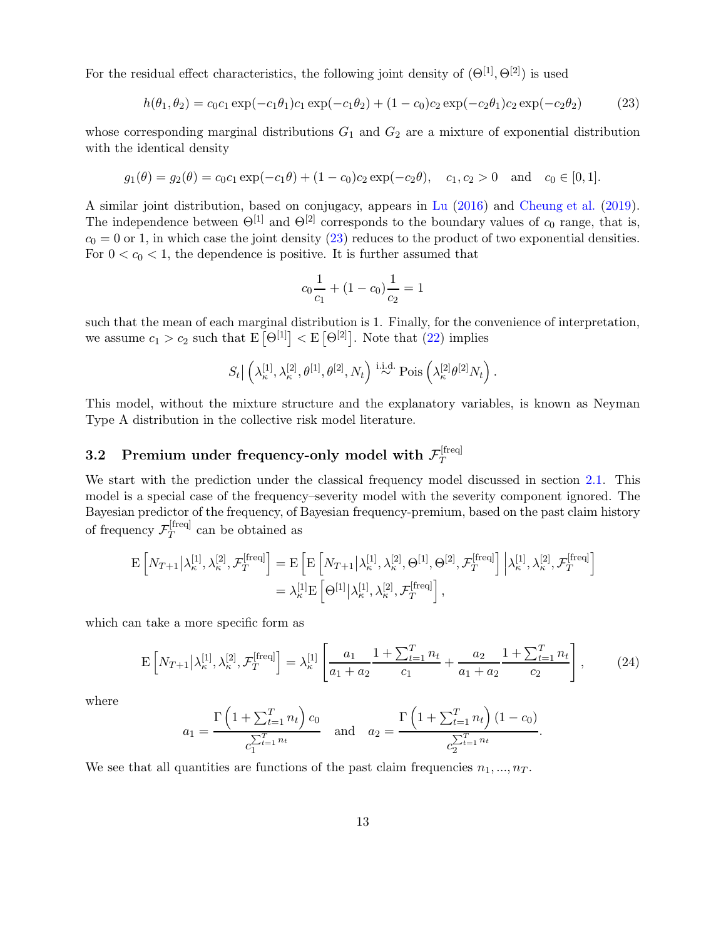For the residual effect characteristics, the following joint density of  $(\Theta^{[1]}, \Theta^{[2]})$  is used

$$
h(\theta_1, \theta_2) = c_0 c_1 \exp(-c_1 \theta_1) c_1 \exp(-c_1 \theta_2) + (1 - c_0) c_2 \exp(-c_2 \theta_1) c_2 \exp(-c_2 \theta_2)
$$
 (23)

whose corresponding marginal distributions  $G_1$  and  $G_2$  are a mixture of exponential distribution with the identical density

$$
g_1(\theta) = g_2(\theta) = c_0 c_1 \exp(-c_1 \theta) + (1 - c_0)c_2 \exp(-c_2 \theta), \quad c_1, c_2 > 0 \text{ and } c_0 \in [0, 1].
$$

A similar joint distribution, based on conjugacy, appears in [Lu](#page-26-10) [\(2016](#page-26-10)) and [Cheung et al.](#page-25-5) [\(2019](#page-25-5)). The independence between  $\Theta^{[1]}$  and  $\Theta^{[2]}$  corresponds to the boundary values of  $c_0$  range, that is,  $c_0 = 0$  or 1, in which case the joint density [\(23\)](#page-12-0) reduces to the product of two exponential densities. For  $0 < c_0 < 1$ , the dependence is positive. It is further assumed that

<span id="page-12-0"></span>
$$
c_0 \frac{1}{c_1} + (1 - c_0) \frac{1}{c_2} = 1
$$

such that the mean of each marginal distribution is 1. Finally, for the convenience of interpretation, we assume  $c_1 > c_2$  such that  $E[\Theta^{[1]}] < E[\Theta^{[2]}]$ . Note that  $(22)$  implies

$$
S_t \big| \left( \lambda_{\kappa}^{[1]}, \lambda_{\kappa}^{[2]}, \theta^{[1]}, \theta^{[2]}, N_t \right) \stackrel{\text{i.i.d.}}{\sim} \text{Pois}\left( \lambda_{\kappa}^{[2]} \theta^{[2]} N_t \right).
$$

This model, without the mixture structure and the explanatory variables, is known as Neyman Type A distribution in the collective risk model literature.

#### 3.2 Premium under frequency-only model with  $\mathcal{F}_T^{\text{[freq]}}$ T

We start with the prediction under the classical frequency model discussed in section [2.1.](#page-4-0) This model is a special case of the frequency–severity model with the severity component ignored. The Bayesian predictor of the frequency, of Bayesian frequency-premium, based on the past claim history of frequency  $\mathcal{F}_T^{\text{[freq]}}$  $T$ <sup>thed</sup> can be obtained as

$$
\begin{split} \mathbf{E}\left[N_{T+1}\middle|\lambda_{\kappa}^{[1]},\lambda_{\kappa}^{[2]},\mathcal{F}_{T}^{[\text{freq}]}\right] &= \mathbf{E}\left[\mathbf{E}\left[N_{T+1}\middle|\lambda_{\kappa}^{[1]},\lambda_{\kappa}^{[2]},\Theta^{[1]},\Theta^{[2]},\mathcal{F}_{T}^{[\text{freq}]}\right]\middle|\lambda_{\kappa}^{[1]},\lambda_{\kappa}^{[2]},\mathcal{F}_{T}^{[\text{freq}]}\right] \\ &= \lambda_{\kappa}^{[1]}\mathbf{E}\left[\Theta^{[1]}\middle|\lambda_{\kappa}^{[1]},\lambda_{\kappa}^{[2]},\mathcal{F}_{T}^{[\text{freq}]}\right], \end{split}
$$

which can take a more specific form as

$$
\mathcal{E}\left[N_{T+1}\middle|\lambda_{\kappa}^{[1]},\lambda_{\kappa}^{[2]},\mathcal{F}_{T}^{[\text{freq}]} \right] = \lambda_{\kappa}^{[1]}\left[\frac{a_1}{a_1 + a_2} \frac{1 + \sum_{t=1}^{T} n_t}{c_1} + \frac{a_2}{a_1 + a_2} \frac{1 + \sum_{t=1}^{T} n_t}{c_2}\right],\tag{24}
$$

where

<span id="page-12-1"></span>
$$
a_1 = \frac{\Gamma\left(1 + \sum_{t=1}^T n_t\right)c_0}{c_1^{\sum_{t=1}^T n_t}} \quad \text{and} \quad a_2 = \frac{\Gamma\left(1 + \sum_{t=1}^T n_t\right)(1 - c_0)}{c_2^{\sum_{t=1}^T n_t}}.
$$

We see that all quantities are functions of the past claim frequencies  $n_1, ..., n_T$ .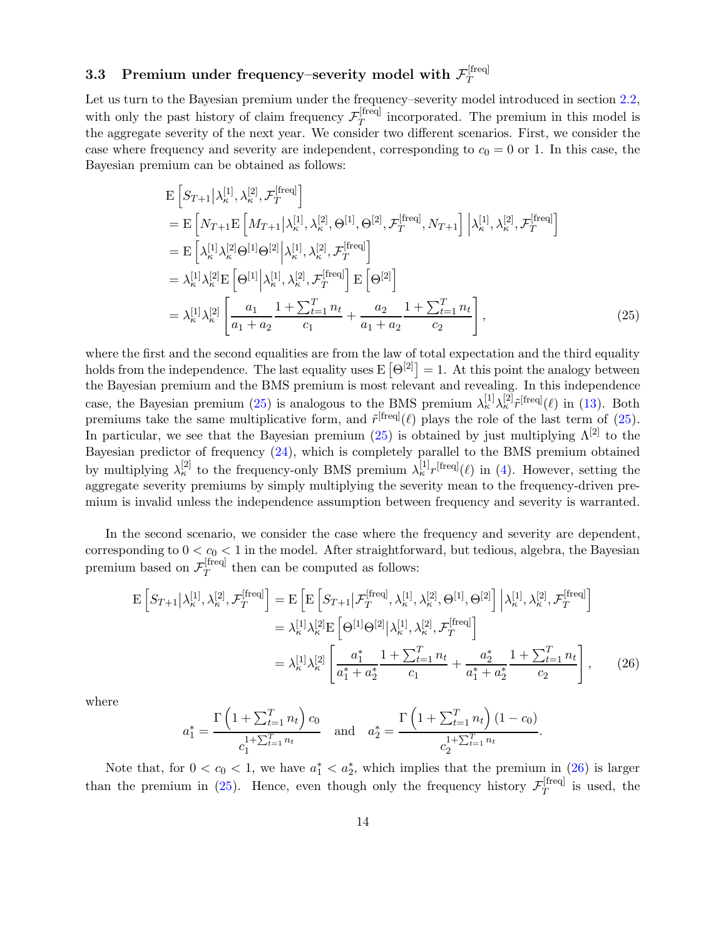#### 3.3 Premium under frequency–severity model with  $\mathcal{F}_T^{\text{[freq]}}$ T

Let us turn to the Bayesian premium under the frequency–severity model introduced in section [2.2,](#page-7-1) with only the past history of claim frequency  $\mathcal{F}_T^{\text{[freq]}}$  $T<sup>[Heq]</sup>$  incorporated. The premium in this model is the aggregate severity of the next year. We consider two different scenarios. First, we consider the case where frequency and severity are independent, corresponding to  $c_0 = 0$  or 1. In this case, the Bayesian premium can be obtained as follows:

<span id="page-13-0"></span>
$$
E\left[S_{T+1}|\lambda_{\kappa}^{[1]},\lambda_{\kappa}^{[2]},\mathcal{F}_{T}^{[\text{freq}]}\right]
$$
  
\n
$$
= E\left[N_{T+1}E\left[M_{T+1}|\lambda_{\kappa}^{[1]},\lambda_{\kappa}^{[2]},\Theta^{[1]},\Theta^{[2]},\mathcal{F}_{T}^{[\text{freq}]},N_{T+1}\right]|\lambda_{\kappa}^{[1]},\lambda_{\kappa}^{[2]},\mathcal{F}_{T}^{[\text{freq}]}\right]
$$
  
\n
$$
= E\left[\lambda_{\kappa}^{[1]}\lambda_{\kappa}^{[2]}\Theta^{[1]}\Theta^{[2]}\right|\lambda_{\kappa}^{[1]},\lambda_{\kappa}^{[2]},\mathcal{F}_{T}^{[\text{freq}]}\right]
$$
  
\n
$$
= \lambda_{\kappa}^{[1]}\lambda_{\kappa}^{[2]}E\left[\Theta^{[1]}\right|\lambda_{\kappa}^{[1]},\lambda_{\kappa}^{[2]},\mathcal{F}_{T}^{[\text{freq}]}\right]E\left[\Theta^{[2]}\right]
$$
  
\n
$$
= \lambda_{\kappa}^{[1]}\lambda_{\kappa}^{[2]}\left[\frac{a_{1}}{a_{1}+a_{2}}\frac{1+\sum_{t=1}^{T}n_{t}}{c_{1}}+\frac{a_{2}}{a_{1}+a_{2}}\frac{1+\sum_{t=1}^{T}n_{t}}{c_{2}}\right],
$$
\n(25)

where the first and the second equalities are from the law of total expectation and the third equality holds from the independence. The last equality uses  $E[\Theta^{[2]}] = 1$ . At this point the analogy between the Bayesian premium and the BMS premium is most relevant and revealing. In this independence case, the Bayesian premium [\(25\)](#page-13-0) is analogous to the BMS premium  $\lambda_k^{[1]}\lambda_k^{[2]}\tilde{r}^{\text{[freq]}}(\ell)$  in [\(13\)](#page-9-0). Both premiums take the same multiplicative form, and  $\tilde{r}^{\text{[freq]}}(\ell)$  plays the role of the last term of [\(25\)](#page-13-0). In particular, we see that the Bayesian premium [\(25\)](#page-13-0) is obtained by just multiplying  $\Lambda^{[2]}$  to the Bayesian predictor of frequency [\(24\)](#page-12-1), which is completely parallel to the BMS premium obtained by multiplying  $\lambda_{\kappa}^{[2]}$  to the frequency-only BMS premium  $\lambda_{\kappa}^{[1]}r^{[\text{freq}]}(\ell)$  in [\(4\)](#page-6-0). However, setting the aggregate severity premiums by simply multiplying the severity mean to the frequency-driven premium is invalid unless the independence assumption between frequency and severity is warranted.

In the second scenario, we consider the case where the frequency and severity are dependent, corresponding to  $0 < c_0 < 1$  in the model. After straightforward, but tedious, algebra, the Bayesian premium based on  $\mathcal{F}_T^{\text{[freq]}}$  $T$ <sup>thed</sup> then can be computed as follows:

$$
\mathcal{E}\left[S_{T+1}|\lambda_{\kappa}^{[1]},\lambda_{\kappa}^{[2]},\mathcal{F}_{T}^{[\text{freq}]}\right] = \mathcal{E}\left[\mathcal{E}\left[S_{T+1}|\mathcal{F}_{T}^{[\text{freq}]},\lambda_{\kappa}^{[1]},\lambda_{\kappa}^{[2]},\Theta^{[1]},\Theta^{[2]}\right] \Big|\lambda_{\kappa}^{[1]},\lambda_{\kappa}^{[2]},\mathcal{F}_{T}^{[\text{freq}]}\right]
$$

$$
= \lambda_{\kappa}^{[1]}\lambda_{\kappa}^{[2]}\mathcal{E}\left[\Theta^{[1]}\Theta^{[2]}|\lambda_{\kappa}^{[1]},\lambda_{\kappa}^{[2]},\mathcal{F}_{T}^{[\text{freq}]}\right]
$$

$$
= \lambda_{\kappa}^{[1]}\lambda_{\kappa}^{[2]}\left[\frac{a_{1}^{*}}{a_{1}^{*}+a_{2}^{*}}\frac{1+\sum_{t=1}^{T}n_{t}}{c_{1}}+\frac{a_{2}^{*}}{a_{1}^{*}+a_{2}^{*}}\frac{1+\sum_{t=1}^{T}n_{t}}{c_{2}}\right],
$$
(26)

where

<span id="page-13-1"></span>
$$
a_1^* = \frac{\Gamma\left(1 + \sum_{t=1}^T n_t\right)c_0}{c_1^{1 + \sum_{t=1}^T n_t}} \quad \text{and} \quad a_2^* = \frac{\Gamma\left(1 + \sum_{t=1}^T n_t\right)(1 - c_0)}{c_2^{1 + \sum_{t=1}^T n_t}}.
$$

Note that, for  $0 < c_0 < 1$ , we have  $a_1^* < a_2^*$ , which implies that the premium in [\(26\)](#page-13-1) is larger than the premium in [\(25\)](#page-13-0). Hence, even though only the frequency history  $\mathcal{F}_T^{\text{[freq]}}$  $T^{\text{ineq}}$  is used, the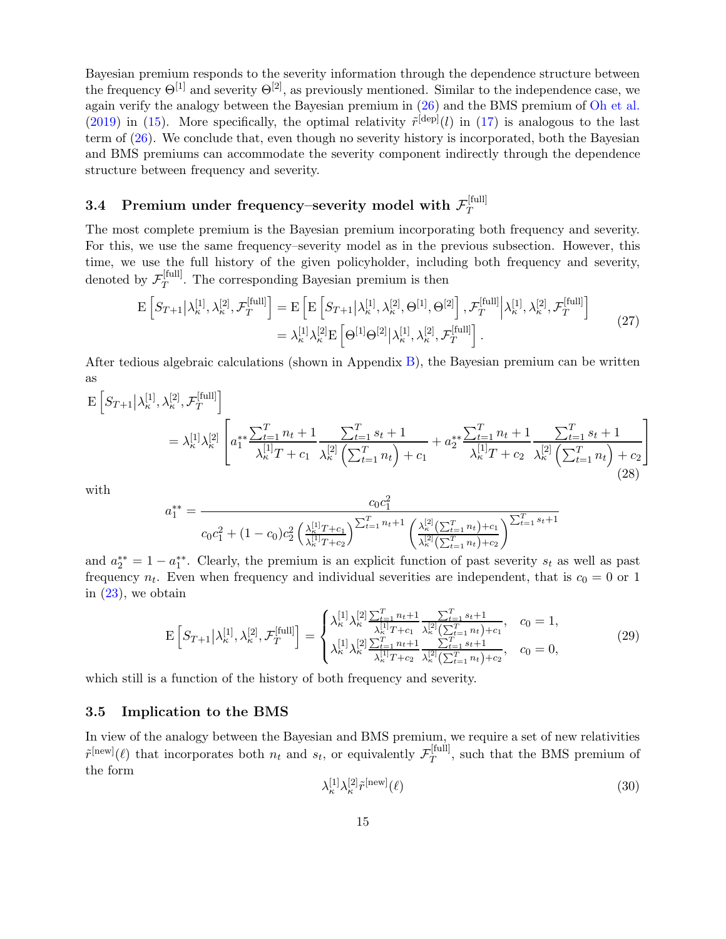Bayesian premium responds to the severity information through the dependence structure between the frequency  $\Theta^{[1]}$  and severity  $\Theta^{[2]}$ , as previously mentioned. Similar to the independence case, we again verify the analogy between the Bayesian premium in [\(26\)](#page-13-1) and the BMS premium of [Oh et al.](#page-26-0) [\(2019](#page-26-0)) in [\(15\)](#page-9-3). More specifically, the optimal relativity  $\tilde{r}^{[dep]}(l)$  in [\(17\)](#page-10-0) is analogous to the last term of [\(26\)](#page-13-1). We conclude that, even though no severity history is incorporated, both the Bayesian and BMS premiums can accommodate the severity component indirectly through the dependence structure between frequency and severity.

#### <span id="page-14-3"></span>3.4 Premium under frequency–severity model with  $\mathcal{F}_T^{[\text{full}]}$ T

The most complete premium is the Bayesian premium incorporating both frequency and severity. For this, we use the same frequency–severity model as in the previous subsection. However, this time, we use the full history of the given policyholder, including both frequency and severity, denoted by  $\mathcal{F}_T^{\text{[full]}}$  $T<sup>[101]</sup>$ . The corresponding Bayesian premium is then

<span id="page-14-4"></span>
$$
\mathcal{E}\left[S_{T+1}\middle|\lambda_{\kappa}^{[1]},\lambda_{\kappa}^{[2]},\mathcal{F}_{T}^{[\text{full}]}\right] = \mathcal{E}\left[\mathcal{E}\left[S_{T+1}\middle|\lambda_{\kappa}^{[1]},\lambda_{\kappa}^{[2]},\Theta^{[1]},\Theta^{[2]}\right],\mathcal{F}_{T}^{[\text{full}]} \middle|\lambda_{\kappa}^{[1]},\lambda_{\kappa}^{[2]},\mathcal{F}_{T}^{[\text{full}]}\right] \n= \lambda_{\kappa}^{[1]}\lambda_{\kappa}^{[2]}\mathcal{E}\left[\Theta^{[1]}\Theta^{[2]}\middle|\lambda_{\kappa}^{[1]},\lambda_{\kappa}^{[2]},\mathcal{F}_{T}^{[\text{full}]}\right].
$$
\n(27)

<span id="page-14-0"></span>After tedious algebraic calculations (shown in Appendix [B\)](#page-30-0), the Bayesian premium can be written as

$$
\mathcal{E}\left[S_{T+1}\middle|\lambda_{\kappa}^{[1]},\lambda_{\kappa}^{[2]},\mathcal{F}_{T}^{[\text{full}]}\right]
$$
\n
$$
= \lambda_{\kappa}^{[1]}\lambda_{\kappa}^{[2]}\left[a_{1}^{**}\frac{\sum_{t=1}^{T}n_{t}+1}{\lambda_{\kappa}^{[1]}T+c_{1}}\frac{\sum_{t=1}^{T}s_{t}+1}{\lambda_{\kappa}^{[2]}\left(\sum_{t=1}^{T}n_{t}\right)+c_{1}}+a_{2}^{**}\frac{\sum_{t=1}^{T}n_{t}+1}{\lambda_{\kappa}^{[1]}T+c_{2}}\frac{\sum_{t=1}^{T}s_{t}+1}{\lambda_{\kappa}^{[2]}\left(\sum_{t=1}^{T}n_{t}\right)+c_{2}}\right]
$$
\n(28)

with

$$
a_1^{**} = \frac{c_0 c_1^2}{c_0 c_1^2 + (1 - c_0)c_2^2 \left(\frac{\lambda_k^{[1]}T + c_1}{\lambda_k^{[1]}T + c_2}\right)^{\sum_{t=1}^T n_t + 1} \left(\frac{\lambda_k^{[2]}(\sum_{t=1}^T n_t) + c_1}{\lambda_k^{[2]}(\sum_{t=1}^T n_t) + c_2}\right)^{\sum_{t=1}^T s_t + 1}}
$$

and  $a_2^{**} = 1 - a_1^{**}$ . Clearly, the premium is an explicit function of past severity  $s_t$  as well as past frequency  $n_t$ . Even when frequency and individual severities are independent, that is  $c_0 = 0$  or 1 in  $(23)$ , we obtain

<span id="page-14-1"></span>
$$
\mathcal{E}\left[S_{T+1}\middle|\lambda_{\kappa}^{[1]},\lambda_{\kappa}^{[2]},\mathcal{F}_{T}^{[\text{full}]}\right] = \begin{cases} \lambda_{\kappa}^{[1]}\lambda_{\kappa}^{[2]}\frac{\sum_{t=1}^{T}n_{t}+1}{\lambda_{\kappa}^{[1]}T+c_{1}}\frac{\sum_{t=1}^{T}s_{t}+1}{\lambda_{\kappa}^{[2]}(\sum_{t=1}^{T}n_{t})+c_{1}}, & c_{0}=1, \\ \lambda_{\kappa}^{[1]}\lambda_{\kappa}^{[2]}\frac{\sum_{t=1}^{T}n_{t}+1}{\lambda_{\kappa}^{[1]}T+c_{2}}\frac{\sum_{t=1}^{T}s_{t}+1}{\lambda_{\kappa}^{[2]}(\sum_{t=1}^{T}n_{t})+c_{2}}, & c_{0}=0, \end{cases}
$$
(29)

which still is a function of the history of both frequency and severity.

### 3.5 Implication to the BMS

<span id="page-14-2"></span>In view of the analogy between the Bayesian and BMS premium, we require a set of new relativities  $\tilde{r}^{\text{[new]}}(\ell)$  that incorporates both  $n_t$  and  $s_t$ , or equivalently  $\mathcal{F}_T^{\text{[full]}}$  $T^{[tun]}$ , such that the BMS premium of the form

$$
\lambda_{\kappa}^{[1]}\lambda_{\kappa}^{[2]}\tilde{r}^{\text{[new]}}(\ell) \tag{30}
$$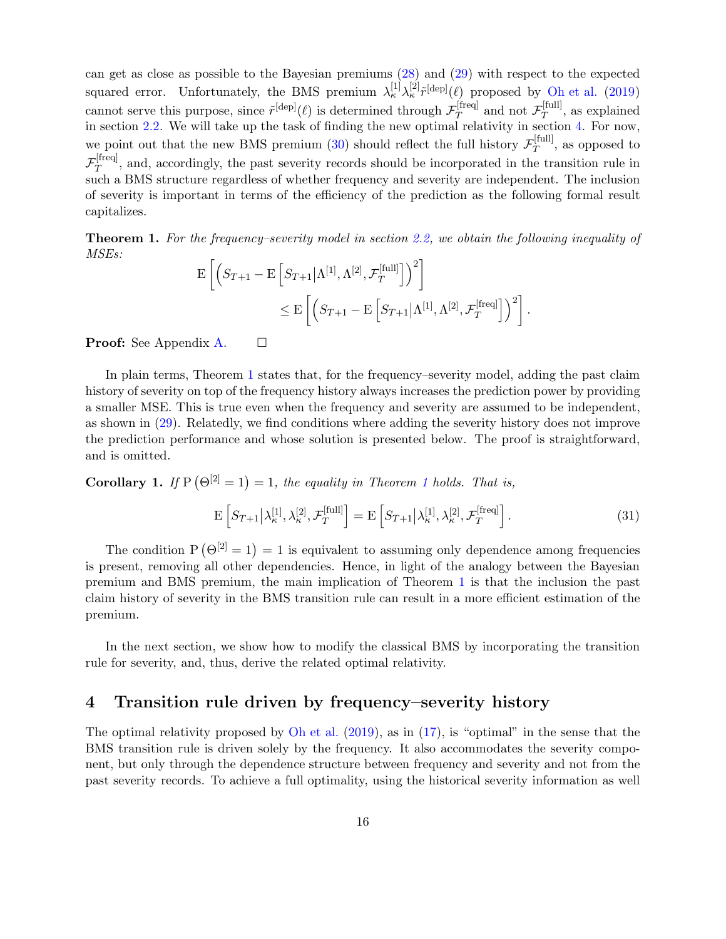can get as close as possible to the Bayesian premiums [\(28\)](#page-14-0) and [\(29\)](#page-14-1) with respect to the expected squared error. Unfortunately, the BMS premium  $\lambda_{\kappa}^{[1]}\lambda_{\kappa}^{[2]}\tilde{r}^{[\text{dep}]}(\ell)$  proposed by [Oh et al.](#page-26-0) [\(2019](#page-26-0)) cannot serve this purpose, since  $\tilde{r}^{[\text{dep}]}(\ell)$  is determined through  $\mathcal{F}_T^{\text{freq}}$ [freq] and not  $\mathcal{F}_T^{[\text{full}]}$  $T^{[1011]}$ , as explained in section [2.2.](#page-7-1) We will take up the task of finding the new optimal relativity in section [4.](#page-15-0) For now, we point out that the new BMS premium [\(30\)](#page-14-2) should reflect the full history  $\mathcal{F}_T^{[\text{full}]}$  $T^{[1011]}$ , as opposed to  $\mathcal{F}_T^{\text{[freq]}}$  $T<sup>[Heq]</sup>$ , and, accordingly, the past severity records should be incorporated in the transition rule in such a BMS structure regardless of whether frequency and severity are independent. The inclusion of severity is important in terms of the efficiency of the prediction as the following formal result capitalizes.

<span id="page-15-1"></span>Theorem 1. For the frequency–severity model in section [2.2,](#page-7-1) we obtain the following inequality of MSEs:

$$
\mathbf{E}\left[\left(S_{T+1}-\mathbf{E}\left[S_{T+1}|\Lambda^{[1]},\Lambda^{[2]},\mathcal{F}_T^{[\text{full}]}\right]\right)^2\right] \n\leq \mathbf{E}\left[\left(S_{T+1}-\mathbf{E}\left[S_{T+1}|\Lambda^{[1]},\Lambda^{[2]},\mathcal{F}_T^{[\text{freq}]} \right]\right)^2\right].
$$

**Proof:** See Appendix [A.](#page-27-0)  $\Box$ 

In plain terms, Theorem [1](#page-15-1) states that, for the frequency–severity model, adding the past claim history of severity on top of the frequency history always increases the prediction power by providing a smaller MSE. This is true even when the frequency and severity are assumed to be independent, as shown in [\(29\)](#page-14-1). Relatedly, we find conditions where adding the severity history does not improve the prediction performance and whose solution is presented below. The proof is straightforward, and is omitted.

**Corollary [1](#page-15-1).** If  $P(\Theta^{[2]} = 1) = 1$ , the equality in Theorem 1 holds. That is,

$$
\mathcal{E}\left[S_{T+1}\middle|\lambda_{\kappa}^{[1]},\lambda_{\kappa}^{[2]},\mathcal{F}_{T}^{[\text{full}]}\right] = \mathcal{E}\left[S_{T+1}\middle|\lambda_{\kappa}^{[1]},\lambda_{\kappa}^{[2]},\mathcal{F}_{T}^{[\text{freq}]}\right].\tag{31}
$$

The condition  $P(\Theta^{[2]} = 1) = 1$  is equivalent to assuming only dependence among frequencies is present, removing all other dependencies. Hence, in light of the analogy between the Bayesian premium and BMS premium, the main implication of Theorem [1](#page-15-1) is that the inclusion the past claim history of severity in the BMS transition rule can result in a more efficient estimation of the premium.

In the next section, we show how to modify the classical BMS by incorporating the transition rule for severity, and, thus, derive the related optimal relativity.

## <span id="page-15-0"></span>4 Transition rule driven by frequency–severity history

The optimal relativity proposed by [Oh et al.](#page-26-0)  $(2019)$  $(2019)$ , as in  $(17)$ , is "optimal" in the sense that the BMS transition rule is driven solely by the frequency. It also accommodates the severity component, but only through the dependence structure between frequency and severity and not from the past severity records. To achieve a full optimality, using the historical severity information as well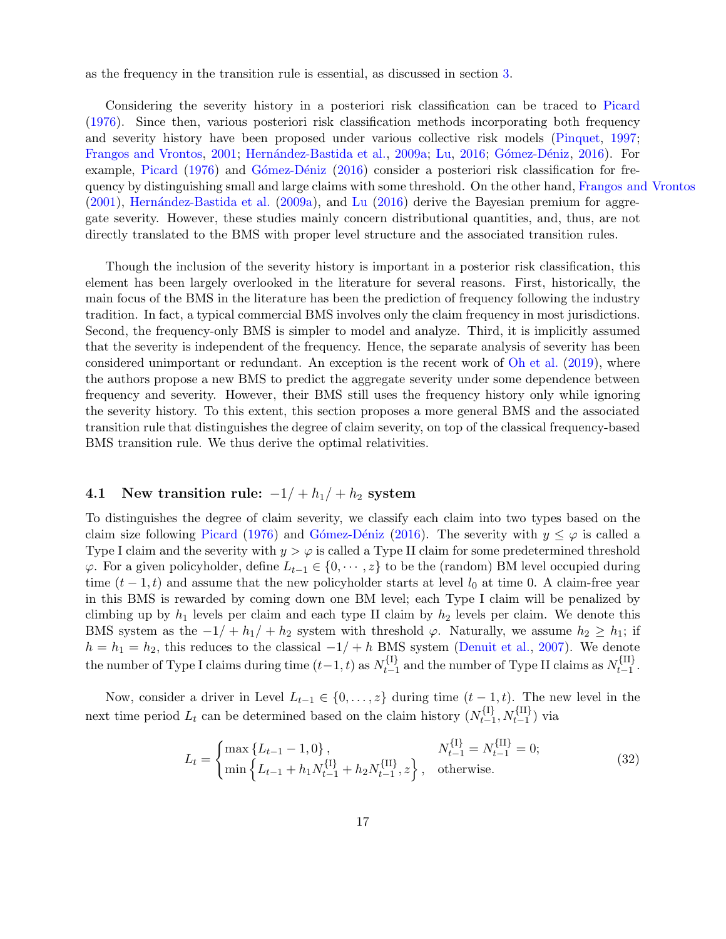as the frequency in the transition rule is essential, as discussed in section [3.](#page-11-1)

Considering the severity history in a posteriori risk classification can be traced to [Picard](#page-26-14) [\(1976](#page-26-14)). Since then, various posteriori risk classification methods incorporating both frequency and severity history have been proposed under various collective risk models [\(Pinquet](#page-26-8), [1997](#page-26-8); [Frangos and Vrontos,](#page-25-6) [2001](#page-25-6); Hernández-Bastida et al., [2009a](#page-26-15); [Lu,](#page-26-10) [2016;](#page-26-10) Gómez-Déniz, [2016\)](#page-26-12). For example, [Picard](#page-26-14) [\(1976\)](#page-26-14) and Gómez-Déniz [\(2016](#page-26-12)) consider a posteriori risk classification for frequency by distinguishing small and large claims with some threshold. On the other hand, [Frangos and Vrontos](#page-25-6)  $(2001)$  $(2001)$ , Hernández-Bastida et al.  $(2009a)$ , and [Lu](#page-26-10)  $(2016)$  $(2016)$  derive the Bayesian premium for aggregate severity. However, these studies mainly concern distributional quantities, and, thus, are not directly translated to the BMS with proper level structure and the associated transition rules.

Though the inclusion of the severity history is important in a posterior risk classification, this element has been largely overlooked in the literature for several reasons. First, historically, the main focus of the BMS in the literature has been the prediction of frequency following the industry tradition. In fact, a typical commercial BMS involves only the claim frequency in most jurisdictions. Second, the frequency-only BMS is simpler to model and analyze. Third, it is implicitly assumed that the severity is independent of the frequency. Hence, the separate analysis of severity has been considered unimportant or redundant. An exception is the recent work of [Oh et al.](#page-26-0) [\(2019](#page-26-0)), where the authors propose a new BMS to predict the aggregate severity under some dependence between frequency and severity. However, their BMS still uses the frequency history only while ignoring the severity history. To this extent, this section proposes a more general BMS and the associated transition rule that distinguishes the degree of claim severity, on top of the classical frequency-based BMS transition rule. We thus derive the optimal relativities.

## 4.1 New transition rule:  $-1/ + h_1/ + h_2$  system

To distinguishes the degree of claim severity, we classify each claim into two types based on the claim size following [Picard](#page-26-14) [\(1976\)](#page-26-14) and Gómez-Déniz [\(2016\)](#page-26-12). The severity with  $y \leq \varphi$  is called a Type I claim and the severity with  $y > \varphi$  is called a Type II claim for some predetermined threshold  $\varphi$ . For a given policyholder, define  $L_{t-1} \in \{0, \dots, z\}$  to be the (random) BM level occupied during time  $(t-1,t)$  and assume that the new policyholder starts at level  $l_0$  at time 0. A claim-free year in this BMS is rewarded by coming down one BM level; each Type I claim will be penalized by climbing up by  $h_1$  levels per claim and each type II claim by  $h_2$  levels per claim. We denote this BMS system as the  $-1/ + h_1/ + h_2$  system with threshold  $\varphi$ . Naturally, we assume  $h_2 \geq h_1$ ; if  $h = h_1 = h_2$ , this reduces to the classical  $-1/ + h$  BMS system [\(Denuit et al.](#page-25-0), [2007](#page-25-0)). We denote the number of Type I claims during time  $(t-1,t)$  as  $N_{t-1}^{\{1\}}$  $t_{t-1}^{\{I\}}$  and the number of Type II claims as  $N_{t-1}^{\{II\}}$  $\frac{1}{t-1}$ .

Now, consider a driver in Level  $L_{t-1} \in \{0, \ldots, z\}$  during time  $(t - 1, t)$ . The new level in the next time period  $L_t$  can be determined based on the claim history  $(N_{t-1}^{\{1\}})$  $\{I_t^{\{I\}}, N_{t-1}^{\{II\}}\}$  via

<span id="page-16-0"></span>
$$
L_{t} = \begin{cases} \max\left\{L_{t-1} - 1, 0\right\}, & N_{t-1}^{\{I\}} = N_{t-1}^{\{II\}} = 0; \\ \min\left\{L_{t-1} + h_1 N_{t-1}^{\{I\}} + h_2 N_{t-1}^{\{II\}}, z\right\}, & \text{otherwise.} \end{cases}
$$
(32)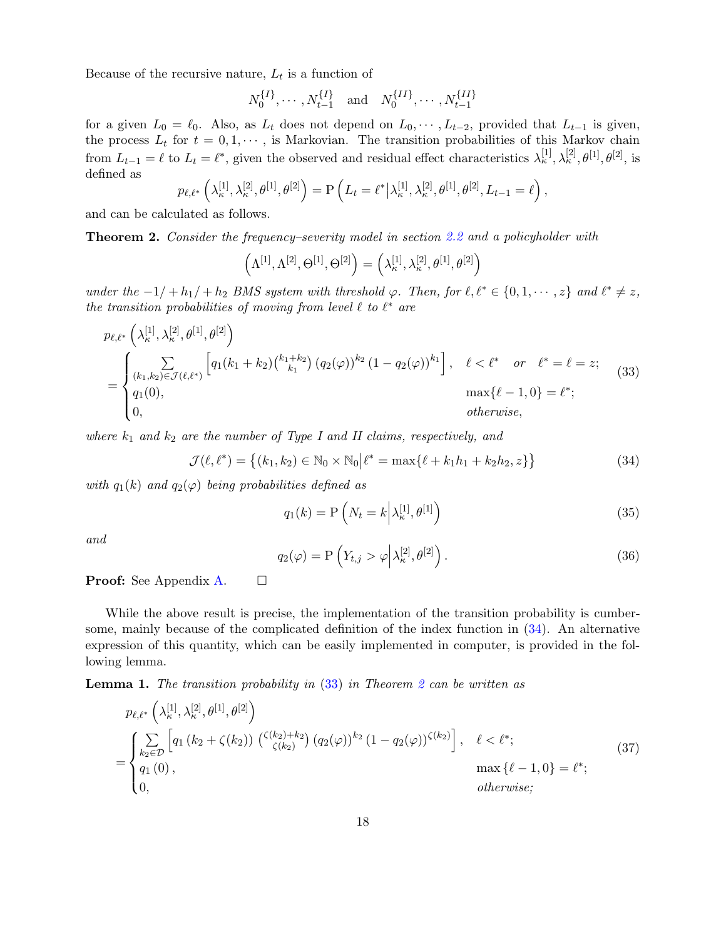Because of the recursive nature,  $L_t$  is a function of

$$
N_0^{\{I\}}, \cdots, N_{t-1}^{\{I\}}
$$
 and  $N_0^{\{II\}}, \cdots, N_{t-1}^{\{II\}}$ 

for a given  $L_0 = \ell_0$ . Also, as  $L_t$  does not depend on  $L_0, \dots, L_{t-2}$ , provided that  $L_{t-1}$  is given, the process  $L_t$  for  $t = 0, 1, \dots$ , is Markovian. The transition probabilities of this Markov chain from  $L_{t-1} = \ell$  to  $L_t = \ell^*$ , given the observed and residual effect characteristics  $\lambda_{\kappa}^{[1]}, \lambda_{\kappa}^{[2]}, \theta^{[1]}, \theta^{[2]}$ , is defined as

$$
p_{\ell,\ell^*}\left(\lambda_{\kappa}^{[1]},\lambda_{\kappa}^{[2]},\theta^{[1]},\theta^{[2]}\right) = P\left(L_t = \ell^* \big|\lambda_{\kappa}^{[1]},\lambda_{\kappa}^{[2]},\theta^{[1]},\theta^{[2]},L_{t-1} = \ell\right),
$$

and can be calculated as follows.

<span id="page-17-2"></span>Theorem 2. Consider the frequency–severity model in section [2.2](#page-7-1) and a policyholder with

<span id="page-17-1"></span>
$$
\left(\Lambda^{[1]},\Lambda^{[2]},\Theta^{[1]},\Theta^{[2]}\right)=\left(\lambda_{\kappa}^{[1]},\lambda_{\kappa}^{[2]},\theta^{[1]},\theta^{[2]}\right)
$$

under the  $-1/ + h_1/ + h_2$  BMS system with threshold  $\varphi$ . Then, for  $\ell, \ell^* \in \{0, 1, \dots, z\}$  and  $\ell^* \neq z$ , the transition probabilities of moving from level  $\ell$  to  $\ell^*$  are

$$
p_{\ell,\ell^*} \left( \lambda_{\kappa}^{[1]}, \lambda_{\kappa}^{[2]}, \theta^{[1]}, \theta^{[2]} \right)
$$
  
= 
$$
\begin{cases} \sum_{(k_1,k_2) \in \mathcal{J}(\ell,\ell^*)} \left[ q_1(k_1+k_2) \binom{k_1+k_2}{k_1} (q_2(\varphi))^{k_2} (1-q_2(\varphi))^{k_1} \right], & \ell < \ell^* \text{ or } \ell^* = \ell = z; \\ q_1(0), & \max\{\ell-1, 0\} = \ell^*; \\ 0, & \text{otherwise,} \end{cases}
$$
(33)

where  $k_1$  and  $k_2$  are the number of Type I and II claims, respectively, and

$$
\mathcal{J}(\ell, \ell^*) = \left\{ (k_1, k_2) \in \mathbb{N}_0 \times \mathbb{N}_0 \middle| \ell^* = \max\{ \ell + k_1 h_1 + k_2 h_2, z \} \right\}
$$
\n(34)

with  $q_1(k)$  and  $q_2(\varphi)$  being probabilities defined as

<span id="page-17-3"></span><span id="page-17-0"></span>
$$
q_1(k) = \mathcal{P}\left(N_t = k \middle| \lambda_{\kappa}^{[1]}, \theta^{[1]}\right) \tag{35}
$$

<span id="page-17-4"></span>and

<span id="page-17-5"></span>
$$
q_2(\varphi) = \mathcal{P}\left(Y_{t,j} > \varphi \middle| \lambda_{\kappa}^{[2]}, \theta^{[2]}\right). \tag{36}
$$

**Proof:** See Appendix [A.](#page-27-0)  $\Box$ 

While the above result is precise, the implementation of the transition probability is cumbersome, mainly because of the complicated definition of the index function in [\(34\)](#page-17-0). An alternative expression of this quantity, which can be easily implemented in computer, is provided in the following lemma.

**Lemma 1.** The transition probability in  $(33)$  in Theorem [2](#page-17-2) can be written as

$$
p_{\ell,\ell^*}\left(\lambda_{\kappa}^{[1]},\lambda_{\kappa}^{[2]},\theta^{[1]},\theta^{[2]}\right)
$$
\n
$$
= \begin{cases} \sum_{k_2 \in \mathcal{D}} \left[ q_1\left(k_2 + \zeta(k_2)\right) \left(\zeta(k_2) + k_2\right) (q_2(\varphi))^{k_2} (1 - q_2(\varphi)) \zeta(k_2) \right], & \ell < \ell^*; \\ q_1(0), & \max\{\ell - 1, 0\} = \ell^*; \\ 0, & otherwise; \end{cases} \tag{37}
$$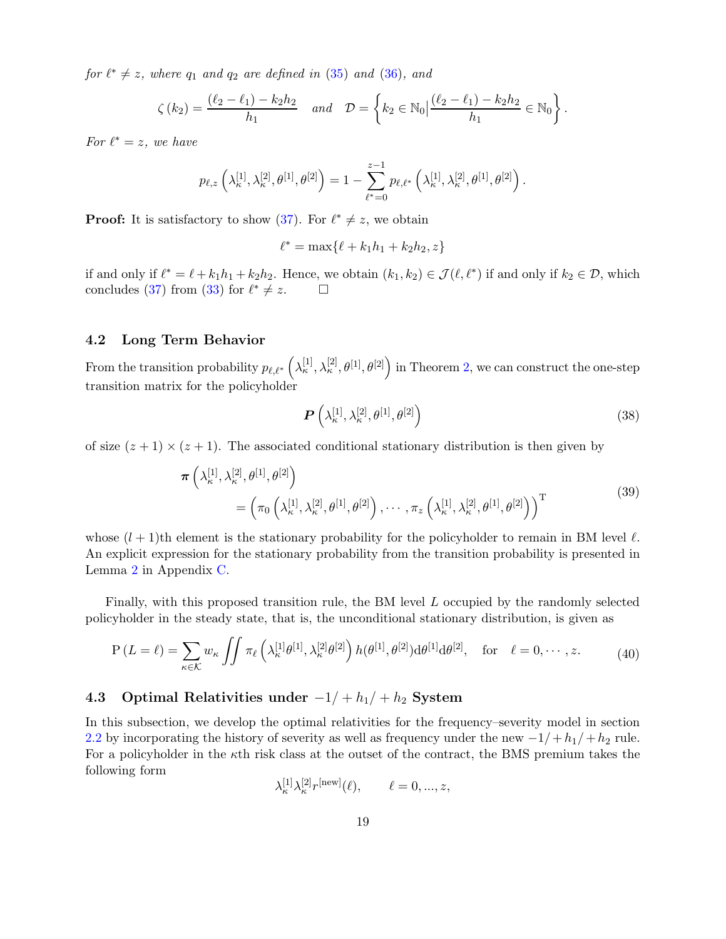for  $\ell^* \neq z$ , where  $q_1$  and  $q_2$  are defined in [\(35\)](#page-17-3) and [\(36\)](#page-17-4), and

$$
\zeta(k_2) = \frac{(\ell_2 - \ell_1) - k_2 h_2}{h_1} \quad \text{and} \quad \mathcal{D} = \left\{ k_2 \in \mathbb{N}_0 \middle| \frac{(\ell_2 - \ell_1) - k_2 h_2}{h_1} \in \mathbb{N}_0 \right\}.
$$

For  $\ell^* = z$ , we have

$$
p_{\ell,z}\left(\lambda_{\kappa}^{[1]},\lambda_{\kappa}^{[2]},\theta^{[1]},\theta^{[2]}\right)=1-\sum_{\ell^*=0}^{z-1}p_{\ell,\ell^*}\left(\lambda_{\kappa}^{[1]},\lambda_{\kappa}^{[2]},\theta^{[1]},\theta^{[2]}\right).
$$

**Proof:** It is satisfactory to show [\(37\)](#page-17-5). For  $\ell^* \neq z$ , we obtain

$$
\ell^* = \max\{\ell + k_1 h_1 + k_2 h_2, z\}
$$

if and only if  $\ell^* = \ell + k_1 h_1 + k_2 h_2$ . Hence, we obtain  $(k_1, k_2) \in \mathcal{J}(\ell, \ell^*)$  if and only if  $k_2 \in \mathcal{D}$ , which concludes [\(37\)](#page-17-5) from [\(33\)](#page-17-1) for  $\ell^* \neq z$ .  $\Box$ 

### 4.2 Long Term Behavior

From the transition probability  $p_{\ell,\ell^*}\left(\lambda^{[1]}_{\kappa},\lambda^{[2]}_{\kappa},\theta^{[1]},\theta^{[2]}\right)$  in Theorem [2,](#page-17-2) we can construct the one-step transition matrix for the policyholder

<span id="page-18-0"></span>
$$
\boldsymbol{P}\left(\lambda_{\kappa}^{[1]},\lambda_{\kappa}^{[2]},\theta^{[1]},\theta^{[2]}\right) \tag{38}
$$

of size  $(z + 1) \times (z + 1)$ . The associated conditional stationary distribution is then given by

$$
\boldsymbol{\pi}\left(\lambda_{\kappa}^{[1]},\lambda_{\kappa}^{[2]},\theta^{[1]},\theta^{[2]}\right) = \left(\pi_0\left(\lambda_{\kappa}^{[1]},\lambda_{\kappa}^{[2]},\theta^{[1]},\theta^{[2]}\right),\cdots,\pi_z\left(\lambda_{\kappa}^{[1]},\lambda_{\kappa}^{[2]},\theta^{[1]},\theta^{[2]}\right)\right)^{\mathrm{T}}
$$
\n(39)

whose  $(l + 1)$ th element is the stationary probability for the policyholder to remain in BM level  $\ell$ . An explicit expression for the stationary probability from the transition probability is presented in Lemma [2](#page-30-1) in Appendix [C.](#page-30-2)

Finally, with this proposed transition rule, the BM level L occupied by the randomly selected policyholder in the steady state, that is, the unconditional stationary distribution, is given as

$$
P\left(L=\ell\right) = \sum_{\kappa \in \mathcal{K}} w_{\kappa} \iint \pi_{\ell} \left(\lambda_{\kappa}^{[1]} \theta^{[1]}, \lambda_{\kappa}^{[2]} \theta^{[2]}\right) h(\theta^{[1]}, \theta^{[2]}) d\theta^{[1]} d\theta^{[2]}, \text{ for } \ell = 0, \cdots, z. \tag{40}
$$

## 4.3 Optimal Relativities under  $-1/ + h_1/ + h_2$  System

In this subsection, we develop the optimal relativities for the frequency–severity model in section [2.2](#page-7-1) by incorporating the history of severity as well as frequency under the new  $-1/+h_1/+h_2$  rule. For a policyholder in the  $\kappa$ th risk class at the outset of the contract, the BMS premium takes the following form

$$
\lambda^{[1]}_{\kappa} \lambda^{[2]}_{\kappa} r^{[\text{new}]}(\ell), \qquad \ell = 0, ..., z,
$$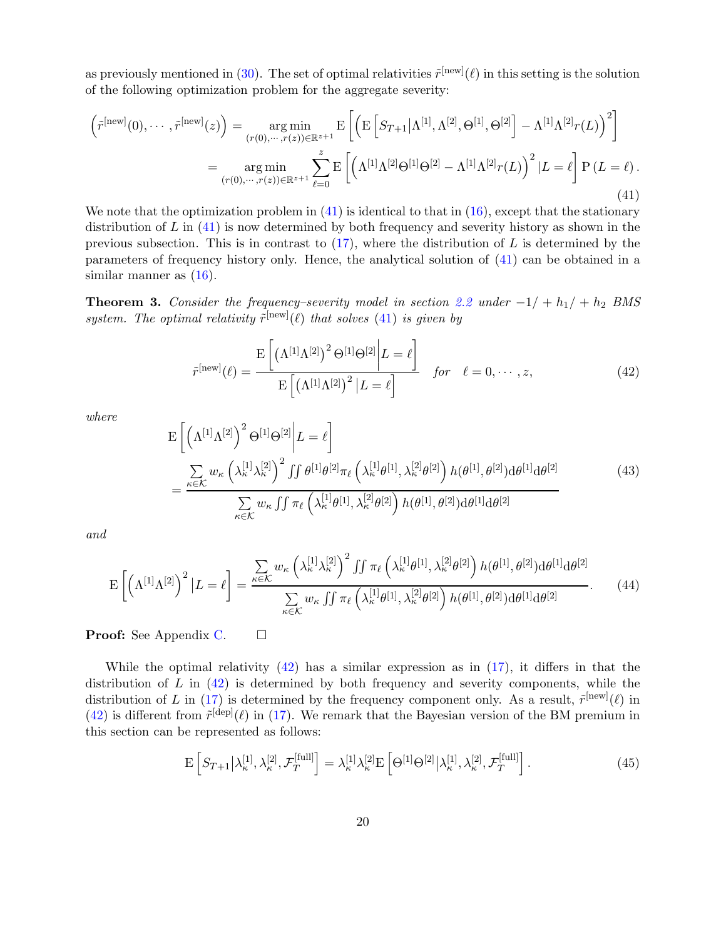as previously mentioned in [\(30\)](#page-14-2). The set of optimal relativities  $\tilde{r}^{\text{new}}(\ell)$  in this setting is the solution of the following optimization problem for the aggregate severity:

<span id="page-19-0"></span>
$$
\left(\tilde{r}^{[\text{new}]}(0),\cdots,\tilde{r}^{[\text{new}]}(z)\right) = \underset{(r(0),\cdots,r(z)) \in \mathbb{R}^{z+1}}{\arg\min} \mathrm{E}\left[\left(\mathrm{E}\left[S_{T+1}|\Lambda^{[1]},\Lambda^{[2]},\Theta^{[1]},\Theta^{[2]}\right] - \Lambda^{[1]}\Lambda^{[2]}r(L)\right)^{2}\right]
$$
\n
$$
= \underset{(r(0),\cdots,r(z)) \in \mathbb{R}^{z+1}}{\arg\min} \sum_{\ell=0}^{z} \mathrm{E}\left[\left(\Lambda^{[1]}\Lambda^{[2]}\Theta^{[1]}\Theta^{[2]} - \Lambda^{[1]}\Lambda^{[2]}r(L)\right)^{2}|L=\ell\right] \mathrm{P}\left(L=\ell\right).
$$
\n(41)

We note that the optimization problem in  $(41)$  is identical to that in  $(16)$ , except that the stationary distribution of  $L$  in  $(41)$  is now determined by both frequency and severity history as shown in the previous subsection. This is in contrast to  $(17)$ , where the distribution of L is determined by the parameters of frequency history only. Hence, the analytical solution of [\(41\)](#page-19-0) can be obtained in a similar manner as  $(16)$ .

<span id="page-19-4"></span>**Theorem 3.** Consider the frequency–severity model in section [2.2](#page-7-1) under  $-1/ + h_1/ + h_2$  BMS system. The optimal relativity  $\tilde{r}^{\text{[new]}}(\ell)$  that solves [\(41\)](#page-19-0) is given by

<span id="page-19-1"></span>
$$
\tilde{r}^{\text{[new]}}(\ell) = \frac{\mathrm{E}\left[\left(\Lambda^{[1]}\Lambda^{[2]}\right)^2 \Theta^{[1]}\Theta^{[2]}\bigg|L=\ell\right]}{\mathrm{E}\left[\left(\Lambda^{[1]}\Lambda^{[2]}\right)^2 |L=\ell\right]} \quad \text{for} \quad \ell = 0, \cdots, z,
$$
\n(42)

where

$$
E\left[\left(\Lambda^{[1]}\Lambda^{[2]}\right)^{2}\Theta^{[1]}\Theta^{[2]}\middle|L=\ell\right]
$$
\n
$$
=\frac{\sum_{\kappa\in\mathcal{K}}w_{\kappa}\left(\lambda_{\kappa}^{[1]}\lambda_{\kappa}^{[2]}\right)^{2}\int\int\theta^{[1]}\theta^{[2]}\pi_{\ell}\left(\lambda_{\kappa}^{[1]}\theta^{[1]},\lambda_{\kappa}^{[2]}\theta^{[2]}\right)h(\theta^{[1]},\theta^{[2]})d\theta^{[1]}d\theta^{[2]}}{\sum_{\kappa\in\mathcal{K}}w_{\kappa}\int\int\pi_{\ell}\left(\lambda_{\kappa}^{[1]}\theta^{[1]},\lambda_{\kappa}^{[2]}\theta^{[2]}\right)h(\theta^{[1]},\theta^{[2]})d\theta^{[1]}d\theta^{[2]}}\tag{43}
$$

<span id="page-19-3"></span>and

$$
\mathcal{E}\left[\left(\Lambda^{[1]}\Lambda^{[2]}\right)^{2}\left|L=\ell\right.\right]=\frac{\sum_{\kappa\in\mathcal{K}}w_{\kappa}\left(\lambda_{\kappa}^{[1]}\lambda_{\kappa}^{[2]}\right)^{2}\iint\pi_{\ell}\left(\lambda_{\kappa}^{[1]}\theta^{[1]},\lambda_{\kappa}^{[2]}\theta^{[2]}\right)h(\theta^{[1]},\theta^{[2]})d\theta^{[1]}d\theta^{[2]}}{\sum_{\kappa\in\mathcal{K}}w_{\kappa}\iint\pi_{\ell}\left(\lambda_{\kappa}^{[1]}\theta^{[1]},\lambda_{\kappa}^{[2]}\theta^{[2]}\right)h(\theta^{[1]},\theta^{[2]})d\theta^{[1]}d\theta^{[2]}}.
$$
\n(44)

**Proof:** See Appendix [C.](#page-30-2)  $\Box$ 

While the optimal relativity  $(42)$  has a similar expression as in  $(17)$ , it differs in that the distribution of  $L$  in  $(42)$  is determined by both frequency and severity components, while the distribution of L in [\(17\)](#page-10-0) is determined by the frequency component only. As a result,  $\tilde{r}^{\text{[new]}}(\ell)$  in  $(42)$  is different from  $\tilde{r}^{[dep]}(\ell)$  in [\(17\)](#page-10-0). We remark that the Bayesian version of the BM premium in this section can be represented as follows:

<span id="page-19-2"></span>
$$
\mathcal{E}\left[S_{T+1}\middle|\lambda_{\kappa}^{[1]},\lambda_{\kappa}^{[2]},\mathcal{F}_{T}^{[\text{full}]}\right] = \lambda_{\kappa}^{[1]}\lambda_{\kappa}^{[2]}\mathcal{E}\left[\Theta^{[1]}\Theta^{[2]}\middle|\lambda_{\kappa}^{[1]},\lambda_{\kappa}^{[2]},\mathcal{F}_{T}^{[\text{full}]}\right].
$$
\n(45)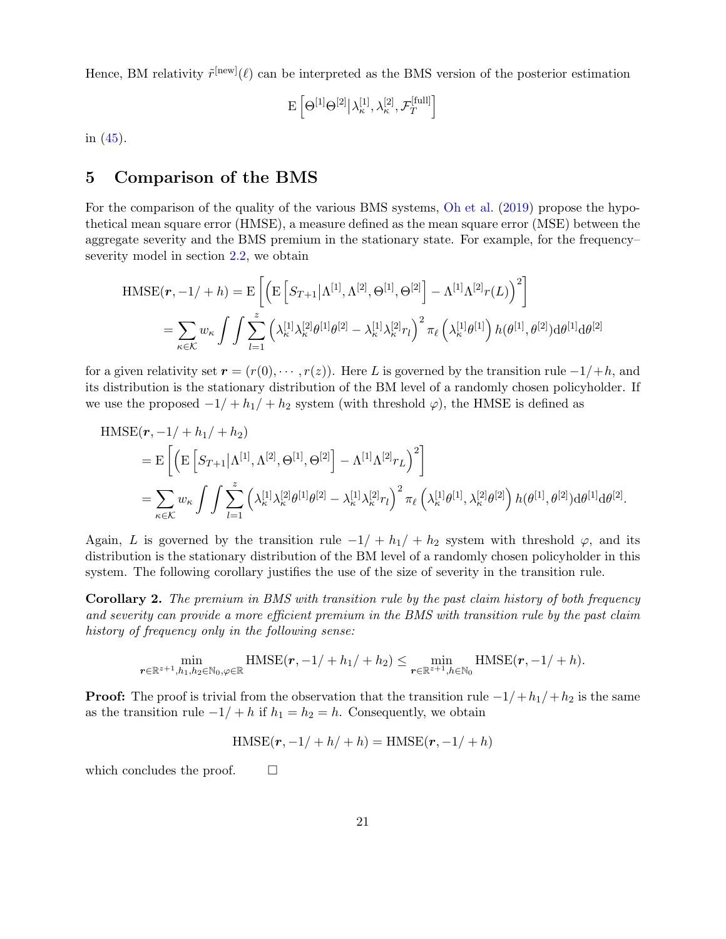Hence, BM relativity  $\tilde{r}^{\text{new}}(\ell)$  can be interpreted as the BMS version of the posterior estimation

$$
\mathrm{E}\left[\Theta^{[1]}\Theta^{[2]} \big| \lambda_\kappa^{[1]}, \lambda_\kappa^{[2]}, \mathcal{F}_T^{[\text{full}]}\right]
$$

in  $(45)$ .

# 5 Comparison of the BMS

For the comparison of the quality of the various BMS systems, [Oh et al.](#page-26-0) [\(2019](#page-26-0)) propose the hypothetical mean square error (HMSE), a measure defined as the mean square error (MSE) between the aggregate severity and the BMS premium in the stationary state. For example, for the frequency– severity model in section [2.2,](#page-7-1) we obtain

$$
\begin{split} \text{HMSE}(\boldsymbol{r}, -1/ + h) &= \text{E}\left[\left(\text{E}\left[S_{T+1}|\Lambda^{[1]}, \Lambda^{[2]}, \Theta^{[1]}, \Theta^{[2]}\right] - \Lambda^{[1]}\Lambda^{[2]}r(L)\right)^{2}\right] \\ &= \sum_{\kappa \in \mathcal{K}} w_{\kappa} \int \int \sum_{l=1}^{z} \left(\lambda_{\kappa}^{[1]}\lambda_{\kappa}^{[2]}\theta^{[1]}\theta^{[2]} - \lambda_{\kappa}^{[1]}\lambda_{\kappa}^{[2]}r_{l}\right)^{2} \pi_{\ell}\left(\lambda_{\kappa}^{[1]}\theta^{[1]}\right)h(\theta^{[1]}, \theta^{[2]})\text{d}\theta^{[1]}\text{d}\theta^{[2]} \end{split}
$$

for a given relativity set  $\mathbf{r} = (r(0), \dots, r(z))$ . Here L is governed by the transition rule  $-1/+h$ , and its distribution is the stationary distribution of the BM level of a randomly chosen policyholder. If we use the proposed  $-1/ + h_1/ + h_2$  system (with threshold  $\varphi$ ), the HMSE is defined as

$$
\begin{split} \text{HMSE}(\boldsymbol{r}, -1/ + h_{1}/ + h_{2}) \\ &= \mathbf{E} \left[ \left( \mathbf{E} \left[ S_{T+1} | \Lambda^{[1]}, \Lambda^{[2]}, \Theta^{[1]}, \Theta^{[2]} \right] - \Lambda^{[1]} \Lambda^{[2]} r_{L} \right)^{2} \right] \\ &= \sum_{\kappa \in \mathcal{K}} w_{\kappa} \int \int \sum_{l=1}^{z} \left( \lambda_{\kappa}^{[1]} \lambda_{\kappa}^{[2]} \theta^{[1]} \theta^{[2]} - \lambda_{\kappa}^{[1]} \lambda_{\kappa}^{[2]} r_{l} \right)^{2} \pi_{\ell} \left( \lambda_{\kappa}^{[1]} \theta^{[1]}, \lambda_{\kappa}^{[2]} \theta^{[2]} \right) h(\theta^{[1]}, \theta^{[2]}) \mathrm{d}\theta^{[1]} \mathrm{d}\theta^{[2]} .\end{split}
$$

Again, L is governed by the transition rule  $-1/ + h_1/ + h_2$  system with threshold  $\varphi$ , and its distribution is the stationary distribution of the BM level of a randomly chosen policyholder in this system. The following corollary justifies the use of the size of severity in the transition rule.

<span id="page-20-0"></span>Corollary 2. The premium in BMS with transition rule by the past claim history of both frequency and severity can provide a more efficient premium in the BMS with transition rule by the past claim history of frequency only in the following sense:

$$
\min_{\boldsymbol{r}\in\mathbb{R}^{z+1},h_1,h_2\in\mathbb{N}_0,\varphi\in\mathbb{R}}\text{HMSE}(\boldsymbol{r},-1/+h_1/+h_2)\leq \min_{\boldsymbol{r}\in\mathbb{R}^{z+1},h\in\mathbb{N}_0}\text{HMSE}(\boldsymbol{r},-1/+h).
$$

**Proof:** The proof is trivial from the observation that the transition rule  $-1/+h_1/h_2$  is the same as the transition rule  $-1/ + h$  if  $h_1 = h_2 = h$ . Consequently, we obtain

$$
\text{HMSE}(\mathbf{r}, -1/ + h/ + h) = \text{HMSE}(\mathbf{r}, -1/ + h)
$$

which concludes the proof.  $\Box$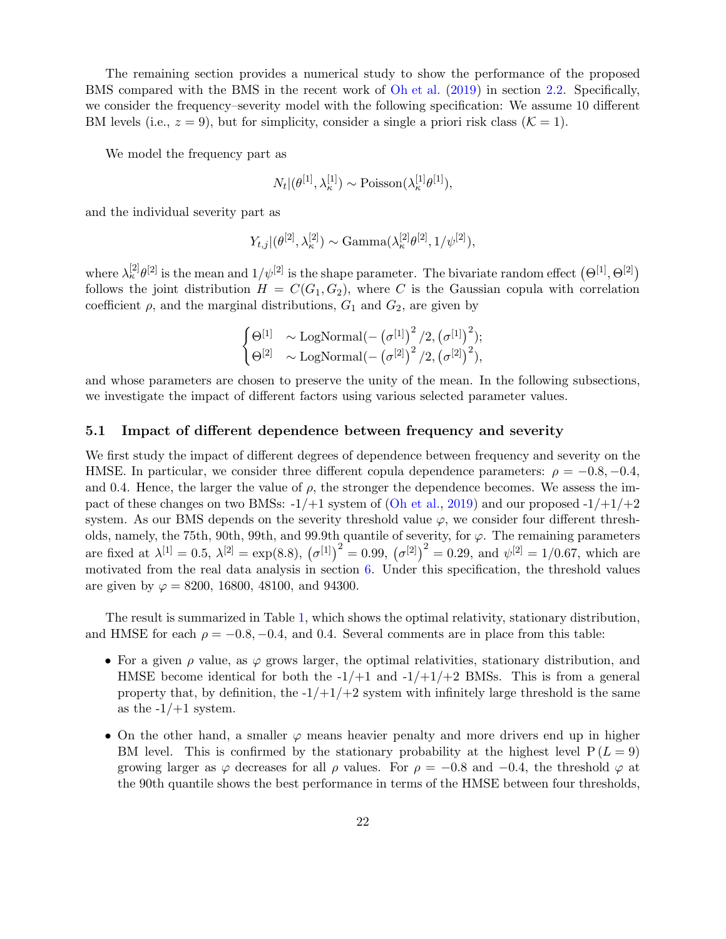The remaining section provides a numerical study to show the performance of the proposed BMS compared with the BMS in the recent work of [Oh et al.](#page-26-0) [\(2019](#page-26-0)) in section [2.2.](#page-7-1) Specifically, we consider the frequency–severity model with the following specification: We assume 10 different BM levels (i.e.,  $z = 9$ ), but for simplicity, consider a single a priori risk class ( $\mathcal{K} = 1$ ).

We model the frequency part as

$$
N_t | (\theta^{[1]}, \lambda^{[1]}_{\kappa}) \sim \text{Poisson}(\lambda^{[1]}_{\kappa} \theta^{[1]}),
$$

and the individual severity part as

$$
Y_{t,j}|(\theta^{[2]}, \lambda^{[2]}_{\kappa}) \sim \text{Gamma}(\lambda^{[2]}_{\kappa} \theta^{[2]}, 1/\psi^{[2]}),
$$

where  $\lambda_k^{[2]} \theta^{[2]}$  is the mean and  $1/\psi^{[2]}$  is the shape parameter. The bivariate random effect  $(\Theta^{[1]}, \Theta^{[2]})$ follows the joint distribution  $H = C(G_1, G_2)$ , where C is the Gaussian copula with correlation coefficient  $\rho$ , and the marginal distributions,  $G_1$  and  $G_2$ , are given by

$$
\begin{cases} \Theta^{[1]} & \sim \text{LogNormal}(-(\sigma^{[1]})^2 / 2, (\sigma^{[1]})^2); \\ \Theta^{[2]} & \sim \text{LogNormal}(-(\sigma^{[2]})^2 / 2, (\sigma^{[2]})^2), \end{cases}
$$

and whose parameters are chosen to preserve the unity of the mean. In the following subsections, we investigate the impact of different factors using various selected parameter values.

### 5.1 Impact of different dependence between frequency and severity

We first study the impact of different degrees of dependence between frequency and severity on the HMSE. In particular, we consider three different copula dependence parameters:  $\rho = -0.8, -0.4$ , and 0.4. Hence, the larger the value of  $\rho$ , the stronger the dependence becomes. We assess the impact of these changes on two BMSs:  $-1/+1$  system of [\(Oh et al.](#page-26-0), [2019](#page-26-0)) and our proposed  $-1/+1/+2$ system. As our BMS depends on the severity threshold value  $\varphi$ , we consider four different thresholds, namely, the 75th, 90th, 99th, and 99.9th quantile of severity, for  $\varphi$ . The remaining parameters are fixed at  $\lambda^{[1]} = 0.5$ ,  $\lambda^{[2]} = \exp(8.8)$ ,  $(\sigma^{[1]})^2 = 0.99$ ,  $(\sigma^{[2]})^2 = 0.29$ , and  $\psi^{[2]} = 1/0.67$ , which are motivated from the real data analysis in section [6.](#page-23-0) Under this specification, the threshold values are given by  $\varphi = 8200, 16800, 48100,$  and 94300.

The result is summarized in Table [1,](#page-32-0) which shows the optimal relativity, stationary distribution, and HMSE for each  $\rho = -0.8, -0.4,$  and 0.4. Several comments are in place from this table:

- For a given  $\rho$  value, as  $\varphi$  grows larger, the optimal relativities, stationary distribution, and HMSE become identical for both the  $-1/+1$  and  $-1/+1/+2$  BMSs. This is from a general property that, by definition, the  $-1/+1/+2$  system with infinitely large threshold is the same as the  $-1/+1$  system.
- On the other hand, a smaller  $\varphi$  means heavier penalty and more drivers end up in higher BM level. This is confirmed by the stationary probability at the highest level  $P(L=9)$ growing larger as  $\varphi$  decreases for all  $\rho$  values. For  $\rho = -0.8$  and  $-0.4$ , the threshold  $\varphi$  at the 90th quantile shows the best performance in terms of the HMSE between four thresholds,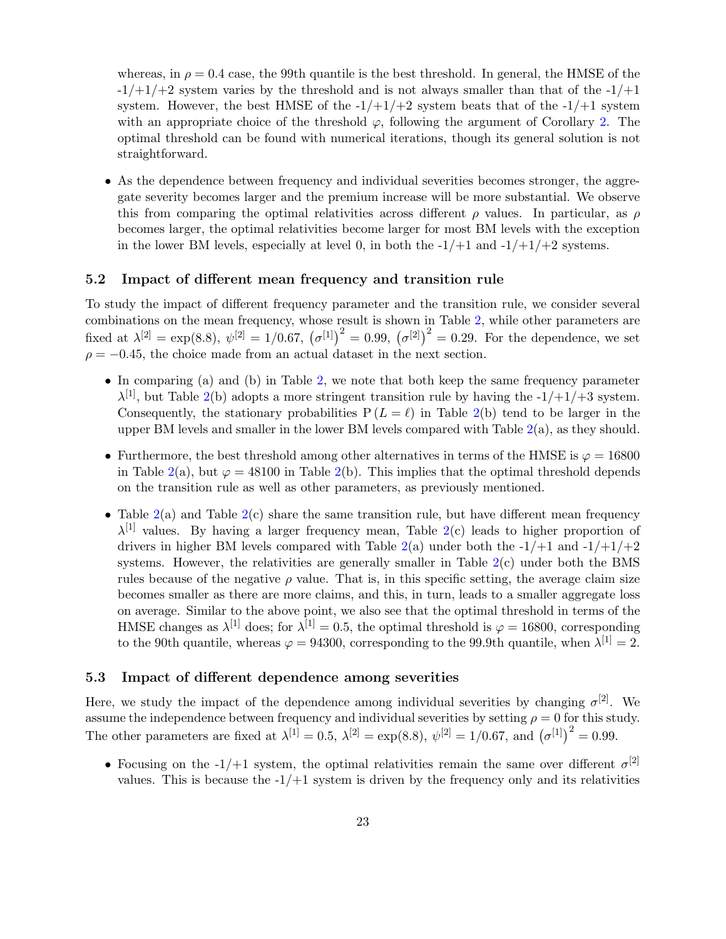whereas, in  $\rho = 0.4$  case, the 99th quantile is the best threshold. In general, the HMSE of the  $-1/+1/+2$  system varies by the threshold and is not always smaller than that of the  $-1/+1$ system. However, the best HMSE of the  $-1/+1/+2$  system beats that of the  $-1/+1$  system with an appropriate choice of the threshold  $\varphi$ , following the argument of Corollary [2.](#page-20-0) The optimal threshold can be found with numerical iterations, though its general solution is not straightforward.

• As the dependence between frequency and individual severities becomes stronger, the aggregate severity becomes larger and the premium increase will be more substantial. We observe this from comparing the optimal relativities across different  $\rho$  values. In particular, as  $\rho$ becomes larger, the optimal relativities become larger for most BM levels with the exception in the lower BM levels, especially at level 0, in both the  $-1/+1$  and  $-1/+1/+2$  systems.

### 5.2 Impact of different mean frequency and transition rule

To study the impact of different frequency parameter and the transition rule, we consider several combinations on the mean frequency, whose result is shown in Table [2,](#page-33-0) while other parameters are fixed at  $\lambda^{[2]} = \exp(8.8), \ \psi^{[2]} = 1/0.67, \ (\sigma^{[1]})^2 = 0.99, \ (\sigma^{[2]})^2 = 0.29.$  For the dependence, we set  $\rho = -0.45$ , the choice made from an actual dataset in the next section.

- In comparing (a) and (b) in Table [2,](#page-33-0) we note that both keep the same frequency parameter  $\lambda^{[1]}$ , but Table [2\(](#page-33-0)b) adopts a more stringent transition rule by having the  $-1/+1/+3$  system. Consequently, the stationary probabilities  $P(L = \ell)$  in Table [2\(](#page-33-0)b) tend to be larger in the upper BM levels and smaller in the lower BM levels compared with Table  $2(a)$  $2(a)$ , as they should.
- Furthermore, the best threshold among other alternatives in terms of the HMSE is  $\varphi = 16800$ in Table [2\(](#page-33-0)a), but  $\varphi = 48100$  in Table 2(b). This implies that the optimal threshold depends on the transition rule as well as other parameters, as previously mentioned.
- Table  $2(a)$  $2(a)$  and Table  $2(c)$  share the same transition rule, but have different mean frequency  $\lambda^{[1]}$  values. By having a larger frequency mean, Table [2\(](#page-33-0)c) leads to higher proportion of drivers in higher BM levels compared with Table  $2(a)$  $2(a)$  under both the  $-1/+1$  and  $-1/+1/+2$ systems. However, the relativities are generally smaller in Table  $2(c)$  $2(c)$  under both the BMS rules because of the negative  $\rho$  value. That is, in this specific setting, the average claim size becomes smaller as there are more claims, and this, in turn, leads to a smaller aggregate loss on average. Similar to the above point, we also see that the optimal threshold in terms of the HMSE changes as  $\lambda^{[1]}$  does; for  $\lambda^{[1]} = 0.5$ , the optimal threshold is  $\varphi = 16800$ , corresponding to the 90th quantile, whereas  $\varphi = 94300$ , corresponding to the 99.9th quantile, when  $\lambda^{[1]} = 2$ .

### 5.3 Impact of different dependence among severities

Here, we study the impact of the dependence among individual severities by changing  $\sigma^{[2]}$ . We assume the independence between frequency and individual severities by setting  $\rho = 0$  for this study. The other parameters are fixed at  $\lambda^{[1]} = 0.5$ ,  $\lambda^{[2]} = \exp(8.8)$ ,  $\psi^{[2]} = 1/0.67$ , and  $(\sigma^{[1]})^2 = 0.99$ .

• Focusing on the -1/+1 system, the optimal relativities remain the same over different  $\sigma^{[2]}$ values. This is because the  $-1/+1$  system is driven by the frequency only and its relativities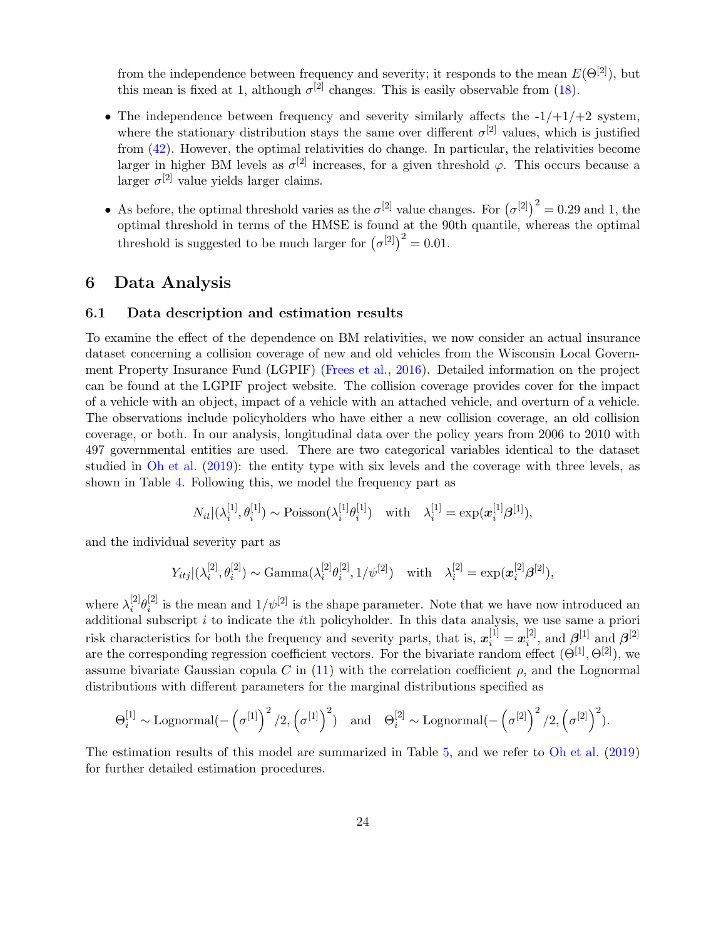from the independence between frequency and severity; it responds to the mean  $E(\Theta^{[2]})$ , but this mean is fixed at 1, although  $\sigma^{[2]}$  changes. This is easily observable from [\(18\)](#page-10-2).

- The independence between frequency and severity similarly affects the  $-1/+1/+2$  system, where the stationary distribution stays the same over different  $\sigma^{[2]}$  values, which is justified from [\(42\)](#page-19-1). However, the optimal relativities do change. In particular, the relativities become larger in higher BM levels as  $\sigma^{[2]}$  increases, for a given threshold  $\varphi$ . This occurs because a larger  $\sigma^{[2]}$  value yields larger claims.
- As before, the optimal threshold varies as the  $\sigma^{[2]}$  value changes. For  $(\sigma^{[2]})^2 = 0.29$  and 1, the optimal threshold in terms of the HMSE is found at the 90th quantile, whereas the optimal threshold is suggested to be much larger for  $(\sigma^{[2]})^2 = 0.01$ .

## <span id="page-23-0"></span>6 Data Analysis

### 6.1 Data description and estimation results

To examine the effect of the dependence on BM relativities, we now consider an actual insurance dataset concerning a collision coverage of new and old vehicles from the Wisconsin Local Government Property Insurance Fund (LGPIF) [\(Frees et al.](#page-26-4), [2016\)](#page-26-4). Detailed information on the project can be found at the LGPIF project website. The collision coverage provides cover for the impact of a vehicle with an object, impact of a vehicle with an attached vehicle, and overturn of a vehicle. The observations include policyholders who have either a new collision coverage, an old collision coverage, or both. In our analysis, longitudinal data over the policy years from 2006 to 2010 with 497 governmental entities are used. There are two categorical variables identical to the dataset studied in [Oh et al.](#page-26-0) [\(2019](#page-26-0)): the entity type with six levels and the coverage with three levels, as shown in Table [4.](#page-35-0) Following this, we model the frequency part as

$$
N_{it}|(\lambda_i^{[1]},\theta_i^{[1]}) \sim \text{Poisson}(\lambda_i^{[1]}\theta_i^{[1]}) \quad \text{with} \quad \lambda_i^{[1]} = \exp(\boldsymbol{x}_i^{[1]}\boldsymbol{\beta}^{[1]}),
$$

and the individual severity part as

$$
Y_{itj}|(\lambda_i^{[2]},\theta_i^{[2]}) \sim \text{Gamma}(\lambda_i^{[2]}\theta_i^{[2]},1/\psi^{[2]}) \text{ with } \lambda_i^{[2]} = \exp(\boldsymbol{x}_i^{[2]}\beta^{[2]}),
$$

where  $\lambda_i^{[2]}$  $_{i}^{[2]}\theta _{i}^{[2]}$  $\binom{[2]}{i}$  is the mean and  $1/\psi^{[2]}$  is the shape parameter. Note that we have now introduced an additional subscript  $i$  to indicate the *i*th policyholder. In this data analysis, we use same a priori risk characteristics for both the frequency and severity parts, that is,  $x_i^{[1]} = x_i^{[2]}$  $\hat{\mathbf{z}}_i^{[2]}$ , and  $\boldsymbol{\beta}^{[1]}$  and  $\boldsymbol{\beta}^{[2]}$ are the corresponding regression coefficient vectors. For the bivariate random effect  $(\Theta^{[1]}, \Theta^{[2]})$ , we assume bivariate Gaussian copula C in [\(11\)](#page-8-0) with the correlation coefficient  $\rho$ , and the Lognormal distributions with different parameters for the marginal distributions specified as

$$
\Theta_i^{[1]} \sim \text{Lognormal}(-\left(\sigma^{[1]}\right)^2/2, \left(\sigma^{[1]}\right)^2) \quad \text{and} \quad \Theta_i^{[2]} \sim \text{Lognormal}(-\left(\sigma^{[2]}\right)^2/2, \left(\sigma^{[2]}\right)^2).
$$

The estimation results of this model are summarized in Table [5,](#page-35-1) and we refer to [Oh et al.](#page-26-0) [\(2019](#page-26-0)) for further detailed estimation procedures.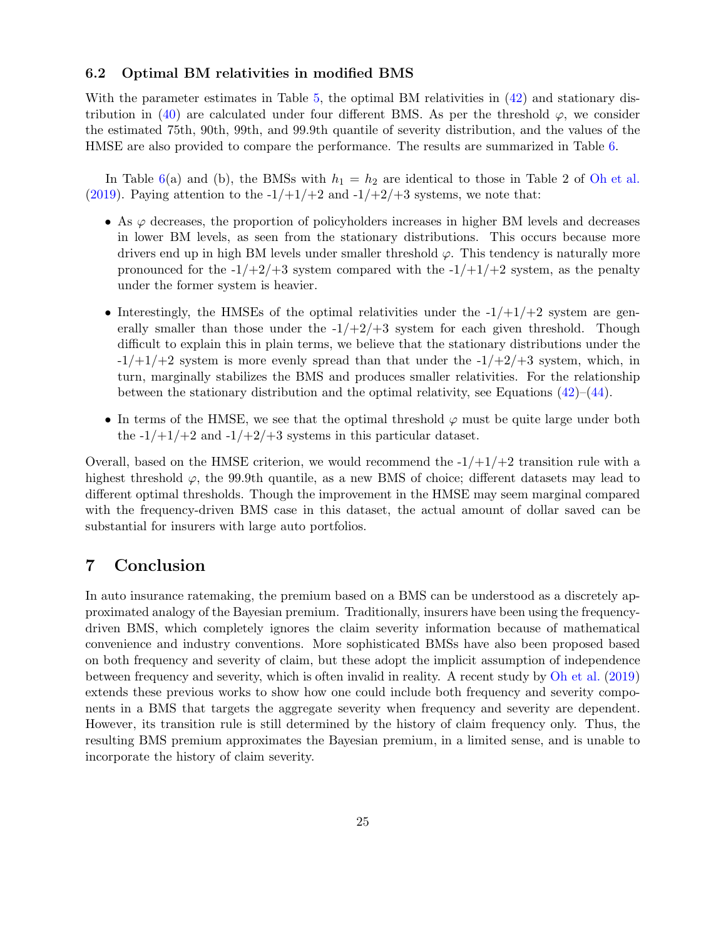### 6.2 Optimal BM relativities in modified BMS

With the parameter estimates in Table [5,](#page-35-1) the optimal BM relativities in  $(42)$  and stationary dis-tribution in [\(40\)](#page-18-0) are calculated under four different BMS. As per the threshold  $\varphi$ , we consider the estimated 75th, 90th, 99th, and 99.9th quantile of severity distribution, and the values of the HMSE are also provided to compare the performance. The results are summarized in Table [6.](#page-36-0)

In Table [6\(](#page-36-0)a) and (b), the BMSs with  $h_1 = h_2$  are identical to those in Table 2 of [Oh et al.](#page-26-0) [\(2019](#page-26-0)). Paying attention to the  $-1/+1/+2$  and  $-1/+2/+3$  systems, we note that:

- As  $\varphi$  decreases, the proportion of policyholders increases in higher BM levels and decreases in lower BM levels, as seen from the stationary distributions. This occurs because more drivers end up in high BM levels under smaller threshold  $\varphi$ . This tendency is naturally more pronounced for the  $-1/+2/+3$  system compared with the  $-1/+1/+2$  system, as the penalty under the former system is heavier.
- Interestingly, the HMSEs of the optimal relativities under the  $-1/+1/+2$  system are generally smaller than those under the  $-1/+2/+3$  system for each given threshold. Though difficult to explain this in plain terms, we believe that the stationary distributions under the  $-1/+1/+2$  system is more evenly spread than that under the  $-1/+2/+3$  system, which, in turn, marginally stabilizes the BMS and produces smaller relativities. For the relationship between the stationary distribution and the optimal relativity, see Equations  $(42)$ – $(44)$ .
- In terms of the HMSE, we see that the optimal threshold  $\varphi$  must be quite large under both the  $-1/+1/+2$  and  $-1/+2/+3$  systems in this particular dataset.

Overall, based on the HMSE criterion, we would recommend the  $-1/+1/+2$  transition rule with a highest threshold  $\varphi$ , the 99.9th quantile, as a new BMS of choice; different datasets may lead to different optimal thresholds. Though the improvement in the HMSE may seem marginal compared with the frequency-driven BMS case in this dataset, the actual amount of dollar saved can be substantial for insurers with large auto portfolios.

## 7 Conclusion

In auto insurance ratemaking, the premium based on a BMS can be understood as a discretely approximated analogy of the Bayesian premium. Traditionally, insurers have been using the frequencydriven BMS, which completely ignores the claim severity information because of mathematical convenience and industry conventions. More sophisticated BMSs have also been proposed based on both frequency and severity of claim, but these adopt the implicit assumption of independence between frequency and severity, which is often invalid in reality. A recent study by [Oh et al.](#page-26-0) [\(2019](#page-26-0)) extends these previous works to show how one could include both frequency and severity components in a BMS that targets the aggregate severity when frequency and severity are dependent. However, its transition rule is still determined by the history of claim frequency only. Thus, the resulting BMS premium approximates the Bayesian premium, in a limited sense, and is unable to incorporate the history of claim severity.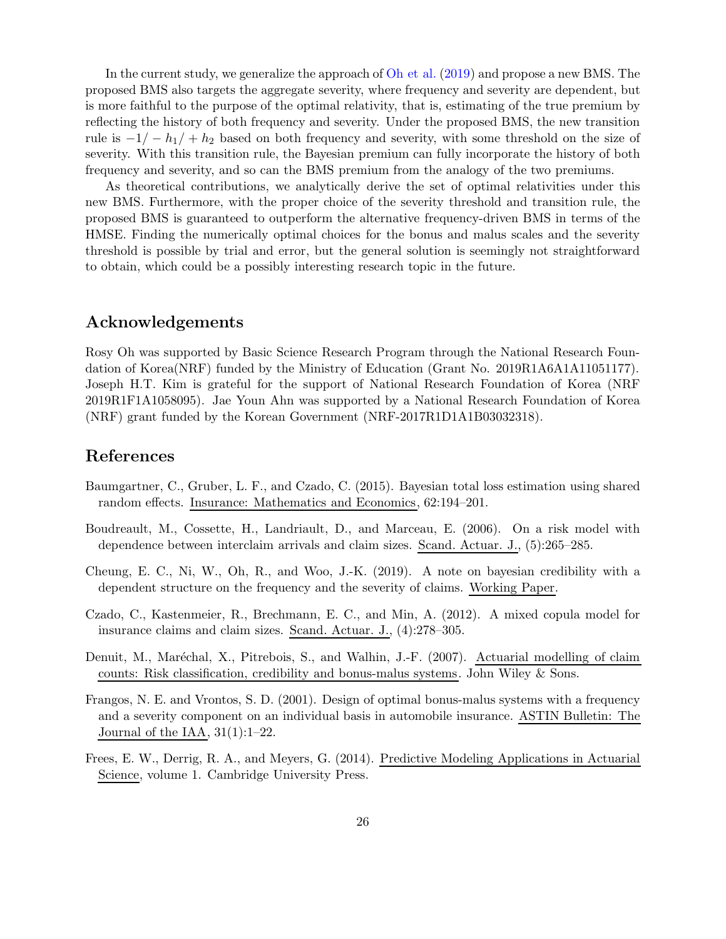In the current study, we generalize the approach of [Oh et al.](#page-26-0) [\(2019](#page-26-0)) and propose a new BMS. The proposed BMS also targets the aggregate severity, where frequency and severity are dependent, but is more faithful to the purpose of the optimal relativity, that is, estimating of the true premium by reflecting the history of both frequency and severity. Under the proposed BMS, the new transition rule is  $-1/- h_1/+ h_2$  based on both frequency and severity, with some threshold on the size of severity. With this transition rule, the Bayesian premium can fully incorporate the history of both frequency and severity, and so can the BMS premium from the analogy of the two premiums.

As theoretical contributions, we analytically derive the set of optimal relativities under this new BMS. Furthermore, with the proper choice of the severity threshold and transition rule, the proposed BMS is guaranteed to outperform the alternative frequency-driven BMS in terms of the HMSE. Finding the numerically optimal choices for the bonus and malus scales and the severity threshold is possible by trial and error, but the general solution is seemingly not straightforward to obtain, which could be a possibly interesting research topic in the future.

## Acknowledgements

Rosy Oh was supported by Basic Science Research Program through the National Research Foundation of Korea(NRF) funded by the Ministry of Education (Grant No. 2019R1A6A1A11051177). Joseph H.T. Kim is grateful for the support of National Research Foundation of Korea (NRF 2019R1F1A1058095). Jae Youn Ahn was supported by a National Research Foundation of Korea (NRF) grant funded by the Korean Government (NRF-2017R1D1A1B03032318).

## References

- <span id="page-25-4"></span>Baumgartner, C., Gruber, L. F., and Czado, C. (2015). Bayesian total loss estimation using shared random effects. Insurance: Mathematics and Economics, 62:194–201.
- <span id="page-25-3"></span>Boudreault, M., Cossette, H., Landriault, D., and Marceau, E. (2006). On a risk model with dependence between interclaim arrivals and claim sizes. Scand. Actuar. J., (5):265–285.
- <span id="page-25-5"></span>Cheung, E. C., Ni, W., Oh, R., and Woo, J.-K. (2019). A note on bayesian credibility with a dependent structure on the frequency and the severity of claims. Working Paper.
- <span id="page-25-1"></span>Czado, C., Kastenmeier, R., Brechmann, E. C., and Min, A. (2012). A mixed copula model for insurance claims and claim sizes. Scand. Actuar. J., (4):278–305.
- <span id="page-25-0"></span>Denuit, M., Maréchal, X., Pitrebois, S., and Walhin, J.-F. (2007). Actuarial modelling of claim counts: Risk classification, credibility and bonus-malus systems. John Wiley & Sons.
- <span id="page-25-6"></span>Frangos, N. E. and Vrontos, S. D. (2001). Design of optimal bonus-malus systems with a frequency and a severity component on an individual basis in automobile insurance. ASTIN Bulletin: The Journal of the IAA, 31(1):1–22.
- <span id="page-25-2"></span>Frees, E. W., Derrig, R. A., and Meyers, G. (2014). Predictive Modeling Applications in Actuarial Science, volume 1. Cambridge University Press.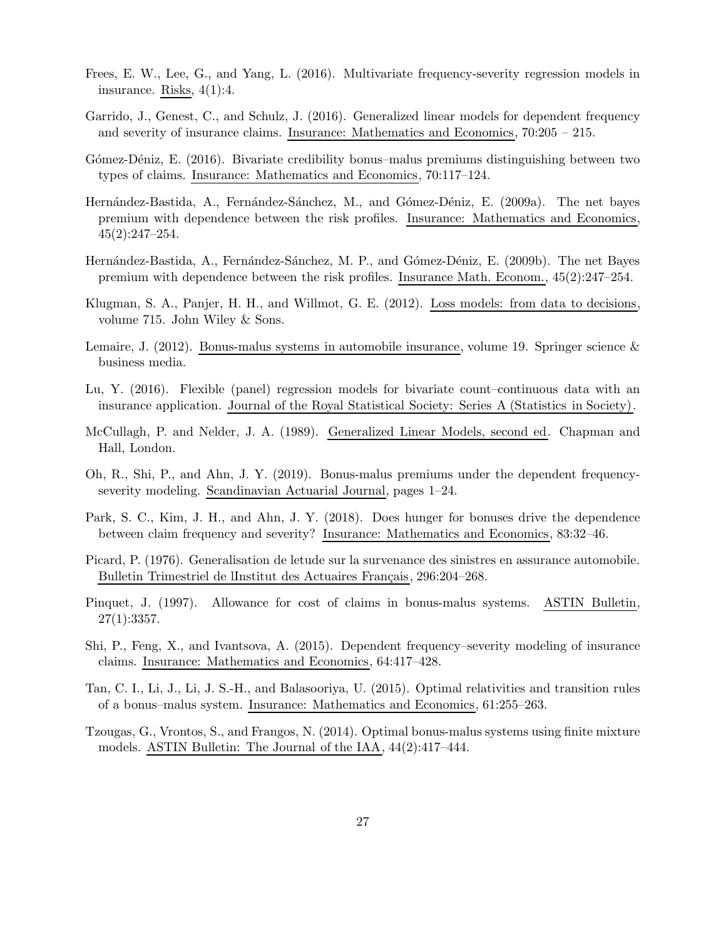- <span id="page-26-4"></span>Frees, E. W., Lee, G., and Yang, L. (2016). Multivariate frequency-severity regression models in insurance. Risks, 4(1):4.
- <span id="page-26-5"></span>Garrido, J., Genest, C., and Schulz, J. (2016). Generalized linear models for dependent frequency and severity of insurance claims. Insurance: Mathematics and Economics, 70:205 – 215.
- <span id="page-26-12"></span>Gómez-Déniz, E. (2016). Bivariate credibility bonus–malus premiums distinguishing between two types of claims. Insurance: Mathematics and Economics, 70:117–124.
- <span id="page-26-15"></span>Hernández-Bastida, A., Fernández-Sánchez, M., and Gómez-Déniz, E. (2009a). The net bayes premium with dependence between the risk profiles. Insurance: Mathematics and Economics,  $45(2):247-254.$
- <span id="page-26-9"></span>Hernández-Bastida, A., Fernández-Sánchez, M. P., and Gómez-Déniz, E. (2009b). The net Bayes premium with dependence between the risk profiles. Insurance Math. Econom., 45(2):247–254.
- <span id="page-26-3"></span>Klugman, S. A., Panjer, H. H., and Willmot, G. E. (2012). Loss models: from data to decisions, volume 715. John Wiley & Sons.
- <span id="page-26-1"></span>Lemaire, J. (2012). Bonus-malus systems in automobile insurance, volume 19. Springer science  $\&$ business media.
- <span id="page-26-10"></span>Lu, Y. (2016). Flexible (panel) regression models for bivariate count–continuous data with an insurance application. Journal of the Royal Statistical Society: Series A (Statistics in Society).
- <span id="page-26-13"></span>McCullagh, P. and Nelder, J. A. (1989). Generalized Linear Models, second ed. Chapman and Hall, London.
- <span id="page-26-0"></span>Oh, R., Shi, P., and Ahn, J. Y. (2019). Bonus-malus premiums under the dependent frequencyseverity modeling. Scandinavian Actuarial Journal, pages 1–24.
- <span id="page-26-7"></span>Park, S. C., Kim, J. H., and Ahn, J. Y. (2018). Does hunger for bonuses drive the dependence between claim frequency and severity? Insurance: Mathematics and Economics, 83:32–46.
- <span id="page-26-14"></span>Picard, P. (1976). Generalisation de letude sur la survenance des sinistres en assurance automobile. Bulletin Trimestriel de lInstitut des Actuaires Français, 296:204–268.
- <span id="page-26-8"></span>Pinquet, J. (1997). Allowance for cost of claims in bonus-malus systems. ASTIN Bulletin,  $27(1):3357.$
- <span id="page-26-6"></span>Shi, P., Feng, X., and Ivantsova, A. (2015). Dependent frequency–severity modeling of insurance claims. Insurance: Mathematics and Economics, 64:417–428.
- <span id="page-26-2"></span>Tan, C. I., Li, J., Li, J. S.-H., and Balasooriya, U. (2015). Optimal relativities and transition rules of a bonus–malus system. Insurance: Mathematics and Economics, 61:255–263.
- <span id="page-26-11"></span>Tzougas, G., Vrontos, S., and Frangos, N. (2014). Optimal bonus-malus systems using finite mixture models. ASTIN Bulletin: The Journal of the IAA, 44(2):417–444.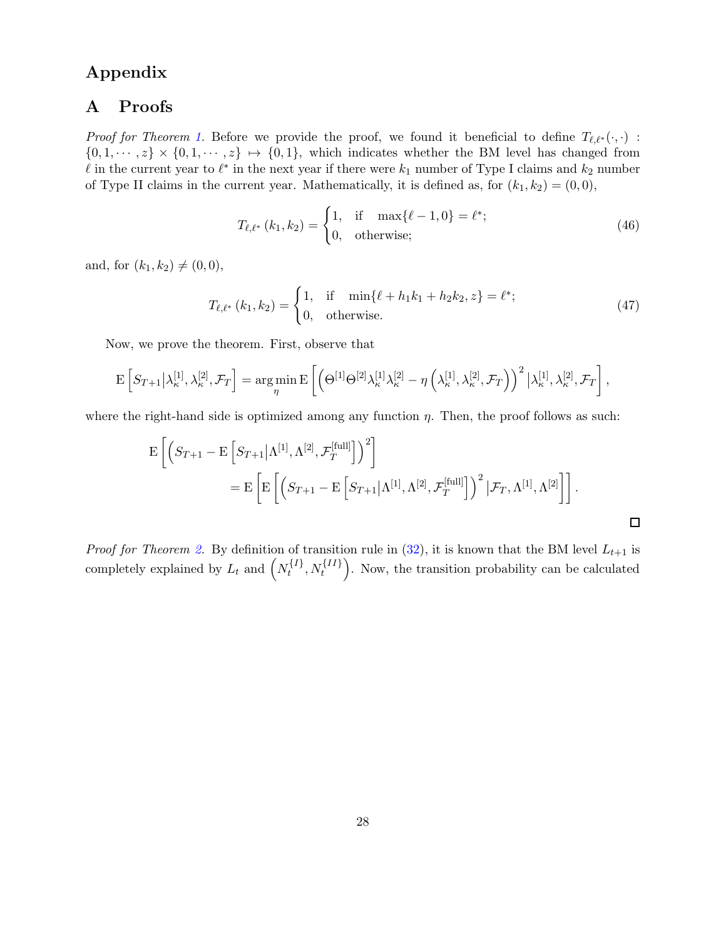## <span id="page-27-0"></span>Appendix

## A Proofs

*Proof for Theorem [1.](#page-15-1)* Before we provide the proof, we found it beneficial to define  $T_{\ell,\ell^*}(\cdot,\cdot)$ :  $\{0, 1, \dots, z\} \times \{0, 1, \dots, z\} \mapsto \{0, 1\}$ , which indicates whether the BM level has changed from leq in the current year to  $\ell^*$  in the next year if there were  $k_1$  number of Type I claims and  $k_2$  number of Type II claims in the current year. Mathematically, it is defined as, for  $(k_1, k_2) = (0, 0)$ ,

$$
T_{\ell,\ell^*} (k_1, k_2) = \begin{cases} 1, & \text{if } \max\{\ell - 1, 0\} = \ell^*; \\ 0, & \text{otherwise}; \end{cases}
$$
 (46)

and, for  $(k_1, k_2) \neq (0, 0)$ ,

$$
T_{\ell,\ell^*} (k_1, k_2) = \begin{cases} 1, & \text{if } \min\{\ell + h_1 k_1 + h_2 k_2, z\} = \ell^*; \\ 0, & \text{otherwise.} \end{cases} \tag{47}
$$

Now, we prove the theorem. First, observe that

$$
\mathrm{E}\left[S_{T+1}\big|\lambda_{\kappa}^{[1]},\lambda_{\kappa}^{[2]},\mathcal{F}_{T}\right]=\underset{\eta}{\arg\min}\,\mathrm{E}\left[\left(\Theta^{[1]}\Theta^{[2]}\lambda_{\kappa}^{[1]}\lambda_{\kappa}^{[2]}-\eta\left(\lambda_{\kappa}^{[1]},\lambda_{\kappa}^{[2]},\mathcal{F}_{T}\right)\right)^{2}\big|\lambda_{\kappa}^{[1]},\lambda_{\kappa}^{[2]},\mathcal{F}_{T}\right],
$$

where the right-hand side is optimized among any function  $\eta$ . Then, the proof follows as such:

$$
E\left[\left(S_{T+1} - E\left[S_{T+1} | \Lambda^{[1]}, \Lambda^{[2]}, \mathcal{F}_T^{[full]}\right]\right)^2\right] \\
= E\left[E\left[\left(S_{T+1} - E\left[S_{T+1} | \Lambda^{[1]}, \Lambda^{[2]}, \mathcal{F}_T^{[full]}\right]\right)^2 | \mathcal{F}_T, \Lambda^{[1]}, \Lambda^{[2]}\right]\right].
$$

*Proof for Theorem [2.](#page-17-2)* By definition of transition rule in [\(32\)](#page-16-0), it is known that the BM level  $L_{t+1}$  is completely explained by  $L_t$  and  $(N_t^{\{I\}})$  $(t_i^{\{I\}}, N_t^{\{II\}})$ . Now, the transition probability can be calculated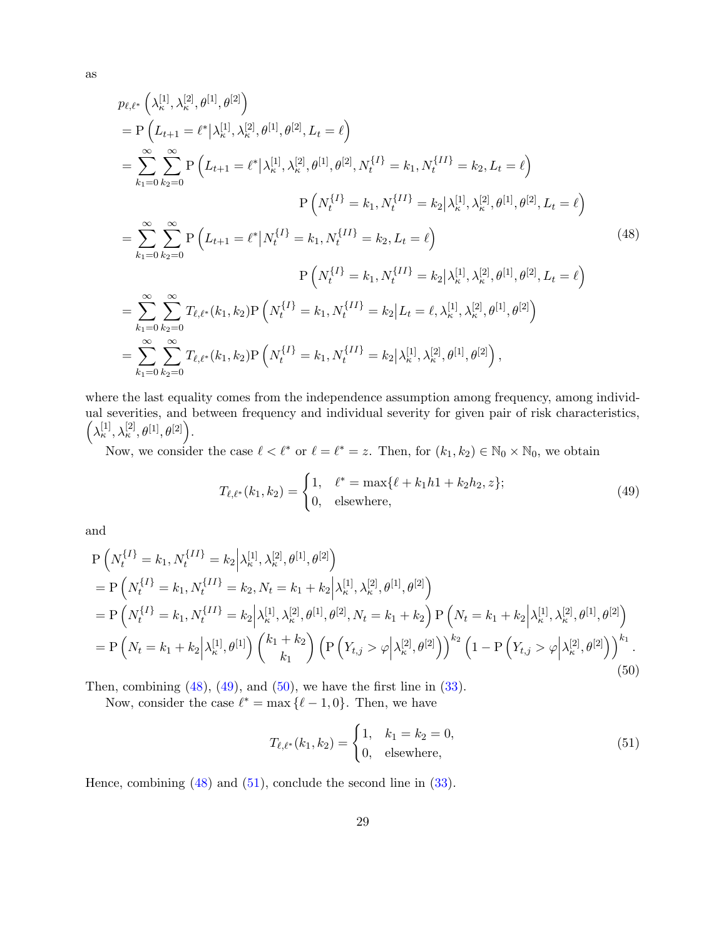<span id="page-28-0"></span>
$$
p_{\ell,\ell^*} \left( \lambda_{\kappa}^{[1]}, \lambda_{\kappa}^{[2]}, \theta^{[1]}, \theta^{[2]} \right)
$$
  
=  $P \left( L_{t+1} = \ell^* | \lambda_{\kappa}^{[1]}, \lambda_{\kappa}^{[2]}, \theta^{[1]}, \theta^{[2]}, L_t = \ell \right)$   
=  $\sum_{k_1=0}^{\infty} \sum_{k_2=0}^{\infty} P \left( L_{t+1} = \ell^* | \lambda_{\kappa}^{[1]}, \lambda_{\kappa}^{[2]}, \theta^{[1]}, \theta^{[2]}, N_t^{\{I\}} = k_1, N_t^{\{II\}} = k_2, L_t = \ell \right)$   
 $P \left( N_t^{\{I\}} = k_1, N_t^{\{II\}} = k_2 | \lambda_{\kappa}^{[1]}, \lambda_{\kappa}^{[2]}, \theta^{[1]}, \theta^{[2]} \right)$ 

$$
P\left(N_t^{\{I\}} = k_1, N_t^{\{II\}} = k_2 | \lambda_{\kappa}^{[1]}, \lambda_{\kappa}^{[2]}, \theta^{[1]}, \theta^{[2]}, L_t = \ell\right)
$$
\n
$$
= \sum_{k_1=0}^{\infty} \sum_{k_2=0}^{\infty} P\left(L_{t+1} = \ell^* | N_t^{\{I\}} = k_1, N_t^{\{II\}} = k_2, L_t = \ell\right)
$$
\n
$$
P\left(N_t^{\{I\}} = k_1, N_t^{\{II\}} = k_2 | \lambda_{\kappa}^{[1]}, \lambda_{\kappa}^{[2]}, \theta^{[1]}, \theta^{[2]}, L_t = \ell\right)
$$
\n
$$
= \sum_{k_1=0}^{\infty} \sum_{k_2=0}^{\infty} T_{\ell, \ell^*}(k_1, k_2) P\left(N_t^{\{I\}} = k_1, N_t^{\{II\}} = k_2 | L_t = \ell, \lambda_{\kappa}^{[1]}, \lambda_{\kappa}^{[2]}, \theta^{[1]}, \theta^{[2]}\right)
$$
\n
$$
= \sum_{k_1=0}^{\infty} \sum_{k_2=0}^{\infty} T_{\ell, \ell^*}(k_1, k_2) P\left(N_t^{\{I\}} = k_1, N_t^{\{II\}} = k_2 | \lambda_{\kappa}^{[1]}, \lambda_{\kappa}^{[2]}, \theta^{[1]}, \theta^{[2]}\right),
$$
\n(48)

where the last equality comes from the independence assumption among frequency, among individual severities, and between frequency and individual severity for given pair of risk characteristics,  $\left(\lambda_\kappa^{[1]},\lambda_\kappa^{[2]},\theta^{[1]},\theta^{[2]}\right).$ 

Now, we consider the case  $\ell < \ell^*$  or  $\ell = \ell^* = z$ . Then, for  $(k_1, k_2) \in \mathbb{N}_0 \times \mathbb{N}_0$ , we obtain

<span id="page-28-1"></span>
$$
T_{\ell,\ell^*}(k_1,k_2) = \begin{cases} 1, & \ell^* = \max\{\ell + k_1h1 + k_2h_2, z\};\\ 0, & \text{elsewhere,} \end{cases}
$$
(49)

<span id="page-28-2"></span>and

$$
P\left(N_t^{\{I\}} = k_1, N_t^{\{II\}} = k_2 \middle| \lambda_k^{[1]}, \lambda_k^{[2]}, \theta^{[1]}, \theta^{[2]}\right)
$$
  
\n
$$
= P\left(N_t^{\{I\}} = k_1, N_t^{\{II\}} = k_2, N_t = k_1 + k_2 \middle| \lambda_k^{[1]}, \lambda_k^{[2]}, \theta^{[1]}, \theta^{[2]}\right)
$$
  
\n
$$
= P\left(N_t^{\{I\}} = k_1, N_t^{\{II\}} = k_2 \middle| \lambda_k^{[1]}, \lambda_k^{[2]}, \theta^{[1]}, \theta^{[2]}, N_t = k_1 + k_2\right) P\left(N_t = k_1 + k_2 \middle| \lambda_k^{[1]}, \lambda_k^{[2]}, \theta^{[1]}, \theta^{[2]}\right)
$$
  
\n
$$
= P\left(N_t = k_1 + k_2 \middle| \lambda_k^{[1]}, \theta^{[1]}\right) \left(\begin{matrix} k_1 + k_2 \ k_1 \end{matrix}\right) \left(P\left(Y_{t,j} > \varphi \middle| \lambda_k^{[2]}, \theta^{[2]}\right)\right)^{k_2} \left(1 - P\left(Y_{t,j} > \varphi \middle| \lambda_k^{[2]}, \theta^{[2]}\right)\right)^{k_1}.
$$
\n(50)

Then, combining  $(48)$ ,  $(49)$ , and  $(50)$ , we have the first line in  $(33)$ .

Now, consider the case  $\ell^* = \max \{\ell - 1, 0\}$ . Then, we have

<span id="page-28-3"></span>
$$
T_{\ell,\ell^*}(k_1, k_2) = \begin{cases} 1, & k_1 = k_2 = 0, \\ 0, & \text{elsewhere,} \end{cases}
$$
 (51)

Hence, combining [\(48\)](#page-28-0) and [\(51\)](#page-28-3), conclude the second line in [\(33\)](#page-17-1).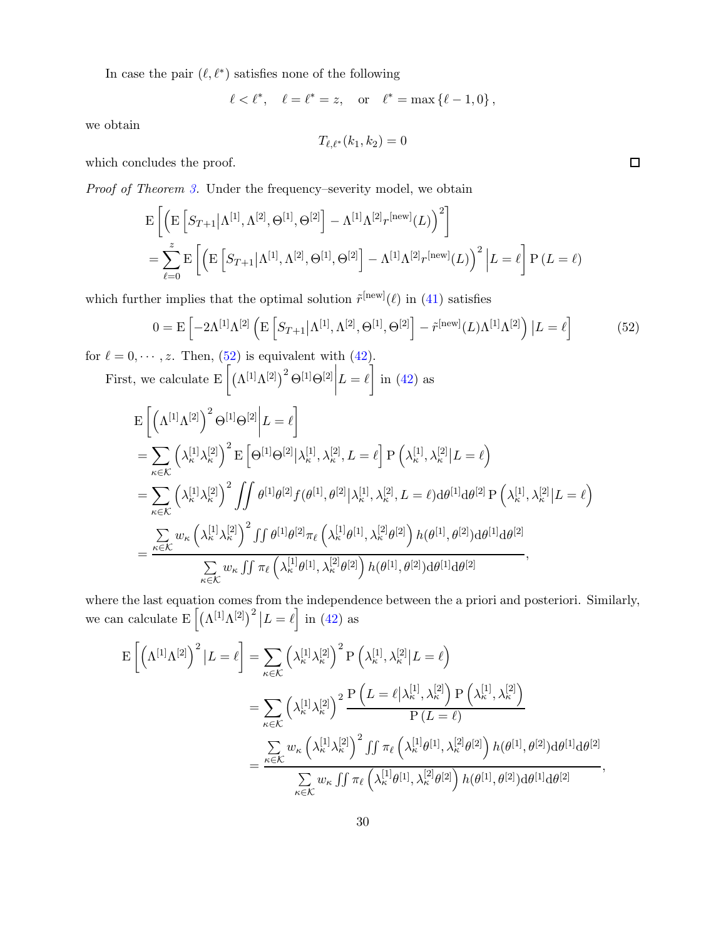In case the pair  $(\ell, \ell^*)$  satisfies none of the following

$$
\ell < \ell^*, \quad \ell = \ell^* = z, \quad \text{or} \quad \ell^* = \max \{ \ell - 1, 0 \},
$$

we obtain

$$
T_{\ell,\ell^*}(k_1,k_2)=0
$$

which concludes the proof.

Proof of Theorem [3.](#page-19-4) Under the frequency–severity model, we obtain

$$
\mathcal{E}\left[\left(\mathcal{E}\left[S_{T+1}|\Lambda^{[1]},\Lambda^{[2]},\Theta^{[1]},\Theta^{[2]}\right] - \Lambda^{[1]}\Lambda^{[2]}\mathbf{r}^{[\text{new}]}(L)\right)^{2}\right] \n= \sum_{\ell=0}^{z} \mathcal{E}\left[\left(\mathcal{E}\left[S_{T+1}|\Lambda^{[1]},\Lambda^{[2]},\Theta^{[1]},\Theta^{[2]}\right] - \Lambda^{[1]}\Lambda^{[2]}\mathbf{r}^{[\text{new}]}(L)\right)^{2}\Big| L = \ell\right] \mathcal{P}\left(L = \ell\right)
$$

which further implies that the optimal solution  $\tilde{r}^{\text{new}}(\ell)$  in [\(41\)](#page-19-0) satisfies

$$
0 = \mathcal{E}\left[-2\Lambda^{[1]}\Lambda^{[2]}\left(\mathcal{E}\left[S_{T+1}|\Lambda^{[1]},\Lambda^{[2]},\Theta^{[1]},\Theta^{[2]}\right] - \tilde{r}^{[\text{new}]}(L)\Lambda^{[1]}\Lambda^{[2]}\right)|L = \ell\right]
$$
(52)

for  $\ell = 0, \dots, z$ . Then,  $(52)$  is equivalent with  $(42)$ .

First, we calculate  $E\left[\left(\Lambda^{[1]}\Lambda^{[2]}\right)^2\Theta^{[1]}\Theta^{[2]}\right]$  $L = \ell \overline{\phantom{a}}$  in [\(42\)](#page-19-1) as

$$
\begin{split}\n&E\left[\left(\Lambda^{[1]}\Lambda^{[2]}\right)^{2}\Theta^{[1]}\Theta^{[2]}\Big|L=\ell\right] \\
&= \sum_{\kappa\in\mathcal{K}}\left(\lambda_{\kappa}^{[1]}\lambda_{\kappa}^{[2]}\right)^{2}E\left[\Theta^{[1]}\Theta^{[2]}\big|\lambda_{\kappa}^{[1]},\lambda_{\kappa}^{[2]},L=\ell\right]\mathbf{P}\left(\lambda_{\kappa}^{[1]},\lambda_{\kappa}^{[2]}\big|L=\ell\right) \\
&= \sum_{\kappa\in\mathcal{K}}\left(\lambda_{\kappa}^{[1]}\lambda_{\kappa}^{[2]}\right)^{2}\iint\theta^{[1]}\theta^{[2]}f(\theta^{[1]},\theta^{[2]}\big|\lambda_{\kappa}^{[1]},\lambda_{\kappa}^{[2]},L=\ell)d\theta^{[1]}\mathrm{d}\theta^{[2]}\mathbf{P}\left(\lambda_{\kappa}^{[1]},\lambda_{\kappa}^{[2]}\big|L=\ell\right) \\
&= \frac{\sum_{\kappa\in\mathcal{K}}w_{\kappa}\left(\lambda_{\kappa}^{[1]}\lambda_{\kappa}^{[2]}\right)^{2}\iint\theta^{[1]}\theta^{[2]}\pi_{\ell}\left(\lambda_{\kappa}^{[1]}\theta^{[1]},\lambda_{\kappa}^{[2]}\theta^{[2]}\right)h(\theta^{[1]},\theta^{[2]})\mathrm{d}\theta^{[1]}\mathrm{d}\theta^{[2]}}{\sum_{\kappa\in\mathcal{K}}w_{\kappa}\iint\pi_{\ell}\left(\lambda_{\kappa}^{[1]}\theta^{[1]},\lambda_{\kappa}^{[2]}\theta^{[2]}\right)h(\theta^{[1]},\theta^{[2]})\mathrm{d}\theta^{[1]}\mathrm{d}\theta^{[2]}},\n\end{split}
$$

where the last equation comes from the independence between the a priori and posteriori. Similarly, we can calculate  $E\left[\left(\Lambda^{[1]}\Lambda^{[2]}\right)^2 | L = \ell\right]$  in [\(42\)](#page-19-1) as

$$
\begin{split} \mathcal{E}\left[\left(\Lambda^{[1]}\Lambda^{[2]}\right)^{2}\left|L=\ell\right] &= \sum_{\kappa\in\mathcal{K}}\left(\lambda_{\kappa}^{[1]}\lambda_{\kappa}^{[2]}\right)^{2}\mathcal{P}\left(\lambda_{\kappa}^{[1]},\lambda_{\kappa}^{[2]}\left|L=\ell\right)\right) \\ &= \sum_{\kappa\in\mathcal{K}}\left(\lambda_{\kappa}^{[1]}\lambda_{\kappa}^{[2]}\right)^{2}\frac{\mathcal{P}\left(L=\ell\left|\lambda_{\kappa}^{[1]},\lambda_{\kappa}^{[2]}\right)\mathcal{P}\left(\lambda_{\kappa}^{[1]},\lambda_{\kappa}^{[2]}\right)\right)}{\mathcal{P}\left(L=\ell\right)} \\ &= \frac{\sum\limits_{\kappa\in\mathcal{K}}w_{\kappa}\left(\lambda_{\kappa}^{[1]}\lambda_{\kappa}^{[2]}\right)^{2}\iint\pi_{\ell}\left(\lambda_{\kappa}^{[1]}\theta^{[1]},\lambda_{\kappa}^{[2]}\theta^{[2]}\right)h(\theta^{[1]},\theta^{[2]})\mathrm{d}\theta^{[1]}\mathrm{d}\theta^{[2]}}{\sum\limits_{\kappa\in\mathcal{K}}w_{\kappa}\iint\pi_{\ell}\left(\lambda_{\kappa}^{[1]}\theta^{[1]},\lambda_{\kappa}^{[2]}\theta^{[2]}\right)h(\theta^{[1]},\theta^{[2]})\mathrm{d}\theta^{[1]}\mathrm{d}\theta^{[2]}},\end{split}
$$

<span id="page-29-0"></span> $\Box$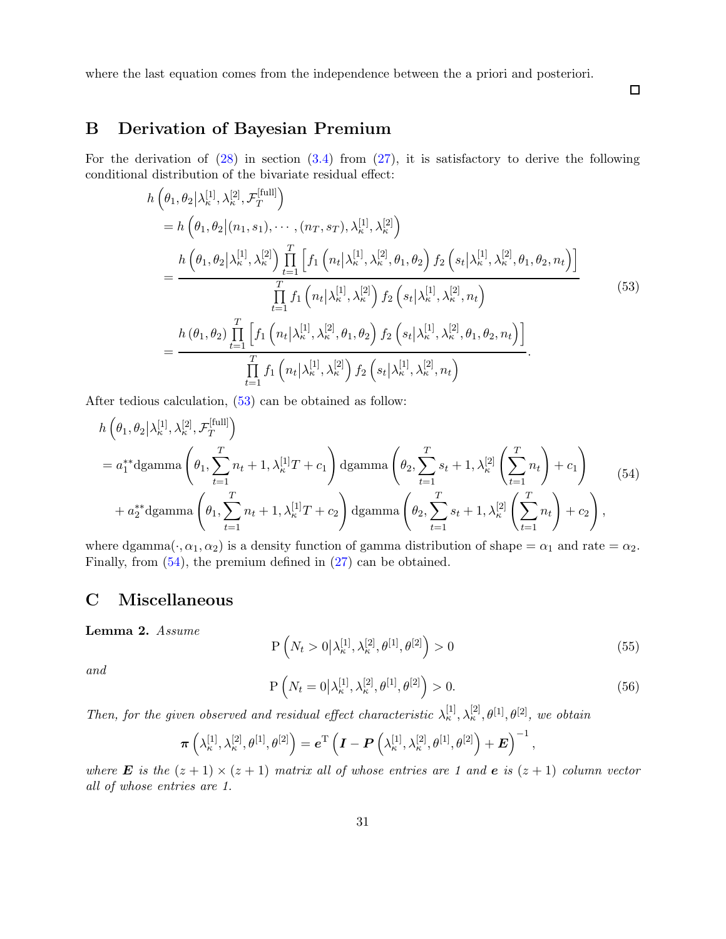where the last equation comes from the independence between the a priori and posteriori.

<span id="page-30-3"></span> $\Box$ 

# <span id="page-30-0"></span>B Derivation of Bayesian Premium

For the derivation of  $(28)$  in section  $(3.4)$  from  $(27)$ , it is satisfactory to derive the following conditional distribution of the bivariate residual effect:

$$
h\left(\theta_{1},\theta_{2}|\lambda_{\kappa}^{[1]},\lambda_{\kappa}^{[2]},\mathcal{F}_{T}^{[\text{full}]}\right) = h\left(\theta_{1},\theta_{2}|(n_{1},s_{1}),\cdots,(n_{T},s_{T}),\lambda_{\kappa}^{[1]},\lambda_{\kappa}^{[2]}\right) = \frac{h\left(\theta_{1},\theta_{2}|\lambda_{\kappa}^{[1]},\lambda_{\kappa}^{[2]}\right)\prod_{t=1}^{T}\left[f_{1}\left(n_{t}|\lambda_{\kappa}^{[1]},\lambda_{\kappa}^{[2]},\theta_{1},\theta_{2}\right)f_{2}\left(s_{t}|\lambda_{\kappa}^{[1]},\lambda_{\kappa}^{[2]},\theta_{1},\theta_{2},n_{t}\right)\right]}{\prod_{t=1}^{T}f_{1}\left(n_{t}|\lambda_{\kappa}^{[1]},\lambda_{\kappa}^{[2]}\right)f_{2}\left(s_{t}|\lambda_{\kappa}^{[1]},\lambda_{\kappa}^{[2]},n_{t}\right)} = \frac{h\left(\theta_{1},\theta_{2}\right)\prod_{t=1}^{T}\left[f_{1}\left(n_{t}|\lambda_{\kappa}^{[1]},\lambda_{\kappa}^{[2]},\theta_{1},\theta_{2}\right)f_{2}\left(s_{t}|\lambda_{\kappa}^{[1]},\lambda_{\kappa}^{[2]},\theta_{1},\theta_{2},n_{t}\right)\right]}{\prod_{t=1}^{T}f_{1}\left(n_{t}|\lambda_{\kappa}^{[1]},\lambda_{\kappa}^{[2]}\right)f_{2}\left(s_{t}|\lambda_{\kappa}^{[1]},\lambda_{\kappa}^{[2]},n_{t}\right)}.
$$
\n(53)

After tedious calculation, [\(53\)](#page-30-3) can be obtained as follow:

$$
h\left(\theta_{1},\theta_{2}|\lambda_{\kappa}^{[1]},\lambda_{\kappa}^{[2]},\mathcal{F}_{T}^{[\text{full}]}\right)
$$
  
=  $a_{1}^{*}\text{dgamma}\left(\theta_{1},\sum_{t=1}^{T}n_{t}+1,\lambda_{\kappa}^{[1]}T+c_{1}\right)\text{dgamma}\left(\theta_{2},\sum_{t=1}^{T}s_{t}+1,\lambda_{\kappa}^{[2]}\left(\sum_{t=1}^{T}n_{t}\right)+c_{1}\right)$  (54)  
+  $a_{2}^{*}\text{dgamma}\left(\theta_{1},\sum_{t=1}^{T}n_{t}+1,\lambda_{\kappa}^{[1]}T+c_{2}\right)\text{dgamma}\left(\theta_{2},\sum_{t=1}^{T}s_{t}+1,\lambda_{\kappa}^{[2]}\left(\sum_{t=1}^{T}n_{t}\right)+c_{2}\right),$ 

where dgamma $(\cdot, \alpha_1, \alpha_2)$  is a density function of gamma distribution of shape =  $\alpha_1$  and rate =  $\alpha_2$ . Finally, from [\(54\)](#page-30-4), the premium defined in [\(27\)](#page-14-4) can be obtained.

## <span id="page-30-2"></span>C Miscellaneous

<span id="page-30-1"></span>Lemma 2. Assume

<span id="page-30-5"></span><span id="page-30-4"></span>
$$
P\left(N_t > 0 \middle| \lambda_{\kappa}^{[1]}, \lambda_{\kappa}^{[2]}, \theta^{[1]}, \theta^{[2]} \right) > 0 \tag{55}
$$

<span id="page-30-6"></span>and

$$
P\left(N_t = 0 \middle| \lambda_{\kappa}^{[1]}, \lambda_{\kappa}^{[2]}, \theta^{[1]}, \theta^{[2]} \right) > 0. \tag{56}
$$

Then, for the given observed and residual effect characteristic  $\lambda_{\kappa}^{[1]}, \lambda_{\kappa}^{[2]}, \theta^{[1]}, \theta^{[2]},$  we obtain

$$
\boldsymbol{\pi}\left(\lambda_{\kappa}^{[1]},\lambda_{\kappa}^{[2]},\theta^{[1]},\theta^{[2]}\right)=\boldsymbol{e}^{\mathrm{T}}\left(\boldsymbol{I}-\boldsymbol{P}\left(\lambda_{\kappa}^{[1]},\lambda_{\kappa}^{[2]},\theta^{[1]},\theta^{[2]}\right)+\boldsymbol{E}\right)^{-1},
$$

where **E** is the  $(z + 1) \times (z + 1)$  matrix all of whose entries are 1 and **e** is  $(z + 1)$  column vector all of whose entries are 1.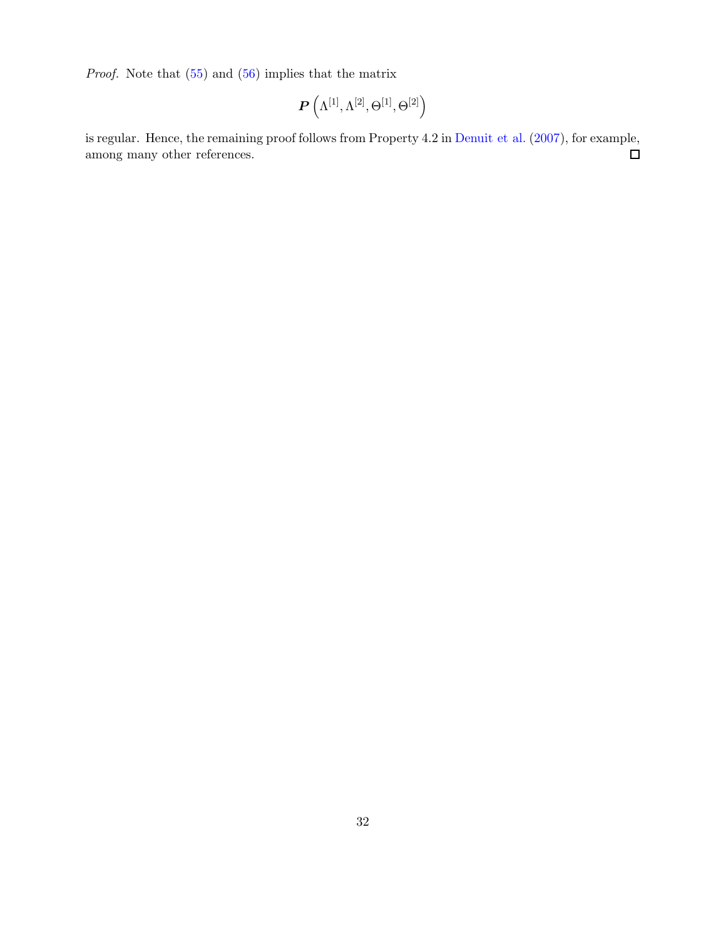Proof. Note that [\(55\)](#page-30-5) and [\(56\)](#page-30-6) implies that the matrix

$$
\boldsymbol{P}\left(\Lambda^{[1]},\Lambda^{[2]},\Theta^{[1]},\Theta^{[2]}\right)
$$

is regular. Hence, the remaining proof follows from Property 4.2 in [Denuit et al.](#page-25-0) [\(2007](#page-25-0)), for example, among many other references.  $\Box$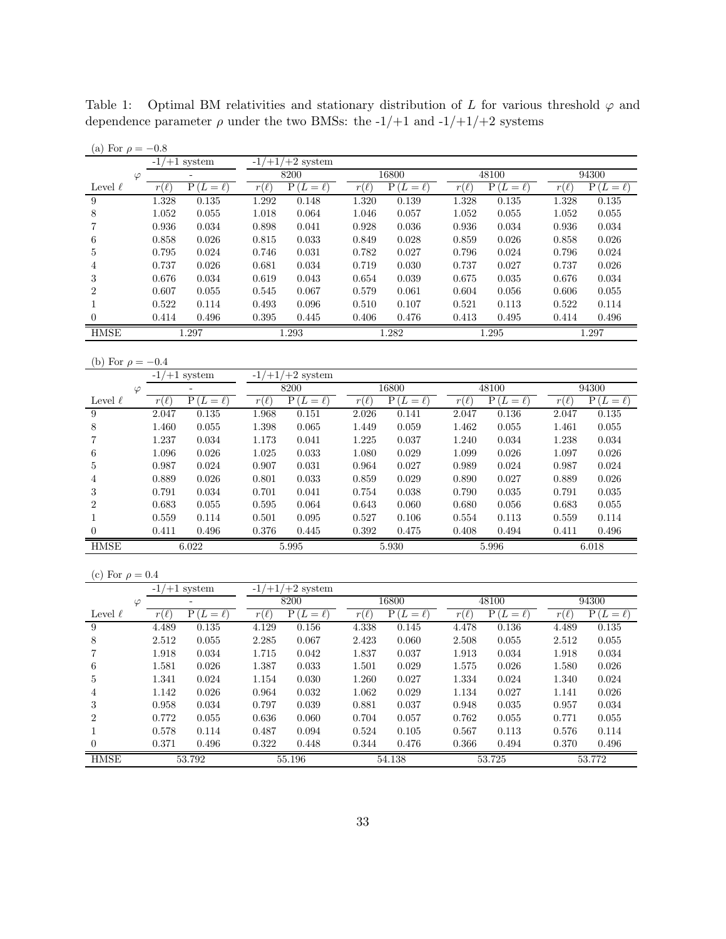<span id="page-32-0"></span>Table 1: Optimal BM relativities and stationary distribution of L for various threshold  $\varphi$  and dependence parameter  $\rho$  under the two BMSs: the -1/+1 and -1/+1/+2 systems

| $-1/+1/+2$ system<br>$-1/+1$ system<br>8200<br>16800<br>48100<br>94300<br>$\overline{\phantom{a}}$<br>$\varphi$<br>$P(L=\ell)$<br>$P(L=\ell)$<br>$P(L=\ell)$<br>$P(L=\ell)$<br>$r(\ell)$<br>$r(\ell)$<br>$P(L = \ell)$<br>$r(\ell)$<br>Level $\ell$<br>$r(\ell)$<br>$r(\ell)$<br>$\overline{9}$<br>1.328<br>1.292<br>1.328<br>0.135<br>0.148<br>1.320<br>0.139<br>0.135<br>1.328<br>0.135<br>8<br>$1.052\,$<br>$0.055\,$<br>$1.018\,$<br>0.064<br>1.046<br>0.057<br>1.052<br>$\,0.055\,$<br>1.052<br>$0.055\,$<br>0.936<br>$\,0.034\,$<br>7<br>0.898<br>0.041<br>0.928<br>0.036<br>0.936<br>0.034<br>0.936<br>0.034<br>6<br>0.858<br>0.026<br>0.815<br>0.033<br>0.849<br>0.028<br>0.859<br>0.026<br>0.858<br>0.026<br>0.027<br>0.795<br>0.024<br>0.746<br>0.031<br>0.782<br>0.796<br>0.024<br>0.796<br>0.024<br>5<br>0.719<br>$0.027\,$<br>0.737<br>0.026<br>0.681<br>0.034<br>0.030<br>0.737<br>0.737<br>0.026<br>$\overline{4}$<br>3<br>0.676<br>0.034<br>0.619<br>0.043<br>0.654<br>0.039<br>0.675<br>0.035<br>0.676<br>0.034<br>$\overline{2}$<br>0.607<br>0.055<br>0.545<br>0.067<br>0.579<br>0.061<br>0.604<br>0.056<br>0.606<br>0.055<br>0.522<br>$\mathbf{1}$<br>0.114<br>0.493<br>0.096<br>0.510<br>0.107<br>0.521<br>0.113<br>0.522<br>0.114<br>$\theta$<br>0.414<br>0.496<br>0.395<br>0.406<br>0.476<br>0.413<br>0.495<br>0.414<br>0.496<br>0.445<br><b>HMSE</b><br>1.293<br>1.297<br>1.282<br>1.295<br>1.297<br>(b) For $\rho = -0.4$<br>$-1/+1/+2$ system<br>$-1/+1$ system<br>8200<br>16800<br>48100<br>94300<br>$\overline{\phantom{a}}$<br>$\varphi$<br>$P(L = \ell)$<br>$P(L=\ell)$<br>$P(L=\ell)$<br>Level $\ell$<br>$r(\ell)$<br>$P(L = \ell)$<br>$r(\ell)$<br>$P(L = \ell)$<br>$r(\ell)$<br>$r(\ell)$<br>$r(\ell)$<br>$\boldsymbol{9}$<br>2.047<br>0.135<br>1.968<br>0.151<br>2.026<br>0.141<br>2.047<br>0.136<br>2.047<br>0.135<br>8<br>1.460<br>$0.055\,$<br>$1.398\,$<br>$\,0.065\,$<br>1.449<br>0.059<br>1.462<br>$\,0.055\,$<br>1.461<br>$0.055\,$<br>1.237<br>7<br>0.034<br>1.173<br>0.041<br>1.225<br>0.037<br>1.240<br>0.034<br>1.238<br>0.034<br>6<br>1.096<br>0.026<br>1.025<br>0.033<br>1.080<br>0.029<br>1.099<br>0.026<br>1.097<br>0.026<br>0.027<br>0.987<br>0.024<br>0.907<br>0.031<br>0.964<br>0.989<br>0.024<br>0.987<br>0.024<br>5<br>$\,0.033\,$<br>0.029<br>0.889<br>0.026<br>0.801<br>0.859<br>0.890<br>0.027<br>0.889<br>0.026<br>$\overline{4}$<br>3<br>0.791<br>0.034<br>0.701<br>0.041<br>0.754<br>0.038<br>0.035<br>0.791<br>0.035<br>0.790<br>$\boldsymbol{2}$<br>0.683<br>0.055<br>$\!0.595\!$<br>0.064<br>0.643<br>0.060<br>0.680<br>0.056<br>0.683<br>0.055<br>0.527<br>$\mathbf{1}$<br>0.559<br>0.114<br>0.501<br>0.095<br>0.106<br>0.554<br>0.113<br>0.559<br>0.114<br>$0.376\,$<br>0.411<br>0.496<br>0.392<br>0.475<br>0.408<br>0.494<br>0.411<br>0.496<br>$\theta$<br>0.445<br><b>HMSE</b><br>6.022<br>5.995<br>5.930<br>5.996<br>6.018<br>(c) For $\rho = 0.4$<br>$-1/+1/+2$ system<br>$-1/+1$ system<br>8200<br>16800<br>48100<br>94300<br>$\varphi$<br>$P(L = \ell)$<br>$P(L=\ell)$<br>$P(L=\ell)$<br>Level $\ell$<br>$r(\ell)$<br>$P(L = \ell)$<br>$r(\ell)$<br>$P(L = \ell)$<br>$r(\ell)$<br>$r(\ell)$<br>$r(\ell)$<br>9<br>4.489<br>0.135<br>4.129<br>0.156<br>4.338<br>0.145<br>4.478<br>0.136<br>4.489<br>0.135<br>8<br>$2.512\,$<br>0.055<br>$2.285\,$<br>$0.067\,$<br>2.423<br>0.060<br>$2.508\,$<br>$\,0.055\,$<br>$0.055\,$<br>2.512<br>7<br>1.918<br>0.034<br>1.715<br>0.042<br>1.837<br>0.037<br>0.034<br>1.918<br>0.034<br>1.913<br>6<br>1.581<br>0.026<br>1.387<br>0.033<br>1.501<br>0.029<br>0.026<br>0.026<br>1.575<br>1.580<br>0.027<br>$\,0.024\,$<br>$1.341\,$<br>$\,0.024\,$<br>$1.154\,$<br>$0.030\,$<br>1.260<br>$1.334\,$<br>$\,0.024\,$<br>5<br>1.340<br>$0.026\,$<br>$\,0.032\,$<br>$1.062\,$<br>0.029<br>$0.027\,$<br>$0.026\,$<br>1.142<br>0.964<br>1.134<br>1.141<br>4<br>3<br>$0.958\,$<br>$\,0.034\,$<br>0.797<br>$\,0.039\,$<br>$\!0.881$<br>$0.037\,$<br>$0.948\,$<br>$\,0.035\,$<br>0.034<br>0.957<br>$\boldsymbol{2}$<br>$0.772\,$<br>$0.055\,$<br>$0.636\,$<br>0.060<br>0.704<br>0.057<br>$0.055\,$<br>$0.055\,$<br>0.762<br>0.771<br>$\mathbf{1}$<br>0.578<br>0.114<br>0.487<br>0.094<br>0.524<br>0.105<br>0.567<br>$0.113\,$<br>0.576<br>$0.114\,$<br>$0.322\,$<br>0.371<br>$0.448\,$<br>$0.344\,$<br>$0.476\,$<br>0.366<br>$\,0.494\,$<br>0.370<br>0.496<br>$\overline{0}$<br>0.496<br><b>HMSE</b><br>53.792<br>55.196<br>54.138<br>53.725<br>53.772 | (a) For $\rho = -0.8$ |  |  |  |  |  |  |  |  |  |  |
|----------------------------------------------------------------------------------------------------------------------------------------------------------------------------------------------------------------------------------------------------------------------------------------------------------------------------------------------------------------------------------------------------------------------------------------------------------------------------------------------------------------------------------------------------------------------------------------------------------------------------------------------------------------------------------------------------------------------------------------------------------------------------------------------------------------------------------------------------------------------------------------------------------------------------------------------------------------------------------------------------------------------------------------------------------------------------------------------------------------------------------------------------------------------------------------------------------------------------------------------------------------------------------------------------------------------------------------------------------------------------------------------------------------------------------------------------------------------------------------------------------------------------------------------------------------------------------------------------------------------------------------------------------------------------------------------------------------------------------------------------------------------------------------------------------------------------------------------------------------------------------------------------------------------------------------------------------------------------------------------------------------------------------------------------------------------------------------------------------------------------------------------------------------------------------------------------------------------------------------------------------------------------------------------------------------------------------------------------------------------------------------------------------------------------------------------------------------------------------------------------------------------------------------------------------------------------------------------------------------------------------------------------------------------------------------------------------------------------------------------------------------------------------------------------------------------------------------------------------------------------------------------------------------------------------------------------------------------------------------------------------------------------------------------------------------------------------------------------------------------------------------------------------------------------------------------------------------------------------------------------------------------------------------------------------------------------------------------------------------------------------------------------------------------------------------------------------------------------------------------------------------------------------------------------------------------------------------------------------------------------------------------------------------------------------------------------------------------------------------------------------------------------------------------------------------------------------------------------------------------------------------------------------------------------------------------------------------------------------------------------------------------------------------------------------------------------------------------------------------------------------------------------------------------------------------------------------------------------------------------------------------------------------------------------------------------------------------------------------------------------------------------------------------------------------------------------|-----------------------|--|--|--|--|--|--|--|--|--|--|
|                                                                                                                                                                                                                                                                                                                                                                                                                                                                                                                                                                                                                                                                                                                                                                                                                                                                                                                                                                                                                                                                                                                                                                                                                                                                                                                                                                                                                                                                                                                                                                                                                                                                                                                                                                                                                                                                                                                                                                                                                                                                                                                                                                                                                                                                                                                                                                                                                                                                                                                                                                                                                                                                                                                                                                                                                                                                                                                                                                                                                                                                                                                                                                                                                                                                                                                                                                                                                                                                                                                                                                                                                                                                                                                                                                                                                                                                                                                                                                                                                                                                                                                                                                                                                                                                                                                                                                                                                                                    |                       |  |  |  |  |  |  |  |  |  |  |
|                                                                                                                                                                                                                                                                                                                                                                                                                                                                                                                                                                                                                                                                                                                                                                                                                                                                                                                                                                                                                                                                                                                                                                                                                                                                                                                                                                                                                                                                                                                                                                                                                                                                                                                                                                                                                                                                                                                                                                                                                                                                                                                                                                                                                                                                                                                                                                                                                                                                                                                                                                                                                                                                                                                                                                                                                                                                                                                                                                                                                                                                                                                                                                                                                                                                                                                                                                                                                                                                                                                                                                                                                                                                                                                                                                                                                                                                                                                                                                                                                                                                                                                                                                                                                                                                                                                                                                                                                                                    |                       |  |  |  |  |  |  |  |  |  |  |
|                                                                                                                                                                                                                                                                                                                                                                                                                                                                                                                                                                                                                                                                                                                                                                                                                                                                                                                                                                                                                                                                                                                                                                                                                                                                                                                                                                                                                                                                                                                                                                                                                                                                                                                                                                                                                                                                                                                                                                                                                                                                                                                                                                                                                                                                                                                                                                                                                                                                                                                                                                                                                                                                                                                                                                                                                                                                                                                                                                                                                                                                                                                                                                                                                                                                                                                                                                                                                                                                                                                                                                                                                                                                                                                                                                                                                                                                                                                                                                                                                                                                                                                                                                                                                                                                                                                                                                                                                                                    |                       |  |  |  |  |  |  |  |  |  |  |
|                                                                                                                                                                                                                                                                                                                                                                                                                                                                                                                                                                                                                                                                                                                                                                                                                                                                                                                                                                                                                                                                                                                                                                                                                                                                                                                                                                                                                                                                                                                                                                                                                                                                                                                                                                                                                                                                                                                                                                                                                                                                                                                                                                                                                                                                                                                                                                                                                                                                                                                                                                                                                                                                                                                                                                                                                                                                                                                                                                                                                                                                                                                                                                                                                                                                                                                                                                                                                                                                                                                                                                                                                                                                                                                                                                                                                                                                                                                                                                                                                                                                                                                                                                                                                                                                                                                                                                                                                                                    |                       |  |  |  |  |  |  |  |  |  |  |
|                                                                                                                                                                                                                                                                                                                                                                                                                                                                                                                                                                                                                                                                                                                                                                                                                                                                                                                                                                                                                                                                                                                                                                                                                                                                                                                                                                                                                                                                                                                                                                                                                                                                                                                                                                                                                                                                                                                                                                                                                                                                                                                                                                                                                                                                                                                                                                                                                                                                                                                                                                                                                                                                                                                                                                                                                                                                                                                                                                                                                                                                                                                                                                                                                                                                                                                                                                                                                                                                                                                                                                                                                                                                                                                                                                                                                                                                                                                                                                                                                                                                                                                                                                                                                                                                                                                                                                                                                                                    |                       |  |  |  |  |  |  |  |  |  |  |
|                                                                                                                                                                                                                                                                                                                                                                                                                                                                                                                                                                                                                                                                                                                                                                                                                                                                                                                                                                                                                                                                                                                                                                                                                                                                                                                                                                                                                                                                                                                                                                                                                                                                                                                                                                                                                                                                                                                                                                                                                                                                                                                                                                                                                                                                                                                                                                                                                                                                                                                                                                                                                                                                                                                                                                                                                                                                                                                                                                                                                                                                                                                                                                                                                                                                                                                                                                                                                                                                                                                                                                                                                                                                                                                                                                                                                                                                                                                                                                                                                                                                                                                                                                                                                                                                                                                                                                                                                                                    |                       |  |  |  |  |  |  |  |  |  |  |
|                                                                                                                                                                                                                                                                                                                                                                                                                                                                                                                                                                                                                                                                                                                                                                                                                                                                                                                                                                                                                                                                                                                                                                                                                                                                                                                                                                                                                                                                                                                                                                                                                                                                                                                                                                                                                                                                                                                                                                                                                                                                                                                                                                                                                                                                                                                                                                                                                                                                                                                                                                                                                                                                                                                                                                                                                                                                                                                                                                                                                                                                                                                                                                                                                                                                                                                                                                                                                                                                                                                                                                                                                                                                                                                                                                                                                                                                                                                                                                                                                                                                                                                                                                                                                                                                                                                                                                                                                                                    |                       |  |  |  |  |  |  |  |  |  |  |
|                                                                                                                                                                                                                                                                                                                                                                                                                                                                                                                                                                                                                                                                                                                                                                                                                                                                                                                                                                                                                                                                                                                                                                                                                                                                                                                                                                                                                                                                                                                                                                                                                                                                                                                                                                                                                                                                                                                                                                                                                                                                                                                                                                                                                                                                                                                                                                                                                                                                                                                                                                                                                                                                                                                                                                                                                                                                                                                                                                                                                                                                                                                                                                                                                                                                                                                                                                                                                                                                                                                                                                                                                                                                                                                                                                                                                                                                                                                                                                                                                                                                                                                                                                                                                                                                                                                                                                                                                                                    |                       |  |  |  |  |  |  |  |  |  |  |
|                                                                                                                                                                                                                                                                                                                                                                                                                                                                                                                                                                                                                                                                                                                                                                                                                                                                                                                                                                                                                                                                                                                                                                                                                                                                                                                                                                                                                                                                                                                                                                                                                                                                                                                                                                                                                                                                                                                                                                                                                                                                                                                                                                                                                                                                                                                                                                                                                                                                                                                                                                                                                                                                                                                                                                                                                                                                                                                                                                                                                                                                                                                                                                                                                                                                                                                                                                                                                                                                                                                                                                                                                                                                                                                                                                                                                                                                                                                                                                                                                                                                                                                                                                                                                                                                                                                                                                                                                                                    |                       |  |  |  |  |  |  |  |  |  |  |
|                                                                                                                                                                                                                                                                                                                                                                                                                                                                                                                                                                                                                                                                                                                                                                                                                                                                                                                                                                                                                                                                                                                                                                                                                                                                                                                                                                                                                                                                                                                                                                                                                                                                                                                                                                                                                                                                                                                                                                                                                                                                                                                                                                                                                                                                                                                                                                                                                                                                                                                                                                                                                                                                                                                                                                                                                                                                                                                                                                                                                                                                                                                                                                                                                                                                                                                                                                                                                                                                                                                                                                                                                                                                                                                                                                                                                                                                                                                                                                                                                                                                                                                                                                                                                                                                                                                                                                                                                                                    |                       |  |  |  |  |  |  |  |  |  |  |
|                                                                                                                                                                                                                                                                                                                                                                                                                                                                                                                                                                                                                                                                                                                                                                                                                                                                                                                                                                                                                                                                                                                                                                                                                                                                                                                                                                                                                                                                                                                                                                                                                                                                                                                                                                                                                                                                                                                                                                                                                                                                                                                                                                                                                                                                                                                                                                                                                                                                                                                                                                                                                                                                                                                                                                                                                                                                                                                                                                                                                                                                                                                                                                                                                                                                                                                                                                                                                                                                                                                                                                                                                                                                                                                                                                                                                                                                                                                                                                                                                                                                                                                                                                                                                                                                                                                                                                                                                                                    |                       |  |  |  |  |  |  |  |  |  |  |
|                                                                                                                                                                                                                                                                                                                                                                                                                                                                                                                                                                                                                                                                                                                                                                                                                                                                                                                                                                                                                                                                                                                                                                                                                                                                                                                                                                                                                                                                                                                                                                                                                                                                                                                                                                                                                                                                                                                                                                                                                                                                                                                                                                                                                                                                                                                                                                                                                                                                                                                                                                                                                                                                                                                                                                                                                                                                                                                                                                                                                                                                                                                                                                                                                                                                                                                                                                                                                                                                                                                                                                                                                                                                                                                                                                                                                                                                                                                                                                                                                                                                                                                                                                                                                                                                                                                                                                                                                                                    |                       |  |  |  |  |  |  |  |  |  |  |
|                                                                                                                                                                                                                                                                                                                                                                                                                                                                                                                                                                                                                                                                                                                                                                                                                                                                                                                                                                                                                                                                                                                                                                                                                                                                                                                                                                                                                                                                                                                                                                                                                                                                                                                                                                                                                                                                                                                                                                                                                                                                                                                                                                                                                                                                                                                                                                                                                                                                                                                                                                                                                                                                                                                                                                                                                                                                                                                                                                                                                                                                                                                                                                                                                                                                                                                                                                                                                                                                                                                                                                                                                                                                                                                                                                                                                                                                                                                                                                                                                                                                                                                                                                                                                                                                                                                                                                                                                                                    |                       |  |  |  |  |  |  |  |  |  |  |
|                                                                                                                                                                                                                                                                                                                                                                                                                                                                                                                                                                                                                                                                                                                                                                                                                                                                                                                                                                                                                                                                                                                                                                                                                                                                                                                                                                                                                                                                                                                                                                                                                                                                                                                                                                                                                                                                                                                                                                                                                                                                                                                                                                                                                                                                                                                                                                                                                                                                                                                                                                                                                                                                                                                                                                                                                                                                                                                                                                                                                                                                                                                                                                                                                                                                                                                                                                                                                                                                                                                                                                                                                                                                                                                                                                                                                                                                                                                                                                                                                                                                                                                                                                                                                                                                                                                                                                                                                                                    |                       |  |  |  |  |  |  |  |  |  |  |
|                                                                                                                                                                                                                                                                                                                                                                                                                                                                                                                                                                                                                                                                                                                                                                                                                                                                                                                                                                                                                                                                                                                                                                                                                                                                                                                                                                                                                                                                                                                                                                                                                                                                                                                                                                                                                                                                                                                                                                                                                                                                                                                                                                                                                                                                                                                                                                                                                                                                                                                                                                                                                                                                                                                                                                                                                                                                                                                                                                                                                                                                                                                                                                                                                                                                                                                                                                                                                                                                                                                                                                                                                                                                                                                                                                                                                                                                                                                                                                                                                                                                                                                                                                                                                                                                                                                                                                                                                                                    |                       |  |  |  |  |  |  |  |  |  |  |
|                                                                                                                                                                                                                                                                                                                                                                                                                                                                                                                                                                                                                                                                                                                                                                                                                                                                                                                                                                                                                                                                                                                                                                                                                                                                                                                                                                                                                                                                                                                                                                                                                                                                                                                                                                                                                                                                                                                                                                                                                                                                                                                                                                                                                                                                                                                                                                                                                                                                                                                                                                                                                                                                                                                                                                                                                                                                                                                                                                                                                                                                                                                                                                                                                                                                                                                                                                                                                                                                                                                                                                                                                                                                                                                                                                                                                                                                                                                                                                                                                                                                                                                                                                                                                                                                                                                                                                                                                                                    |                       |  |  |  |  |  |  |  |  |  |  |
|                                                                                                                                                                                                                                                                                                                                                                                                                                                                                                                                                                                                                                                                                                                                                                                                                                                                                                                                                                                                                                                                                                                                                                                                                                                                                                                                                                                                                                                                                                                                                                                                                                                                                                                                                                                                                                                                                                                                                                                                                                                                                                                                                                                                                                                                                                                                                                                                                                                                                                                                                                                                                                                                                                                                                                                                                                                                                                                                                                                                                                                                                                                                                                                                                                                                                                                                                                                                                                                                                                                                                                                                                                                                                                                                                                                                                                                                                                                                                                                                                                                                                                                                                                                                                                                                                                                                                                                                                                                    |                       |  |  |  |  |  |  |  |  |  |  |
|                                                                                                                                                                                                                                                                                                                                                                                                                                                                                                                                                                                                                                                                                                                                                                                                                                                                                                                                                                                                                                                                                                                                                                                                                                                                                                                                                                                                                                                                                                                                                                                                                                                                                                                                                                                                                                                                                                                                                                                                                                                                                                                                                                                                                                                                                                                                                                                                                                                                                                                                                                                                                                                                                                                                                                                                                                                                                                                                                                                                                                                                                                                                                                                                                                                                                                                                                                                                                                                                                                                                                                                                                                                                                                                                                                                                                                                                                                                                                                                                                                                                                                                                                                                                                                                                                                                                                                                                                                                    |                       |  |  |  |  |  |  |  |  |  |  |
|                                                                                                                                                                                                                                                                                                                                                                                                                                                                                                                                                                                                                                                                                                                                                                                                                                                                                                                                                                                                                                                                                                                                                                                                                                                                                                                                                                                                                                                                                                                                                                                                                                                                                                                                                                                                                                                                                                                                                                                                                                                                                                                                                                                                                                                                                                                                                                                                                                                                                                                                                                                                                                                                                                                                                                                                                                                                                                                                                                                                                                                                                                                                                                                                                                                                                                                                                                                                                                                                                                                                                                                                                                                                                                                                                                                                                                                                                                                                                                                                                                                                                                                                                                                                                                                                                                                                                                                                                                                    |                       |  |  |  |  |  |  |  |  |  |  |
|                                                                                                                                                                                                                                                                                                                                                                                                                                                                                                                                                                                                                                                                                                                                                                                                                                                                                                                                                                                                                                                                                                                                                                                                                                                                                                                                                                                                                                                                                                                                                                                                                                                                                                                                                                                                                                                                                                                                                                                                                                                                                                                                                                                                                                                                                                                                                                                                                                                                                                                                                                                                                                                                                                                                                                                                                                                                                                                                                                                                                                                                                                                                                                                                                                                                                                                                                                                                                                                                                                                                                                                                                                                                                                                                                                                                                                                                                                                                                                                                                                                                                                                                                                                                                                                                                                                                                                                                                                                    |                       |  |  |  |  |  |  |  |  |  |  |
|                                                                                                                                                                                                                                                                                                                                                                                                                                                                                                                                                                                                                                                                                                                                                                                                                                                                                                                                                                                                                                                                                                                                                                                                                                                                                                                                                                                                                                                                                                                                                                                                                                                                                                                                                                                                                                                                                                                                                                                                                                                                                                                                                                                                                                                                                                                                                                                                                                                                                                                                                                                                                                                                                                                                                                                                                                                                                                                                                                                                                                                                                                                                                                                                                                                                                                                                                                                                                                                                                                                                                                                                                                                                                                                                                                                                                                                                                                                                                                                                                                                                                                                                                                                                                                                                                                                                                                                                                                                    |                       |  |  |  |  |  |  |  |  |  |  |
|                                                                                                                                                                                                                                                                                                                                                                                                                                                                                                                                                                                                                                                                                                                                                                                                                                                                                                                                                                                                                                                                                                                                                                                                                                                                                                                                                                                                                                                                                                                                                                                                                                                                                                                                                                                                                                                                                                                                                                                                                                                                                                                                                                                                                                                                                                                                                                                                                                                                                                                                                                                                                                                                                                                                                                                                                                                                                                                                                                                                                                                                                                                                                                                                                                                                                                                                                                                                                                                                                                                                                                                                                                                                                                                                                                                                                                                                                                                                                                                                                                                                                                                                                                                                                                                                                                                                                                                                                                                    |                       |  |  |  |  |  |  |  |  |  |  |
|                                                                                                                                                                                                                                                                                                                                                                                                                                                                                                                                                                                                                                                                                                                                                                                                                                                                                                                                                                                                                                                                                                                                                                                                                                                                                                                                                                                                                                                                                                                                                                                                                                                                                                                                                                                                                                                                                                                                                                                                                                                                                                                                                                                                                                                                                                                                                                                                                                                                                                                                                                                                                                                                                                                                                                                                                                                                                                                                                                                                                                                                                                                                                                                                                                                                                                                                                                                                                                                                                                                                                                                                                                                                                                                                                                                                                                                                                                                                                                                                                                                                                                                                                                                                                                                                                                                                                                                                                                                    |                       |  |  |  |  |  |  |  |  |  |  |
|                                                                                                                                                                                                                                                                                                                                                                                                                                                                                                                                                                                                                                                                                                                                                                                                                                                                                                                                                                                                                                                                                                                                                                                                                                                                                                                                                                                                                                                                                                                                                                                                                                                                                                                                                                                                                                                                                                                                                                                                                                                                                                                                                                                                                                                                                                                                                                                                                                                                                                                                                                                                                                                                                                                                                                                                                                                                                                                                                                                                                                                                                                                                                                                                                                                                                                                                                                                                                                                                                                                                                                                                                                                                                                                                                                                                                                                                                                                                                                                                                                                                                                                                                                                                                                                                                                                                                                                                                                                    |                       |  |  |  |  |  |  |  |  |  |  |
|                                                                                                                                                                                                                                                                                                                                                                                                                                                                                                                                                                                                                                                                                                                                                                                                                                                                                                                                                                                                                                                                                                                                                                                                                                                                                                                                                                                                                                                                                                                                                                                                                                                                                                                                                                                                                                                                                                                                                                                                                                                                                                                                                                                                                                                                                                                                                                                                                                                                                                                                                                                                                                                                                                                                                                                                                                                                                                                                                                                                                                                                                                                                                                                                                                                                                                                                                                                                                                                                                                                                                                                                                                                                                                                                                                                                                                                                                                                                                                                                                                                                                                                                                                                                                                                                                                                                                                                                                                                    |                       |  |  |  |  |  |  |  |  |  |  |
|                                                                                                                                                                                                                                                                                                                                                                                                                                                                                                                                                                                                                                                                                                                                                                                                                                                                                                                                                                                                                                                                                                                                                                                                                                                                                                                                                                                                                                                                                                                                                                                                                                                                                                                                                                                                                                                                                                                                                                                                                                                                                                                                                                                                                                                                                                                                                                                                                                                                                                                                                                                                                                                                                                                                                                                                                                                                                                                                                                                                                                                                                                                                                                                                                                                                                                                                                                                                                                                                                                                                                                                                                                                                                                                                                                                                                                                                                                                                                                                                                                                                                                                                                                                                                                                                                                                                                                                                                                                    |                       |  |  |  |  |  |  |  |  |  |  |
|                                                                                                                                                                                                                                                                                                                                                                                                                                                                                                                                                                                                                                                                                                                                                                                                                                                                                                                                                                                                                                                                                                                                                                                                                                                                                                                                                                                                                                                                                                                                                                                                                                                                                                                                                                                                                                                                                                                                                                                                                                                                                                                                                                                                                                                                                                                                                                                                                                                                                                                                                                                                                                                                                                                                                                                                                                                                                                                                                                                                                                                                                                                                                                                                                                                                                                                                                                                                                                                                                                                                                                                                                                                                                                                                                                                                                                                                                                                                                                                                                                                                                                                                                                                                                                                                                                                                                                                                                                                    |                       |  |  |  |  |  |  |  |  |  |  |
|                                                                                                                                                                                                                                                                                                                                                                                                                                                                                                                                                                                                                                                                                                                                                                                                                                                                                                                                                                                                                                                                                                                                                                                                                                                                                                                                                                                                                                                                                                                                                                                                                                                                                                                                                                                                                                                                                                                                                                                                                                                                                                                                                                                                                                                                                                                                                                                                                                                                                                                                                                                                                                                                                                                                                                                                                                                                                                                                                                                                                                                                                                                                                                                                                                                                                                                                                                                                                                                                                                                                                                                                                                                                                                                                                                                                                                                                                                                                                                                                                                                                                                                                                                                                                                                                                                                                                                                                                                                    |                       |  |  |  |  |  |  |  |  |  |  |
|                                                                                                                                                                                                                                                                                                                                                                                                                                                                                                                                                                                                                                                                                                                                                                                                                                                                                                                                                                                                                                                                                                                                                                                                                                                                                                                                                                                                                                                                                                                                                                                                                                                                                                                                                                                                                                                                                                                                                                                                                                                                                                                                                                                                                                                                                                                                                                                                                                                                                                                                                                                                                                                                                                                                                                                                                                                                                                                                                                                                                                                                                                                                                                                                                                                                                                                                                                                                                                                                                                                                                                                                                                                                                                                                                                                                                                                                                                                                                                                                                                                                                                                                                                                                                                                                                                                                                                                                                                                    |                       |  |  |  |  |  |  |  |  |  |  |
|                                                                                                                                                                                                                                                                                                                                                                                                                                                                                                                                                                                                                                                                                                                                                                                                                                                                                                                                                                                                                                                                                                                                                                                                                                                                                                                                                                                                                                                                                                                                                                                                                                                                                                                                                                                                                                                                                                                                                                                                                                                                                                                                                                                                                                                                                                                                                                                                                                                                                                                                                                                                                                                                                                                                                                                                                                                                                                                                                                                                                                                                                                                                                                                                                                                                                                                                                                                                                                                                                                                                                                                                                                                                                                                                                                                                                                                                                                                                                                                                                                                                                                                                                                                                                                                                                                                                                                                                                                                    |                       |  |  |  |  |  |  |  |  |  |  |
|                                                                                                                                                                                                                                                                                                                                                                                                                                                                                                                                                                                                                                                                                                                                                                                                                                                                                                                                                                                                                                                                                                                                                                                                                                                                                                                                                                                                                                                                                                                                                                                                                                                                                                                                                                                                                                                                                                                                                                                                                                                                                                                                                                                                                                                                                                                                                                                                                                                                                                                                                                                                                                                                                                                                                                                                                                                                                                                                                                                                                                                                                                                                                                                                                                                                                                                                                                                                                                                                                                                                                                                                                                                                                                                                                                                                                                                                                                                                                                                                                                                                                                                                                                                                                                                                                                                                                                                                                                                    |                       |  |  |  |  |  |  |  |  |  |  |
|                                                                                                                                                                                                                                                                                                                                                                                                                                                                                                                                                                                                                                                                                                                                                                                                                                                                                                                                                                                                                                                                                                                                                                                                                                                                                                                                                                                                                                                                                                                                                                                                                                                                                                                                                                                                                                                                                                                                                                                                                                                                                                                                                                                                                                                                                                                                                                                                                                                                                                                                                                                                                                                                                                                                                                                                                                                                                                                                                                                                                                                                                                                                                                                                                                                                                                                                                                                                                                                                                                                                                                                                                                                                                                                                                                                                                                                                                                                                                                                                                                                                                                                                                                                                                                                                                                                                                                                                                                                    |                       |  |  |  |  |  |  |  |  |  |  |
|                                                                                                                                                                                                                                                                                                                                                                                                                                                                                                                                                                                                                                                                                                                                                                                                                                                                                                                                                                                                                                                                                                                                                                                                                                                                                                                                                                                                                                                                                                                                                                                                                                                                                                                                                                                                                                                                                                                                                                                                                                                                                                                                                                                                                                                                                                                                                                                                                                                                                                                                                                                                                                                                                                                                                                                                                                                                                                                                                                                                                                                                                                                                                                                                                                                                                                                                                                                                                                                                                                                                                                                                                                                                                                                                                                                                                                                                                                                                                                                                                                                                                                                                                                                                                                                                                                                                                                                                                                                    |                       |  |  |  |  |  |  |  |  |  |  |
|                                                                                                                                                                                                                                                                                                                                                                                                                                                                                                                                                                                                                                                                                                                                                                                                                                                                                                                                                                                                                                                                                                                                                                                                                                                                                                                                                                                                                                                                                                                                                                                                                                                                                                                                                                                                                                                                                                                                                                                                                                                                                                                                                                                                                                                                                                                                                                                                                                                                                                                                                                                                                                                                                                                                                                                                                                                                                                                                                                                                                                                                                                                                                                                                                                                                                                                                                                                                                                                                                                                                                                                                                                                                                                                                                                                                                                                                                                                                                                                                                                                                                                                                                                                                                                                                                                                                                                                                                                                    |                       |  |  |  |  |  |  |  |  |  |  |
|                                                                                                                                                                                                                                                                                                                                                                                                                                                                                                                                                                                                                                                                                                                                                                                                                                                                                                                                                                                                                                                                                                                                                                                                                                                                                                                                                                                                                                                                                                                                                                                                                                                                                                                                                                                                                                                                                                                                                                                                                                                                                                                                                                                                                                                                                                                                                                                                                                                                                                                                                                                                                                                                                                                                                                                                                                                                                                                                                                                                                                                                                                                                                                                                                                                                                                                                                                                                                                                                                                                                                                                                                                                                                                                                                                                                                                                                                                                                                                                                                                                                                                                                                                                                                                                                                                                                                                                                                                                    |                       |  |  |  |  |  |  |  |  |  |  |
|                                                                                                                                                                                                                                                                                                                                                                                                                                                                                                                                                                                                                                                                                                                                                                                                                                                                                                                                                                                                                                                                                                                                                                                                                                                                                                                                                                                                                                                                                                                                                                                                                                                                                                                                                                                                                                                                                                                                                                                                                                                                                                                                                                                                                                                                                                                                                                                                                                                                                                                                                                                                                                                                                                                                                                                                                                                                                                                                                                                                                                                                                                                                                                                                                                                                                                                                                                                                                                                                                                                                                                                                                                                                                                                                                                                                                                                                                                                                                                                                                                                                                                                                                                                                                                                                                                                                                                                                                                                    |                       |  |  |  |  |  |  |  |  |  |  |
|                                                                                                                                                                                                                                                                                                                                                                                                                                                                                                                                                                                                                                                                                                                                                                                                                                                                                                                                                                                                                                                                                                                                                                                                                                                                                                                                                                                                                                                                                                                                                                                                                                                                                                                                                                                                                                                                                                                                                                                                                                                                                                                                                                                                                                                                                                                                                                                                                                                                                                                                                                                                                                                                                                                                                                                                                                                                                                                                                                                                                                                                                                                                                                                                                                                                                                                                                                                                                                                                                                                                                                                                                                                                                                                                                                                                                                                                                                                                                                                                                                                                                                                                                                                                                                                                                                                                                                                                                                                    |                       |  |  |  |  |  |  |  |  |  |  |
|                                                                                                                                                                                                                                                                                                                                                                                                                                                                                                                                                                                                                                                                                                                                                                                                                                                                                                                                                                                                                                                                                                                                                                                                                                                                                                                                                                                                                                                                                                                                                                                                                                                                                                                                                                                                                                                                                                                                                                                                                                                                                                                                                                                                                                                                                                                                                                                                                                                                                                                                                                                                                                                                                                                                                                                                                                                                                                                                                                                                                                                                                                                                                                                                                                                                                                                                                                                                                                                                                                                                                                                                                                                                                                                                                                                                                                                                                                                                                                                                                                                                                                                                                                                                                                                                                                                                                                                                                                                    |                       |  |  |  |  |  |  |  |  |  |  |
|                                                                                                                                                                                                                                                                                                                                                                                                                                                                                                                                                                                                                                                                                                                                                                                                                                                                                                                                                                                                                                                                                                                                                                                                                                                                                                                                                                                                                                                                                                                                                                                                                                                                                                                                                                                                                                                                                                                                                                                                                                                                                                                                                                                                                                                                                                                                                                                                                                                                                                                                                                                                                                                                                                                                                                                                                                                                                                                                                                                                                                                                                                                                                                                                                                                                                                                                                                                                                                                                                                                                                                                                                                                                                                                                                                                                                                                                                                                                                                                                                                                                                                                                                                                                                                                                                                                                                                                                                                                    |                       |  |  |  |  |  |  |  |  |  |  |
|                                                                                                                                                                                                                                                                                                                                                                                                                                                                                                                                                                                                                                                                                                                                                                                                                                                                                                                                                                                                                                                                                                                                                                                                                                                                                                                                                                                                                                                                                                                                                                                                                                                                                                                                                                                                                                                                                                                                                                                                                                                                                                                                                                                                                                                                                                                                                                                                                                                                                                                                                                                                                                                                                                                                                                                                                                                                                                                                                                                                                                                                                                                                                                                                                                                                                                                                                                                                                                                                                                                                                                                                                                                                                                                                                                                                                                                                                                                                                                                                                                                                                                                                                                                                                                                                                                                                                                                                                                                    |                       |  |  |  |  |  |  |  |  |  |  |
|                                                                                                                                                                                                                                                                                                                                                                                                                                                                                                                                                                                                                                                                                                                                                                                                                                                                                                                                                                                                                                                                                                                                                                                                                                                                                                                                                                                                                                                                                                                                                                                                                                                                                                                                                                                                                                                                                                                                                                                                                                                                                                                                                                                                                                                                                                                                                                                                                                                                                                                                                                                                                                                                                                                                                                                                                                                                                                                                                                                                                                                                                                                                                                                                                                                                                                                                                                                                                                                                                                                                                                                                                                                                                                                                                                                                                                                                                                                                                                                                                                                                                                                                                                                                                                                                                                                                                                                                                                                    |                       |  |  |  |  |  |  |  |  |  |  |
|                                                                                                                                                                                                                                                                                                                                                                                                                                                                                                                                                                                                                                                                                                                                                                                                                                                                                                                                                                                                                                                                                                                                                                                                                                                                                                                                                                                                                                                                                                                                                                                                                                                                                                                                                                                                                                                                                                                                                                                                                                                                                                                                                                                                                                                                                                                                                                                                                                                                                                                                                                                                                                                                                                                                                                                                                                                                                                                                                                                                                                                                                                                                                                                                                                                                                                                                                                                                                                                                                                                                                                                                                                                                                                                                                                                                                                                                                                                                                                                                                                                                                                                                                                                                                                                                                                                                                                                                                                                    |                       |  |  |  |  |  |  |  |  |  |  |
|                                                                                                                                                                                                                                                                                                                                                                                                                                                                                                                                                                                                                                                                                                                                                                                                                                                                                                                                                                                                                                                                                                                                                                                                                                                                                                                                                                                                                                                                                                                                                                                                                                                                                                                                                                                                                                                                                                                                                                                                                                                                                                                                                                                                                                                                                                                                                                                                                                                                                                                                                                                                                                                                                                                                                                                                                                                                                                                                                                                                                                                                                                                                                                                                                                                                                                                                                                                                                                                                                                                                                                                                                                                                                                                                                                                                                                                                                                                                                                                                                                                                                                                                                                                                                                                                                                                                                                                                                                                    |                       |  |  |  |  |  |  |  |  |  |  |
|                                                                                                                                                                                                                                                                                                                                                                                                                                                                                                                                                                                                                                                                                                                                                                                                                                                                                                                                                                                                                                                                                                                                                                                                                                                                                                                                                                                                                                                                                                                                                                                                                                                                                                                                                                                                                                                                                                                                                                                                                                                                                                                                                                                                                                                                                                                                                                                                                                                                                                                                                                                                                                                                                                                                                                                                                                                                                                                                                                                                                                                                                                                                                                                                                                                                                                                                                                                                                                                                                                                                                                                                                                                                                                                                                                                                                                                                                                                                                                                                                                                                                                                                                                                                                                                                                                                                                                                                                                                    |                       |  |  |  |  |  |  |  |  |  |  |
|                                                                                                                                                                                                                                                                                                                                                                                                                                                                                                                                                                                                                                                                                                                                                                                                                                                                                                                                                                                                                                                                                                                                                                                                                                                                                                                                                                                                                                                                                                                                                                                                                                                                                                                                                                                                                                                                                                                                                                                                                                                                                                                                                                                                                                                                                                                                                                                                                                                                                                                                                                                                                                                                                                                                                                                                                                                                                                                                                                                                                                                                                                                                                                                                                                                                                                                                                                                                                                                                                                                                                                                                                                                                                                                                                                                                                                                                                                                                                                                                                                                                                                                                                                                                                                                                                                                                                                                                                                                    |                       |  |  |  |  |  |  |  |  |  |  |
|                                                                                                                                                                                                                                                                                                                                                                                                                                                                                                                                                                                                                                                                                                                                                                                                                                                                                                                                                                                                                                                                                                                                                                                                                                                                                                                                                                                                                                                                                                                                                                                                                                                                                                                                                                                                                                                                                                                                                                                                                                                                                                                                                                                                                                                                                                                                                                                                                                                                                                                                                                                                                                                                                                                                                                                                                                                                                                                                                                                                                                                                                                                                                                                                                                                                                                                                                                                                                                                                                                                                                                                                                                                                                                                                                                                                                                                                                                                                                                                                                                                                                                                                                                                                                                                                                                                                                                                                                                                    |                       |  |  |  |  |  |  |  |  |  |  |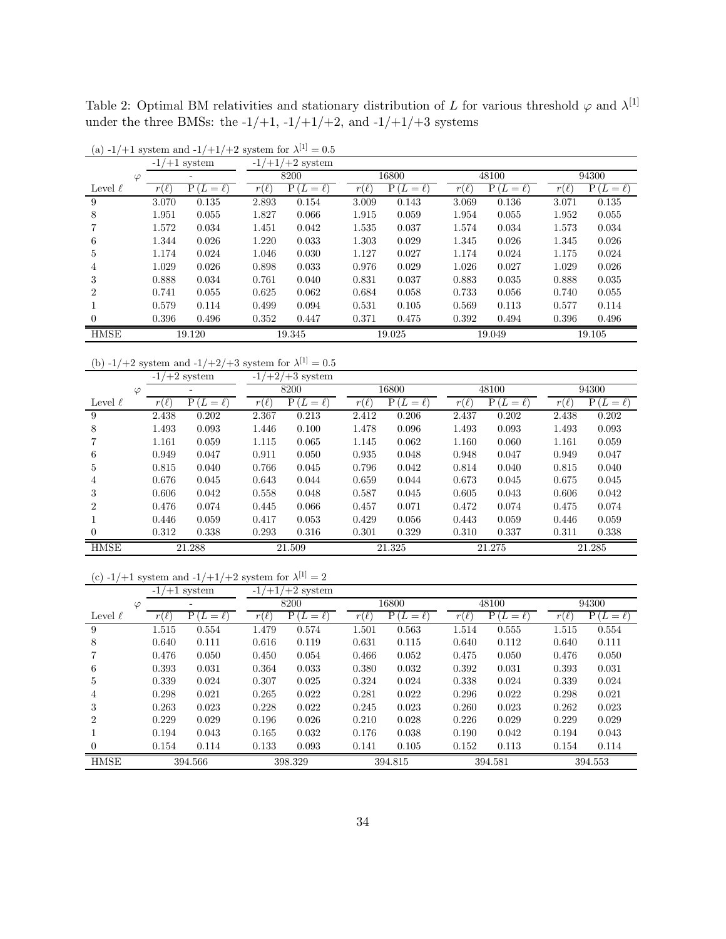<span id="page-33-0"></span>Table 2: Optimal BM relativities and stationary distribution of L for various threshold  $\varphi$  and  $\lambda^{[1]}$ under the three BMSs: the -1/+1, -1/+1/+2, and -1/+1/+3 systems

|              | $-1/$            | $+1$ system                   | -1,<br>$+1/$ | $+2$ system           |                            |               |           |                       |             |                 |
|--------------|------------------|-------------------------------|--------------|-----------------------|----------------------------|---------------|-----------|-----------------------|-------------|-----------------|
| $\varphi$    |                  | ۰                             |              | 8200                  |                            | 16800         |           | 48100                 |             | 94300           |
| Level $\ell$ | V<br>$r_{\perp}$ | $P_{\perp}$<br>L<br>$=$<br>ł. | $\ell$<br>r  | $P_1$<br>$=\ell$<br>L | $\ell$<br>$\boldsymbol{r}$ | Ρ<br>L<br>$=$ | $r_{\rm}$ | L<br>Рı<br>$=$ $\ell$ | $r_{\perp}$ | P(L)<br>$=\ell$ |
| 9            | 3.070            | 0.135                         | 2.893        | 0.154                 | 3.009                      | 0.143         | 3.069     | 0.136                 | 3.071       | 0.135           |
| 8            | 1.951            | 0.055                         | 1.827        | 0.066                 | 1.915                      | 0.059         | 1.954     | 0.055                 | 1.952       | 0.055           |
|              | 1.572            | 0.034                         | 1.451        | 0.042                 | 1.535                      | 0.037         | 1.574     | 0.034                 | 1.573       | 0.034           |
| 6            | 1.344            | 0.026                         | 1.220        | 0.033                 | 1.303                      | 0.029         | 1.345     | 0.026                 | 1.345       | 0.026           |
| 5            | 1.174            | 0.024                         | 1.046        | 0.030                 | 1.127                      | 0.027         | 1.174     | 0.024                 | 1.175       | 0.024           |
| 4            | 1.029            | 0.026                         | 0.898        | 0.033                 | 0.976                      | 0.029         | 1.026     | 0.027                 | 1.029       | 0.026           |
| 3            | 0.888            | 0.034                         | 0.761        | 0.040                 | 0.831                      | 0.037         | 0.883     | 0.035                 | 0.888       | 0.035           |
| 2            | 0.741            | 0.055                         | 0.625        | 0.062                 | 0.684                      | 0.058         | 0.733     | 0.056                 | 0.740       | 0.055           |
|              | 0.579            | 0.114                         | 0.499        | 0.094                 | 0.531                      | 0.105         | 0.569     | 0.113                 | 0.577       | 0.114           |
| $\Omega$     | 0.396            | 0.496                         | 0.352        | 0.447                 | 0.371                      | 0.475         | 0.392     | 0.494                 | 0.396       | 0.496           |
| <b>HMSE</b>  | 19.120           |                               | 19.345       |                       | 19.025                     |               | 19.049    |                       | 19.105      |                 |

(a)  $-1/+1$  system and  $-1/+1/+2$  system for  $\lambda^{[1]} = 0.5$ 

(b)  $-1/+2$  system and  $-1/+2/+3$  system for  $\lambda^{[1]} = 0.5$ 

|                | $-1/+2$ system |               |                         | $-1/+2/+3$ system |                         |                |        |                |           |                  |
|----------------|----------------|---------------|-------------------------|-------------------|-------------------------|----------------|--------|----------------|-----------|------------------|
| φ              |                | ۰             |                         | 8200              |                         | 16800          |        | 48100          |           | 94300            |
| Level $\ell$   | $r(\ell)$      | P(L)<br>$=$ ( | $(\ell)$<br>$r_{\perp}$ | $(L=\ell)$<br>P.  | $(\ell)$<br>$r_{\perp}$ | Ρt<br>$L=\ell$ | r<br>X | Pι<br>$L=\ell$ | $r(\ell)$ | $(L=\ell)$<br>Рı |
| 9              | 2.438          | 0.202         | 2.367                   | 0.213             | 2.412                   | 0.206          | 2.437  | 0.202          | 2.438     | 0.202            |
| 8              | 1.493          | 0.093         | 1.446                   | 0.100             | 1.478                   | 0.096          | 1.493  | 0.093          | 1.493     | 0.093            |
|                | 1.161          | 0.059         | 1.115                   | 0.065             | 1.145                   | 0.062          | 1.160  | 0.060          | 1.161     | 0.059            |
| 6              | 0.949          | 0.047         | 0.911                   | 0.050             | 0.935                   | 0.048          | 0.948  | 0.047          | 0.949     | 0.047            |
| 5              | 0.815          | 0.040         | 0.766                   | 0.045             | 0.796                   | 0.042          | 0.814  | 0.040          | 0.815     | 0.040            |
| 4              | 0.676          | 0.045         | 0.643                   | 0.044             | 0.659                   | 0.044          | 0.673  | 0.045          | 0.675     | 0.045            |
| 3              | 0.606          | 0.042         | 0.558                   | 0.048             | 0.587                   | 0.045          | 0.605  | 0.043          | 0.606     | 0.042            |
| $\mathfrak{D}$ | 0.476          | 0.074         | 0.445                   | 0.066             | 0.457                   | 0.071          | 0.472  | 0.074          | 0.475     | 0.074            |
|                | 0.446          | 0.059         | 0.417                   | 0.053             | 0.429                   | 0.056          | 0.443  | 0.059          | 0.446     | 0.059            |
| $\Omega$       | 0.312          | 0.338         | 0.293                   | 0.316             | 0.301                   | 0.329          | 0.310  | 0.337          | 0.311     | 0.338            |
| <b>HMSE</b>    |                | 21.288        |                         | 21.509            |                         | 21.325         |        | 21.275         |           | 21.285           |

|  |  |  | (c) -1/+1 system and -1/+1/+2 system for $\lambda^{[1]} = 2$ |  |  |  |  |  |  |  |  |
|--|--|--|--------------------------------------------------------------|--|--|--|--|--|--|--|--|
|--|--|--|--------------------------------------------------------------|--|--|--|--|--|--|--|--|

|                |           | $-1/+1$ system |           | $-1/+1/+2$ system |           |                  |                       |                  |           |                  |
|----------------|-----------|----------------|-----------|-------------------|-----------|------------------|-----------------------|------------------|-----------|------------------|
| $\varphi$      |           | ۰              |           | 8200              |           | 16800            |                       | 48100            |           | 94300            |
| Level $\ell$   | $r(\ell)$ | $P(L=\ell)$    | $r(\ell)$ | P(<br>$'L=\ell$   | $r(\ell)$ | P(<br>$(L=\ell)$ | $\boldsymbol{r}$<br>ł | P١<br>$(L=\ell)$ | $r(\ell)$ | $(L=\ell)$<br>P١ |
| 9              | 1.515     | 0.554          | 1.479     | 0.574             | 1.501     | 0.563            | 1.514                 | 0.555            | 1.515     | 0.554            |
| 8              | 0.640     | 0.111          | 0.616     | 0.119             | 0.631     | 0.115            | 0.640                 | 0.112            | 0.640     | 0.111            |
|                | 0.476     | 0.050          | 0.450     | 0.054             | 0.466     | 0.052            | 0.475                 | 0.050            | 0.476     | 0.050            |
| 6              | 0.393     | 0.031          | 0.364     | 0.033             | 0.380     | 0.032            | 0.392                 | 0.031            | 0.393     | 0.031            |
| 5              | 0.339     | 0.024          | 0.307     | 0.025             | 0.324     | 0.024            | 0.338                 | 0.024            | 0.339     | 0.024            |
| 4              | 0.298     | 0.021          | 0.265     | 0.022             | 0.281     | 0.022            | 0.296                 | 0.022            | 0.298     | 0.021            |
| 3              | 0.263     | 0.023          | 0.228     | 0.022             | 0.245     | 0.023            | 0.260                 | 0.023            | 0.262     | 0.023            |
| $\overline{2}$ | 0.229     | 0.029          | 0.196     | 0.026             | 0.210     | 0.028            | 0.226                 | 0.029            | 0.229     | 0.029            |
|                | 0.194     | 0.043          | 0.165     | 0.032             | 0.176     | 0.038            | 0.190                 | 0.042            | 0.194     | 0.043            |
| $\Omega$       | 0.154     | 0.114          | 0.133     | 0.093             | 0.141     | 0.105            | 0.152                 | 0.113            | 0.154     | 0.114            |
| <b>HMSE</b>    | 394.566   |                | 398.329   |                   | 394.815   |                  |                       | 394.581          | 394.553   |                  |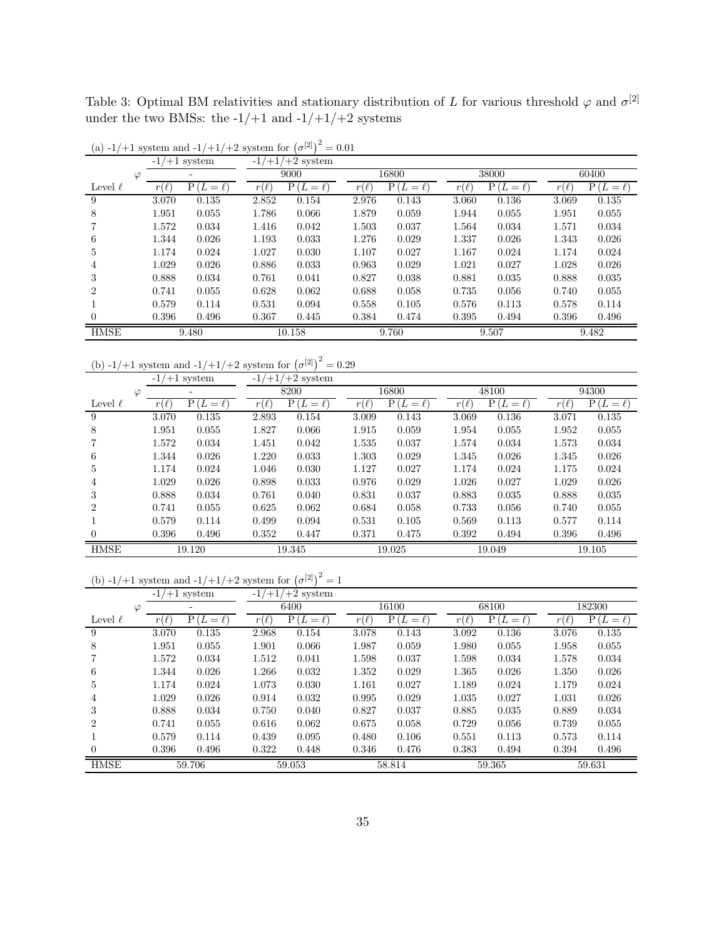Table 3: Optimal BM relativities and stationary distribution of L for various threshold  $\varphi$  and  $\sigma^{[2]}$ under the two BMSs: the  $-1/+1$  and  $-1/+1/+2$  systems

|              | $-1/$     | $+1$ system   | $+1$<br>-1 | $+2$ system    |                |                 |           |                   |           |               |  |
|--------------|-----------|---------------|------------|----------------|----------------|-----------------|-----------|-------------------|-----------|---------------|--|
| $\varphi$    |           | -             |            | 9000           |                | 16800           |           | 38000             |           | 60400         |  |
| Level $\ell$ | $r(\ell)$ | $P(L = \ell)$ | $r(\ell)$  | P.<br>$L=\ell$ | $(\ell)$<br>r( | P<br>$L = \ell$ | $r(\ell)$ | $P_1$<br>$L=\ell$ | $r(\ell)$ | $P(L = \ell)$ |  |
| 9            | 3.070     | 0.135         | 2.852      | 0.154          | 2.976          | 0.143           | 3.060     | 0.136             | 3.069     | 0.135         |  |
| 8            | 1.951     | 0.055         | 1.786      | 0.066          | 1.879          | 0.059           | 1.944     | 0.055             | 1.951     | 0.055         |  |
|              | 1.572     | 0.034         | 1.416      | 0.042          | 1.503          | 0.037           | 1.564     | 0.034             | 1.571     | 0.034         |  |
| 6            | 1.344     | 0.026         | 1.193      | 0.033          | 1.276          | 0.029           | 1.337     | 0.026             | 1.343     | 0.026         |  |
| 5            | 1.174     | 0.024         | 1.027      | 0.030          | 1.107          | 0.027           | 1.167     | 0.024             | 1.174     | 0.024         |  |
| 4            | 1.029     | 0.026         | 0.886      | 0.033          | 0.963          | 0.029           | 1.021     | 0.027             | 1.028     | 0.026         |  |
| 3            | 0.888     | 0.034         | 0.761      | 0.041          | 0.827          | 0.038           | 0.881     | 0.035             | 0.888     | 0.035         |  |
| 2            | 0.741     | 0.055         | 0.628      | 0.062          | 0.688          | 0.058           | 0.735     | 0.056             | 0.740     | 0.055         |  |
|              | 0.579     | 0.114         | 0.531      | 0.094          | 0.558          | 0.105           | 0.576     | 0.113             | 0.578     | 0.114         |  |
|              | 0.396     | 0.496         | 0.367      | 0.445          | 0.384          | 0.474           | 0.395     | 0.494             | 0.396     | 0.496         |  |
| <b>HMSE</b>  | 9.480     |               | 10.158     |                |                | 9.760           |           | 9.507             |           | 9.482         |  |

(a)  $-1/+1$  system and  $-1/+1/+2$  system for  $(\sigma^{[2]})^2 = 0.01$ 

(b)  $-1/+1$  system and  $-1/+1/+2$  system for  $(\sigma^{[2]})^2 = 0.29$ 

|                | $-1/+1$ system |                    |           | $-1/+1/+2$ system |                       |                          |                                          |                  |                  |                   |
|----------------|----------------|--------------------|-----------|-------------------|-----------------------|--------------------------|------------------------------------------|------------------|------------------|-------------------|
| $\varphi$      |                | ۰                  |           | 8200              |                       | 16800                    |                                          | 48100            |                  | 94300             |
| Level $\ell$   | $r(\ell)$      | P(<br>$(L = \ell)$ | $r(\ell)$ | Pι<br>$L = \ell$  | $(\ell)$<br>$r_{\rm}$ | P (<br>L<br>$=$ $\ell$ ) | $\boldsymbol{r}$<br>$\lceil \ell \rceil$ | $(L=\ell)$<br>Ρ( | $r_{\rm}$<br>l l | Р (<br>$(L=\ell)$ |
| 9              | 3.070          | 0.135              | 2.893     | 0.154             | 3.009                 | 0.143                    | 3.069                                    | 0.136            | 3.071            | 0.135             |
| 8              | 1.951          | 0.055              | 1.827     | 0.066             | 1.915                 | 0.059                    | 1.954                                    | 0.055            | 1.952            | 0.055             |
|                | 1.572          | 0.034              | 1.451     | 0.042             | 1.535                 | 0.037                    | 1.574                                    | 0.034            | 1.573            | 0.034             |
| 6              | 1.344          | 0.026              | 1.220     | 0.033             | 1.303                 | 0.029                    | 1.345                                    | 0.026            | 1.345            | 0.026             |
| 5              | 1.174          | 0.024              | 1.046     | 0.030             | 1.127                 | 0.027                    | 1.174                                    | 0.024            | 1.175            | 0.024             |
| 4              | 1.029          | 0.026              | 0.898     | 0.033             | 0.976                 | 0.029                    | 1.026                                    | 0.027            | 1.029            | 0.026             |
| 3              | 0.888          | 0.034              | 0.761     | 0.040             | 0.831                 | 0.037                    | 0.883                                    | 0.035            | 0.888            | 0.035             |
| $\mathfrak{D}$ | 0.741          | 0.055              | 0.625     | 0.062             | 0.684                 | 0.058                    | 0.733                                    | 0.056            | 0.740            | 0.055             |
|                | 0.579          | 0.114              | 0.499     | 0.094             | 0.531                 | 0.105                    | 0.569                                    | 0.113            | 0.577            | 0.114             |
| $\Omega$       | 0.396          | 0.496              | 0.352     | 0.447             | 0.371                 | 0.475                    | 0.392                                    | 0.494            | 0.396            | 0.496             |
| <b>HMSE</b>    |                | 19.120             |           | 19.345            |                       | 19.025                   |                                          | 19.049           |                  | 19.105            |

(b) 
$$
-1/+1
$$
 system and  $-1/+1/+2$  system for  $(\sigma^{[2]})^2 = 1$ 

|                |           | $-1/+1$ system    |          | $-1/+1/+2$ system |           |               |           |                    |           |             |
|----------------|-----------|-------------------|----------|-------------------|-----------|---------------|-----------|--------------------|-----------|-------------|
|                | $\varphi$ | -                 |          | 6400              |           | 16100         |           | 68100              |           | 182300      |
| Level $\ell$   | $r(\ell)$ | Ρ<br>$(L = \ell)$ | $(\ell)$ | $P(L=\ell)$       | $r(\ell)$ | $P(L = \ell)$ | $r(\ell)$ | Р (<br>$'L = \ell$ | $r(\ell)$ | $P(L=\ell)$ |
| 9              | 3.070     | 0.135             | 2.968    | 0.154             | 3.078     | 0.143         | 3.092     | 0.136              | 3.076     | 0.135       |
| 8              | 1.951     | 0.055             | 1.901    | 0.066             | 1.987     | 0.059         | 1.980     | 0.055              | 1.958     | 0.055       |
|                | 1.572     | 0.034             | 1.512    | 0.041             | 1.598     | 0.037         | 1.598     | 0.034              | 1.578     | 0.034       |
| 6              | 1.344     | 0.026             | 1.266    | 0.032             | 1.352     | 0.029         | 1.365     | 0.026              | 1.350     | 0.026       |
| 5.             | 1.174     | 0.024             | 1.073    | 0.030             | 1.161     | 0.027         | 1.189     | 0.024              | 1.179     | 0.024       |
| 4              | 1.029     | 0.026             | 0.914    | 0.032             | 0.995     | 0.029         | 1.035     | 0.027              | 1.031     | 0.026       |
| 3              | 0.888     | 0.034             | 0.750    | 0.040             | 0.827     | 0.037         | 0.885     | 0.035              | 0.889     | 0.034       |
| $\overline{2}$ | 0.741     | 0.055             | 0.616    | 0.062             | 0.675     | 0.058         | 0.729     | 0.056              | 0.739     | 0.055       |
|                | 0.579     | 0.114             | 0.439    | 0.095             | 0.480     | 0.106         | 0.551     | 0.113              | 0.573     | 0.114       |
| $\Omega$       | 0.396     | 0.496             | 0.322    | 0.448             | 0.346     | 0.476         | 0.383     | 0.494              | 0.394     | 0.496       |
| <b>HMSE</b>    | 59.706    |                   |          | 59.053            |           | 58.814        |           | 59.365             | 59.631    |             |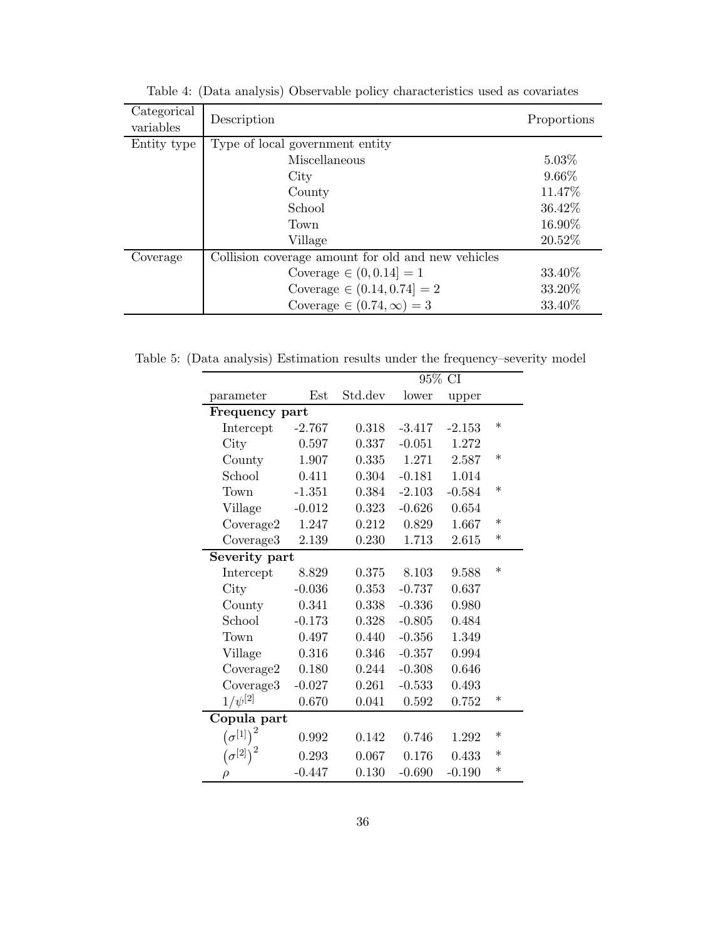| Categorical<br>variables | Description                                        | Proportions |
|--------------------------|----------------------------------------------------|-------------|
| Entity type              | Type of local government entity                    |             |
|                          | Miscellaneous                                      | $5.03\%$    |
|                          | City                                               | 9.66%       |
|                          | County                                             | 11.47%      |
|                          | School                                             | 36.42%      |
|                          | Town                                               | 16.90%      |
|                          | Village                                            | 20.52%      |
| Coverage                 | Collision coverage amount for old and new vehicles |             |
|                          | Coverage $\in (0, 0.14] = 1$                       | 33.40\%     |
|                          | Coverage $\in (0.14, 0.74] = 2$                    | 33.20%      |
|                          | Coverage $\in (0.74, \infty) = 3$                  | 33.40%      |

<span id="page-35-0"></span>Table 4: (Data analysis) Observable policy characteristics used as covariates

Table 5: (Data analysis) Estimation results under the frequency–severity model

<span id="page-35-1"></span>

|                               |          |         |          | 95% CI   |        |
|-------------------------------|----------|---------|----------|----------|--------|
| parameter                     | Est      | Std.dev | lower    | upper    |        |
| Frequency part                |          |         |          |          |        |
| Intercept                     | $-2.767$ | 0.318   | $-3.417$ | $-2.153$ | $\ast$ |
| City                          | 0.597    | 0.337   | $-0.051$ | 1.272    |        |
| County                        | 1.907    | 0.335   | 1.271    | 2.587    | $\ast$ |
| School                        | 0.411    | 0.304   | $-0.181$ | 1.014    |        |
| Town                          | $-1.351$ | 0.384   | $-2.103$ | $-0.584$ | $\ast$ |
| Village                       | $-0.012$ | 0.323   | $-0.626$ | 0.654    |        |
| Coverage2                     | 1.247    | 0.212   | 0.829    | 1.667    | $\ast$ |
| Coverage3                     | 2.139    | 0.230   | 1.713    | 2.615    | $\ast$ |
| Severity part                 |          |         |          |          |        |
| Intercept                     | 8.829    | 0.375   | 8.103    | 9.588    | $\ast$ |
| City                          | $-0.036$ | 0.353   | $-0.737$ | 0.637    |        |
| County                        | 0.341    | 0.338   | $-0.336$ | 0.980    |        |
| School                        | $-0.173$ | 0.328   | $-0.805$ | 0.484    |        |
| Town                          | 0.497    | 0.440   | $-0.356$ | 1.349    |        |
| Village                       | 0.316    | 0.346   | $-0.357$ | 0.994    |        |
| Coverage2                     | 0.180    | 0.244   | $-0.308$ | 0.646    |        |
| Coverage3                     | $-0.027$ | 0.261   | $-0.533$ | 0.493    |        |
| $1/\psi^{[2]}$                | 0.670    | 0.041   | 0.592    | 0.752    | $\ast$ |
| Copula part                   |          |         |          |          |        |
| $\left(\sigma^{[1]}\right)^2$ | 0.992    | 0.142   | 0.746    | 1.292    | $\ast$ |
| $(\sigma^{[2]})$              | 0.293    | 0.067   | 0.176    | 0.433    | $\ast$ |
| $\rho$                        | $-0.447$ | 0.130   | $-0.690$ | $-0.190$ | $\ast$ |